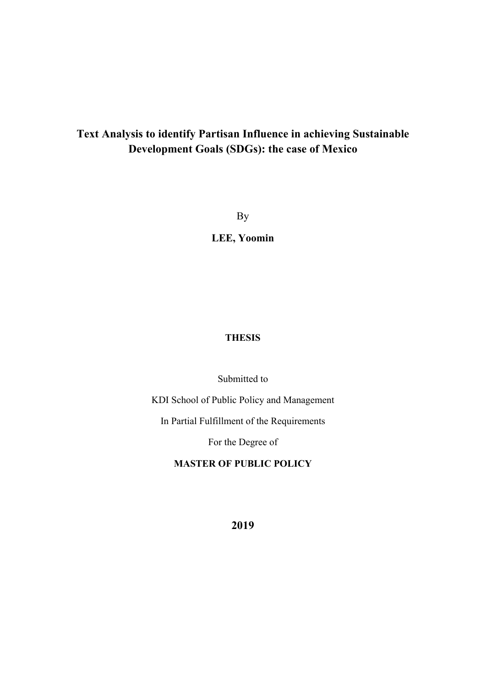## **Text Analysis to identify Partisan Influence in achieving Sustainable Development Goals (SDGs): the case of Mexico**

By

**LEE, Yoomin** 

## **THESIS**

Submitted to

KDI School of Public Policy and Management

In Partial Fulfillment of the Requirements

For the Degree of

**MASTER OF PUBLIC POLICY** 

**2019**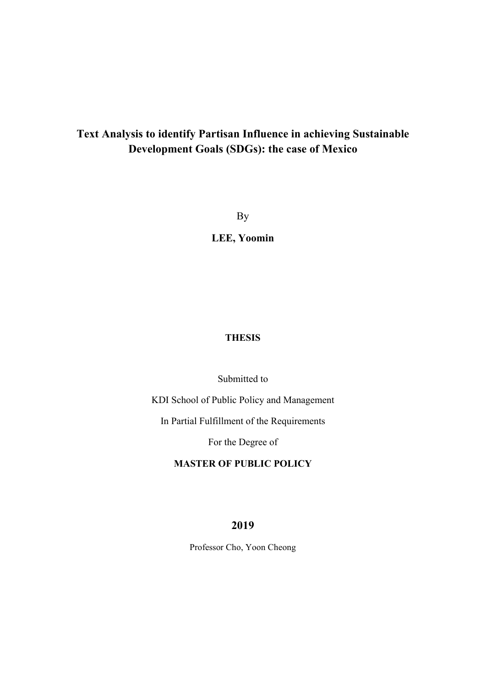## **Text Analysis to identify Partisan Influence in achieving Sustainable Development Goals (SDGs): the case of Mexico**

By

**LEE, Yoomin** 

## **THESIS**

Submitted to

KDI School of Public Policy and Management

In Partial Fulfillment of the Requirements

For the Degree of

## **MASTER OF PUBLIC POLICY**

### **2019**

Professor Cho, Yoon Cheong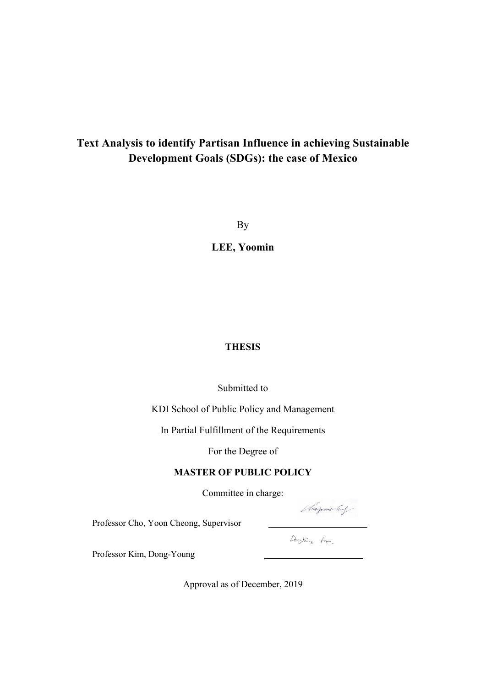## **Text Analysis to identify Partisan Influence in achieving Sustainable Development Goals (SDGs): the case of Mexico**

By

**LEE, Yoomin** 

### **THESIS**

### Submitted to

KDI School of Public Policy and Management

In Partial Fulfillment of the Requirements

For the Degree of

## **MASTER OF PUBLIC POLICY**

Committee in charge:

Shopone by

Professor Cho, Yoon Cheong, Supervisor

Dongtoung Km

Professor Kim, Dong-Young

Approval as of December, 2019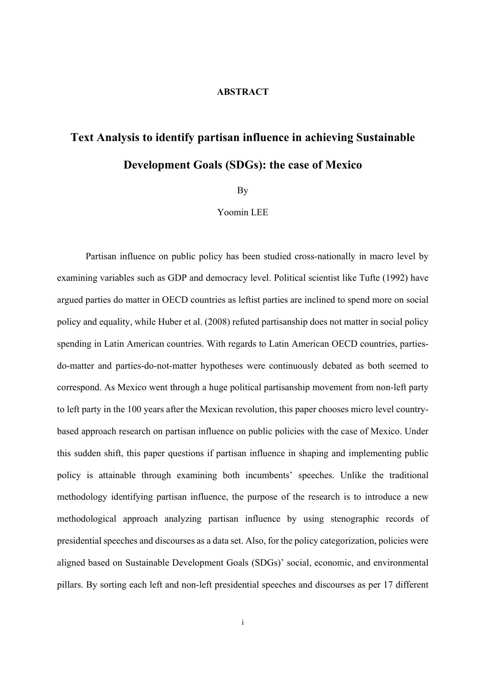#### **ABSTRACT**

# **Text Analysis to identify partisan influence in achieving Sustainable Development Goals (SDGs): the case of Mexico**

By

Yoomin LEE

Partisan influence on public policy has been studied cross-nationally in macro level by examining variables such as GDP and democracy level. Political scientist like Tufte (1992) have argued parties do matter in OECD countries as leftist parties are inclined to spend more on social policy and equality, while Huber et al. (2008) refuted partisanship does not matter in social policy spending in Latin American countries. With regards to Latin American OECD countries, partiesdo-matter and parties-do-not-matter hypotheses were continuously debated as both seemed to correspond. As Mexico went through a huge political partisanship movement from non-left party to left party in the 100 years after the Mexican revolution, this paper chooses micro level countrybased approach research on partisan influence on public policies with the case of Mexico. Under this sudden shift, this paper questions if partisan influence in shaping and implementing public policy is attainable through examining both incumbents' speeches. Unlike the traditional methodology identifying partisan influence, the purpose of the research is to introduce a new methodological approach analyzing partisan influence by using stenographic records of presidential speeches and discourses as a data set. Also, for the policy categorization, policies were aligned based on Sustainable Development Goals (SDGs)' social, economic, and environmental pillars. By sorting each left and non-left presidential speeches and discourses as per 17 different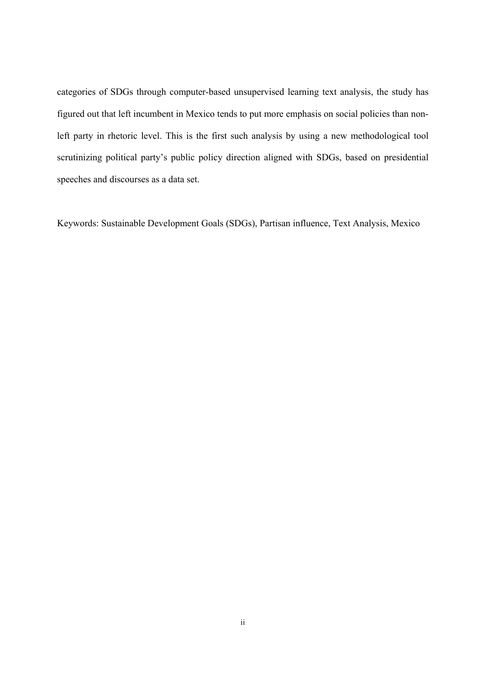categories of SDGs through computer-based unsupervised learning text analysis, the study has figured out that left incumbent in Mexico tends to put more emphasis on social policies than nonleft party in rhetoric level. This is the first such analysis by using a new methodological tool scrutinizing political party's public policy direction aligned with SDGs, based on presidential speeches and discourses as a data set.

Keywords: Sustainable Development Goals (SDGs), Partisan influence, Text Analysis, Mexico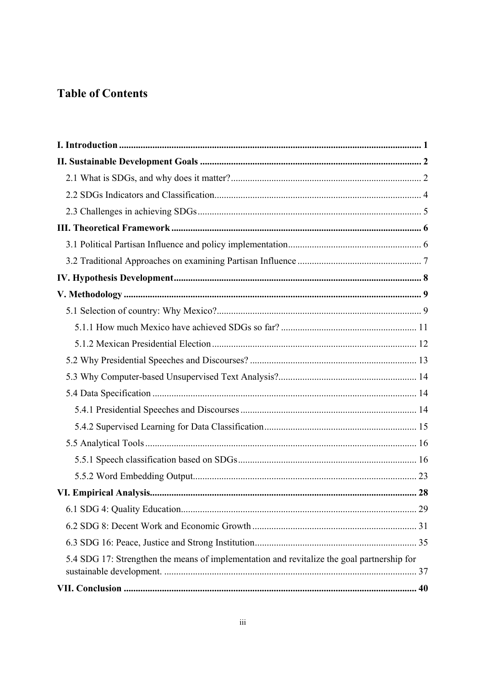## **Table of Contents**

| 5.4 SDG 17: Strengthen the means of implementation and revitalize the goal partnership for |
|--------------------------------------------------------------------------------------------|
|                                                                                            |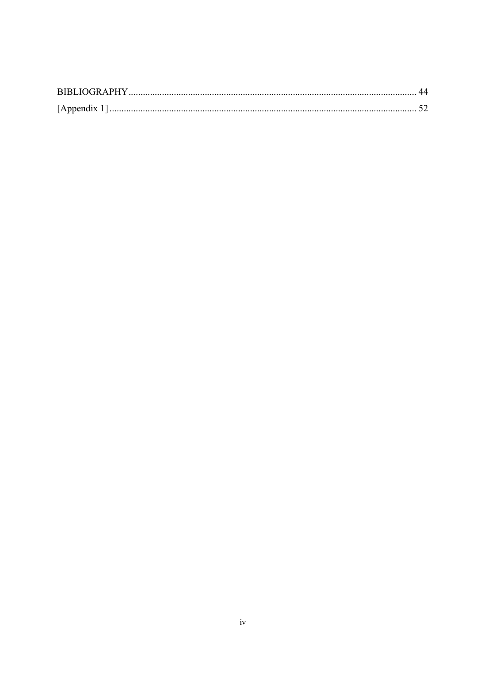| <b>BIBLIOGRAPHY</b> |  |
|---------------------|--|
| [Appendix 1]        |  |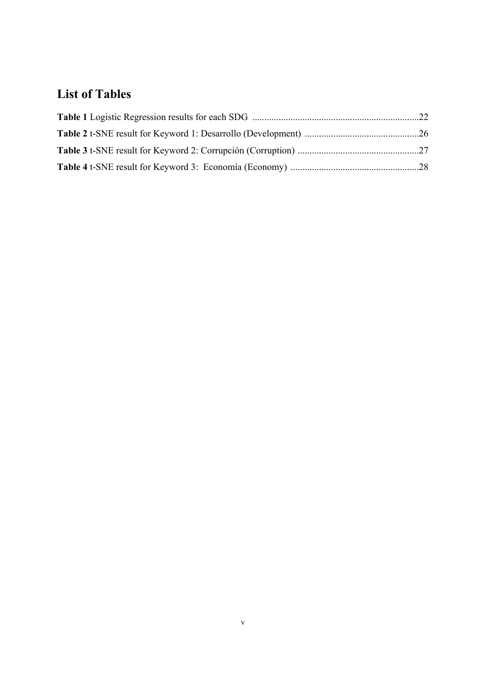## **List of Tables**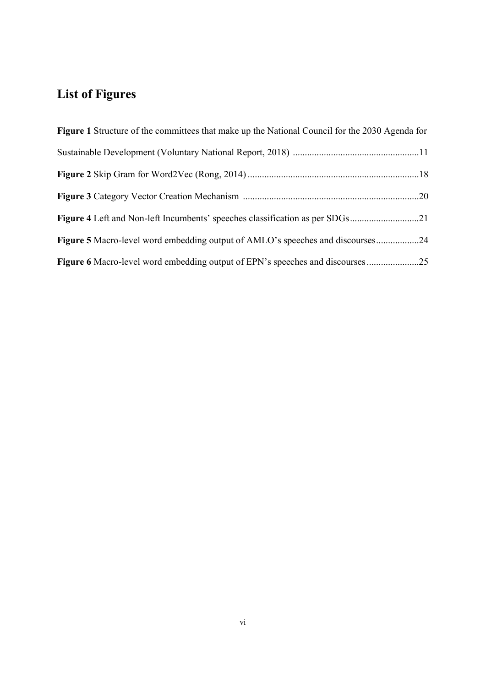## **List of Figures**

| <b>Figure 1</b> Structure of the committees that make up the National Council for the 2030 Agenda for |
|-------------------------------------------------------------------------------------------------------|
|                                                                                                       |
|                                                                                                       |
|                                                                                                       |
| Figure 4 Left and Non-left Incumbents' speeches classification as per SDGs21                          |
| <b>Figure 5</b> Macro-level word embedding output of AMLO's speeches and discourses24                 |
|                                                                                                       |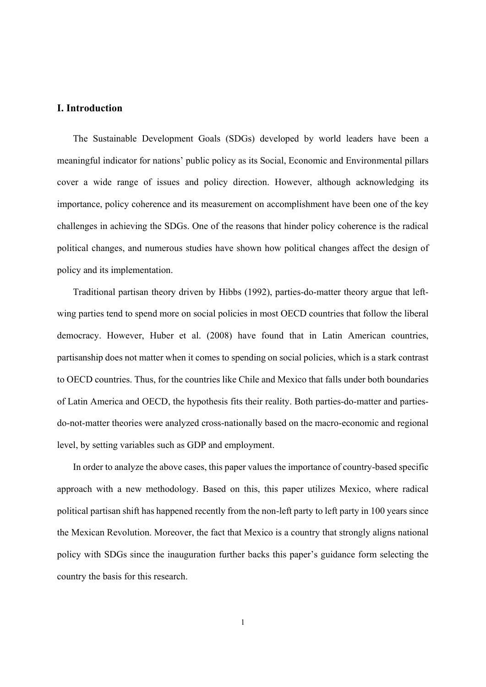#### **I. Introduction**

The Sustainable Development Goals (SDGs) developed by world leaders have been a meaningful indicator for nations' public policy as its Social, Economic and Environmental pillars cover a wide range of issues and policy direction. However, although acknowledging its importance, policy coherence and its measurement on accomplishment have been one of the key challenges in achieving the SDGs. One of the reasons that hinder policy coherence is the radical political changes, and numerous studies have shown how political changes affect the design of policy and its implementation.

Traditional partisan theory driven by Hibbs (1992), parties-do-matter theory argue that leftwing parties tend to spend more on social policies in most OECD countries that follow the liberal democracy. However, Huber et al. (2008) have found that in Latin American countries, partisanship does not matter when it comes to spending on social policies, which is a stark contrast to OECD countries. Thus, for the countries like Chile and Mexico that falls under both boundaries of Latin America and OECD, the hypothesis fits their reality. Both parties-do-matter and partiesdo-not-matter theories were analyzed cross-nationally based on the macro-economic and regional level, by setting variables such as GDP and employment.

In order to analyze the above cases, this paper values the importance of country-based specific approach with a new methodology. Based on this, this paper utilizes Mexico, where radical political partisan shift has happened recently from the non-left party to left party in 100 years since the Mexican Revolution. Moreover, the fact that Mexico is a country that strongly aligns national policy with SDGs since the inauguration further backs this paper's guidance form selecting the country the basis for this research.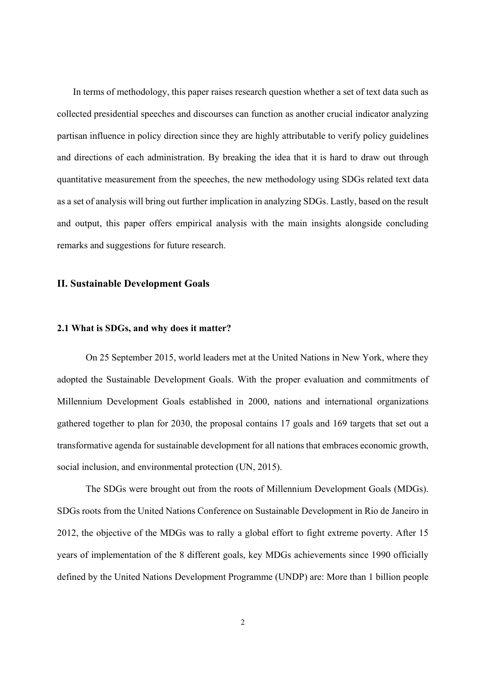In terms of methodology, this paper raises research question whether a set of text data such as collected presidential speeches and discourses can function as another crucial indicator analyzing partisan influence in policy direction since they are highly attributable to verify policy guidelines and directions of each administration. By breaking the idea that it is hard to draw out through quantitative measurement from the speeches, the new methodology using SDGs related text data as a set of analysis will bring out further implication in analyzing SDGs. Lastly, based on the result and output, this paper offers empirical analysis with the main insights alongside concluding remarks and suggestions for future research.

#### **II. Sustainable Development Goals**

#### **2.1 What is SDGs, and why does it matter?**

On 25 September 2015, world leaders met at the United Nations in New York, where they adopted the Sustainable Development Goals. With the proper evaluation and commitments of Millennium Development Goals established in 2000, nations and international organizations gathered together to plan for 2030, the proposal contains 17 goals and 169 targets that set out a transformative agenda for sustainable development for all nations that embraces economic growth, social inclusion, and environmental protection (UN, 2015).

The SDGs were brought out from the roots of Millennium Development Goals (MDGs). SDGs roots from the United Nations Conference on Sustainable Development in Rio de Janeiro in 2012, the objective of the MDGs was to rally a global effort to fight extreme poverty. After 15 years of implementation of the 8 different goals, key MDGs achievements since 1990 officially defined by the United Nations Development Programme (UNDP) are: More than 1 billion people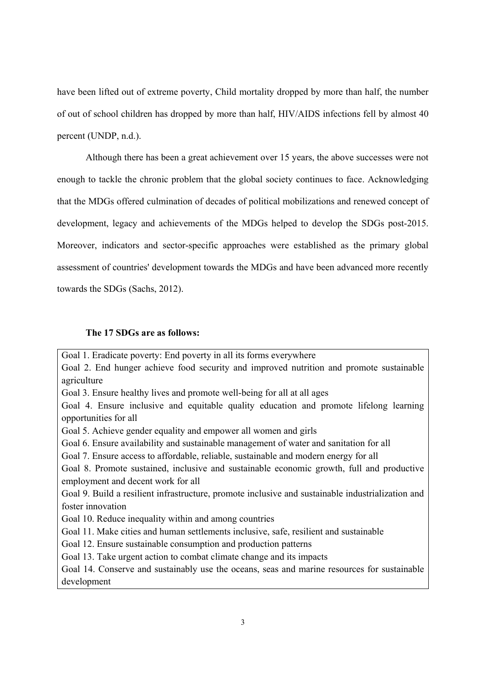have been lifted out of extreme poverty, Child mortality dropped by more than half, the number of out of school children has dropped by more than half, HIV/AIDS infections fell by almost 40 percent (UNDP, n.d.).

Although there has been a great achievement over 15 years, the above successes were not enough to tackle the chronic problem that the global society continues to face. Acknowledging that the MDGs offered culmination of decades of political mobilizations and renewed concept of development, legacy and achievements of the MDGs helped to develop the SDGs post-2015. Moreover, indicators and sector-specific approaches were established as the primary global assessment of countries' development towards the MDGs and have been advanced more recently towards the SDGs (Sachs, 2012).

#### **The 17 SDGs are as follows:**

Goal 1. Eradicate poverty: End poverty in all its forms everywhere Goal 2. End hunger achieve food security and improved nutrition and promote sustainable agriculture Goal 3. Ensure healthy lives and promote well-being for all at all ages Goal 4. Ensure inclusive and equitable quality education and promote lifelong learning opportunities for all Goal 5. Achieve gender equality and empower all women and girls Goal 6. Ensure availability and sustainable management of water and sanitation for all Goal 7. Ensure access to affordable, reliable, sustainable and modern energy for all Goal 8. Promote sustained, inclusive and sustainable economic growth, full and productive employment and decent work for all Goal 9. Build a resilient infrastructure, promote inclusive and sustainable industrialization and foster innovation Goal 10. Reduce inequality within and among countries Goal 11. Make cities and human settlements inclusive, safe, resilient and sustainable Goal 12. Ensure sustainable consumption and production patterns Goal 13. Take urgent action to combat climate change and its impacts Goal 14. Conserve and sustainably use the oceans, seas and marine resources for sustainable development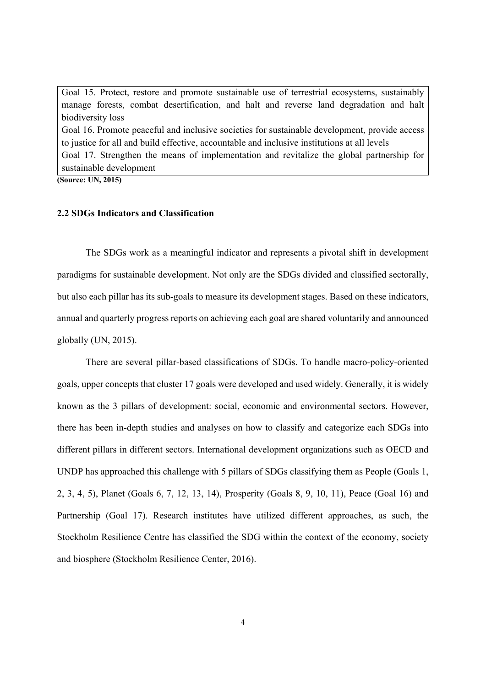Goal 15. Protect, restore and promote sustainable use of terrestrial ecosystems, sustainably manage forests, combat desertification, and halt and reverse land degradation and halt biodiversity loss Goal 16. Promote peaceful and inclusive societies for sustainable development, provide access to justice for all and build effective, accountable and inclusive institutions at all levels Goal 17. Strengthen the means of implementation and revitalize the global partnership for sustainable development

**(Source: UN, 2015)**

#### **2.2 SDGs Indicators and Classification**

The SDGs work as a meaningful indicator and represents a pivotal shift in development paradigms for sustainable development. Not only are the SDGs divided and classified sectorally, but also each pillar has its sub-goals to measure its development stages. Based on these indicators, annual and quarterly progress reports on achieving each goal are shared voluntarily and announced globally (UN, 2015).

There are several pillar-based classifications of SDGs. To handle macro-policy-oriented goals, upper concepts that cluster 17 goals were developed and used widely. Generally, it is widely known as the 3 pillars of development: social, economic and environmental sectors. However, there has been in-depth studies and analyses on how to classify and categorize each SDGs into different pillars in different sectors. International development organizations such as OECD and UNDP has approached this challenge with 5 pillars of SDGs classifying them as People (Goals 1, 2, 3, 4, 5), Planet (Goals 6, 7, 12, 13, 14), Prosperity (Goals 8, 9, 10, 11), Peace (Goal 16) and Partnership (Goal 17). Research institutes have utilized different approaches, as such, the Stockholm Resilience Centre has classified the SDG within the context of the economy, society and biosphere (Stockholm Resilience Center, 2016).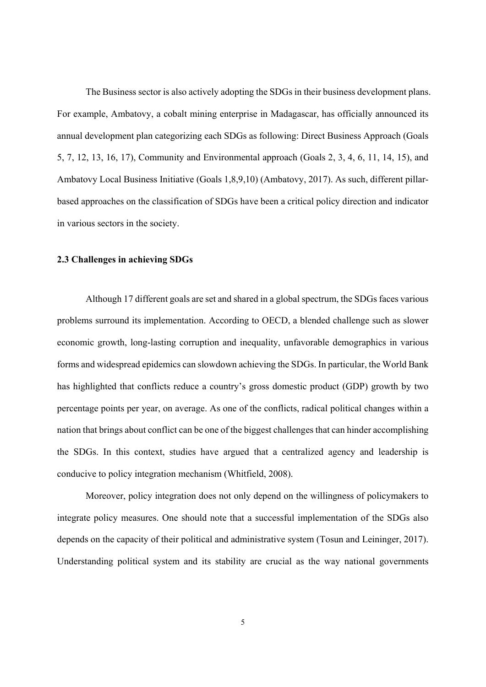The Business sector is also actively adopting the SDGs in their business development plans. For example, Ambatovy, a cobalt mining enterprise in Madagascar, has officially announced its annual development plan categorizing each SDGs as following: Direct Business Approach (Goals 5, 7, 12, 13, 16, 17), Community and Environmental approach (Goals 2, 3, 4, 6, 11, 14, 15), and Ambatovy Local Business Initiative (Goals 1,8,9,10) (Ambatovy, 2017). As such, different pillarbased approaches on the classification of SDGs have been a critical policy direction and indicator in various sectors in the society.

#### **2.3 Challenges in achieving SDGs**

Although 17 different goals are set and shared in a global spectrum, the SDGs faces various problems surround its implementation. According to OECD, a blended challenge such as slower economic growth, long-lasting corruption and inequality, unfavorable demographics in various forms and widespread epidemics can slowdown achieving the SDGs. In particular, the World Bank has highlighted that conflicts reduce a country's gross domestic product (GDP) growth by two percentage points per year, on average. As one of the conflicts, radical political changes within a nation that brings about conflict can be one of the biggest challenges that can hinder accomplishing the SDGs. In this context, studies have argued that a centralized agency and leadership is conducive to policy integration mechanism (Whitfield, 2008).

Moreover, policy integration does not only depend on the willingness of policymakers to integrate policy measures. One should note that a successful implementation of the SDGs also depends on the capacity of their political and administrative system (Tosun and Leininger, 2017). Understanding political system and its stability are crucial as the way national governments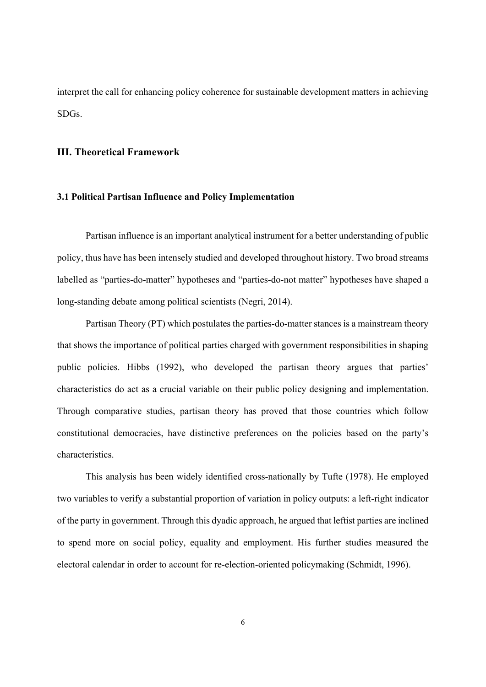interpret the call for enhancing policy coherence for sustainable development matters in achieving SDGs.

### **III. Theoretical Framework**

#### **3.1 Political Partisan Influence and Policy Implementation**

Partisan influence is an important analytical instrument for a better understanding of public policy, thus have has been intensely studied and developed throughout history. Two broad streams labelled as "parties-do-matter" hypotheses and "parties-do-not matter" hypotheses have shaped a long-standing debate among political scientists (Negri, 2014).

Partisan Theory (PT) which postulates the parties-do-matter stances is a mainstream theory that shows the importance of political parties charged with government responsibilities in shaping public policies. Hibbs (1992), who developed the partisan theory argues that parties' characteristics do act as a crucial variable on their public policy designing and implementation. Through comparative studies, partisan theory has proved that those countries which follow constitutional democracies, have distinctive preferences on the policies based on the party's characteristics.

This analysis has been widely identified cross-nationally by Tufte (1978). He employed two variables to verify a substantial proportion of variation in policy outputs: a left-right indicator of the party in government. Through this dyadic approach, he argued that leftist parties are inclined to spend more on social policy, equality and employment. His further studies measured the electoral calendar in order to account for re-election-oriented policymaking (Schmidt, 1996).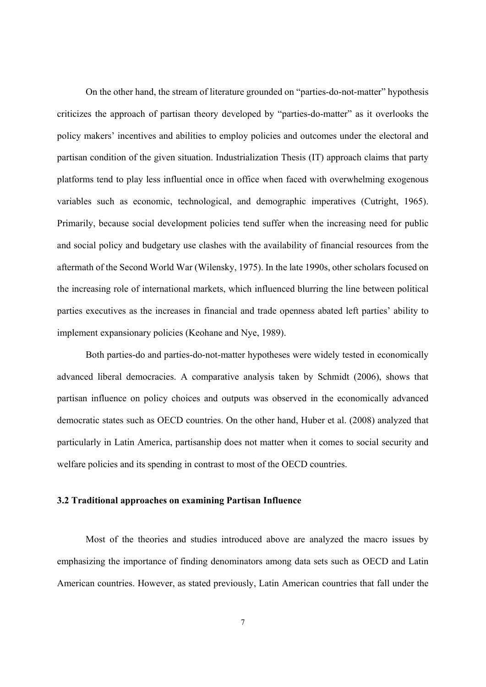On the other hand, the stream of literature grounded on "parties-do-not-matter" hypothesis criticizes the approach of partisan theory developed by "parties-do-matter" as it overlooks the policy makers' incentives and abilities to employ policies and outcomes under the electoral and partisan condition of the given situation. Industrialization Thesis (IT) approach claims that party platforms tend to play less influential once in office when faced with overwhelming exogenous variables such as economic, technological, and demographic imperatives (Cutright, 1965). Primarily, because social development policies tend suffer when the increasing need for public and social policy and budgetary use clashes with the availability of financial resources from the aftermath of the Second World War (Wilensky, 1975). In the late 1990s, other scholars focused on the increasing role of international markets, which influenced blurring the line between political parties executives as the increases in financial and trade openness abated left parties' ability to implement expansionary policies (Keohane and Nye, 1989).

Both parties-do and parties-do-not-matter hypotheses were widely tested in economically advanced liberal democracies. A comparative analysis taken by Schmidt (2006), shows that partisan influence on policy choices and outputs was observed in the economically advanced democratic states such as OECD countries. On the other hand, Huber et al. (2008) analyzed that particularly in Latin America, partisanship does not matter when it comes to social security and welfare policies and its spending in contrast to most of the OECD countries.

#### **3.2 Traditional approaches on examining Partisan Influence**

Most of the theories and studies introduced above are analyzed the macro issues by emphasizing the importance of finding denominators among data sets such as OECD and Latin American countries. However, as stated previously, Latin American countries that fall under the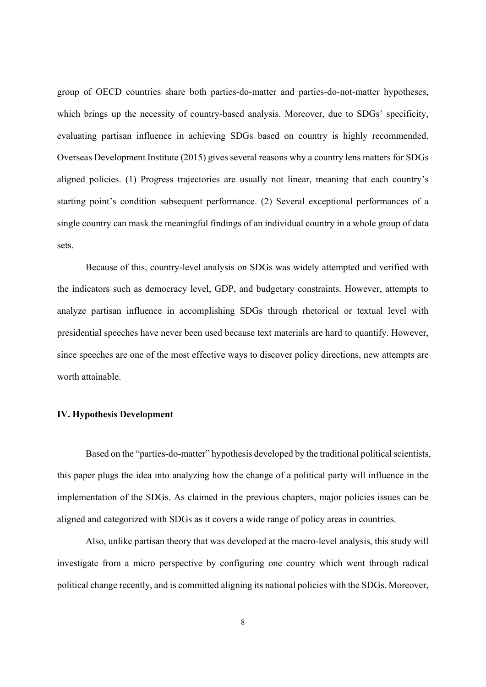group of OECD countries share both parties-do-matter and parties-do-not-matter hypotheses, which brings up the necessity of country-based analysis. Moreover, due to SDGs' specificity, evaluating partisan influence in achieving SDGs based on country is highly recommended. Overseas Development Institute (2015) gives several reasons why a country lens matters for SDGs aligned policies. (1) Progress trajectories are usually not linear, meaning that each country's starting point's condition subsequent performance. (2) Several exceptional performances of a single country can mask the meaningful findings of an individual country in a whole group of data sets.

Because of this, country-level analysis on SDGs was widely attempted and verified with the indicators such as democracy level, GDP, and budgetary constraints. However, attempts to analyze partisan influence in accomplishing SDGs through rhetorical or textual level with presidential speeches have never been used because text materials are hard to quantify. However, since speeches are one of the most effective ways to discover policy directions, new attempts are worth attainable.

#### **IV. Hypothesis Development**

Based on the "parties-do-matter" hypothesis developed by the traditional political scientists, this paper plugs the idea into analyzing how the change of a political party will influence in the implementation of the SDGs. As claimed in the previous chapters, major policies issues can be aligned and categorized with SDGs as it covers a wide range of policy areas in countries.

Also, unlike partisan theory that was developed at the macro-level analysis, this study will investigate from a micro perspective by configuring one country which went through radical political change recently, and is committed aligning its national policies with the SDGs. Moreover,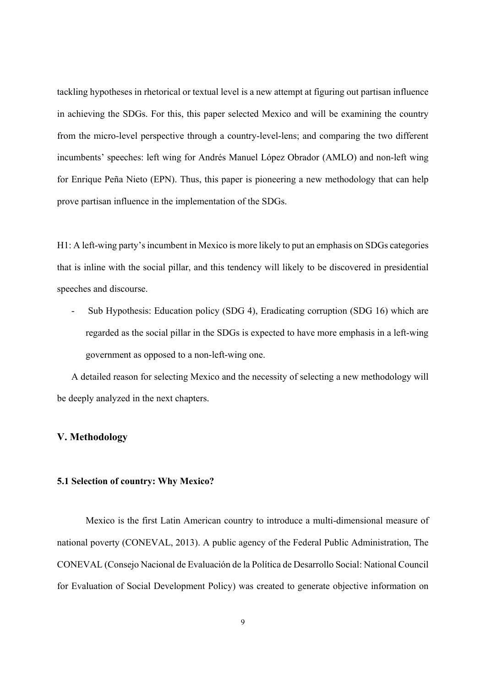tackling hypotheses in rhetorical or textual level is a new attempt at figuring out partisan influence in achieving the SDGs. For this, this paper selected Mexico and will be examining the country from the micro-level perspective through a country-level-lens; and comparing the two different incumbents' speeches: left wing for Andrés Manuel López Obrador (AMLO) and non-left wing for Enrique Peña Nieto (EPN). Thus, this paper is pioneering a new methodology that can help prove partisan influence in the implementation of the SDGs.

H1: A left-wing party's incumbent in Mexico is more likely to put an emphasis on SDGs categories that is inline with the social pillar, and this tendency will likely to be discovered in presidential speeches and discourse.

Sub Hypothesis: Education policy (SDG 4), Eradicating corruption (SDG 16) which are regarded as the social pillar in the SDGs is expected to have more emphasis in a left-wing government as opposed to a non-left-wing one.

A detailed reason for selecting Mexico and the necessity of selecting a new methodology will be deeply analyzed in the next chapters.

### **V. Methodology**

#### **5.1 Selection of country: Why Mexico?**

Mexico is the first Latin American country to introduce a multi-dimensional measure of national poverty (CONEVAL, 2013). A public agency of the Federal Public Administration, The CONEVAL (Consejo Nacional de Evaluación de la Política de Desarrollo Social: National Council for Evaluation of Social Development Policy) was created to generate objective information on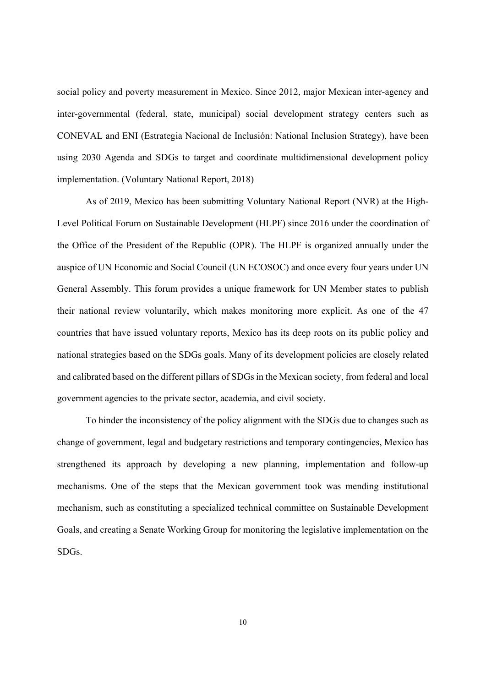social policy and poverty measurement in Mexico. Since 2012, major Mexican inter-agency and inter-governmental (federal, state, municipal) social development strategy centers such as CONEVAL and ENI (Estrategia Nacional de Inclusión: National Inclusion Strategy), have been using 2030 Agenda and SDGs to target and coordinate multidimensional development policy implementation. (Voluntary National Report, 2018)

As of 2019, Mexico has been submitting Voluntary National Report (NVR) at the High-Level Political Forum on Sustainable Development (HLPF) since 2016 under the coordination of the Office of the President of the Republic (OPR). The HLPF is organized annually under the auspice of UN Economic and Social Council (UN ECOSOC) and once every four years under UN General Assembly. This forum provides a unique framework for UN Member states to publish their national review voluntarily, which makes monitoring more explicit. As one of the 47 countries that have issued voluntary reports, Mexico has its deep roots on its public policy and national strategies based on the SDGs goals. Many of its development policies are closely related and calibrated based on the different pillars of SDGs in the Mexican society, from federal and local government agencies to the private sector, academia, and civil society.

To hinder the inconsistency of the policy alignment with the SDGs due to changes such as change of government, legal and budgetary restrictions and temporary contingencies, Mexico has strengthened its approach by developing a new planning, implementation and follow-up mechanisms. One of the steps that the Mexican government took was mending institutional mechanism, such as constituting a specialized technical committee on Sustainable Development Goals, and creating a Senate Working Group for monitoring the legislative implementation on the SDGs.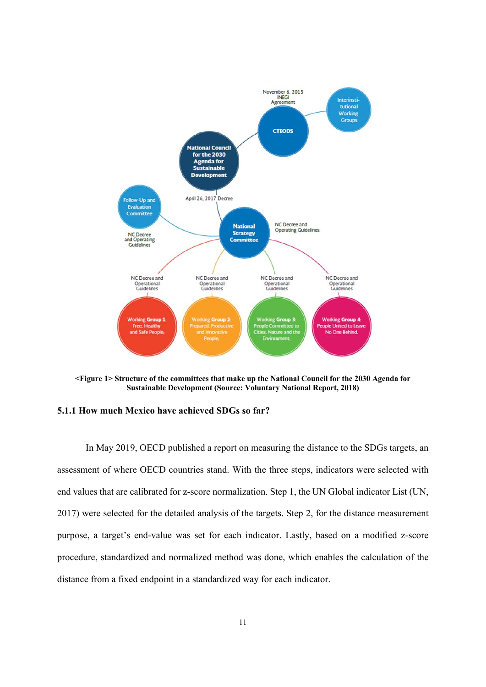

**<Figure 1> Structure of the committees that make up the National Council for the 2030 Agenda for Sustainable Development (Source: Voluntary National Report, 2018)** 

#### **5.1.1 How much Mexico have achieved SDGs so far?**

In May 2019, OECD published a report on measuring the distance to the SDGs targets, an assessment of where OECD countries stand. With the three steps, indicators were selected with end values that are calibrated for z-score normalization. Step 1, the UN Global indicator List (UN, 2017) were selected for the detailed analysis of the targets. Step 2, for the distance measurement purpose, a target's end-value was set for each indicator. Lastly, based on a modified z-score procedure, standardized and normalized method was done, which enables the calculation of the distance from a fixed endpoint in a standardized way for each indicator.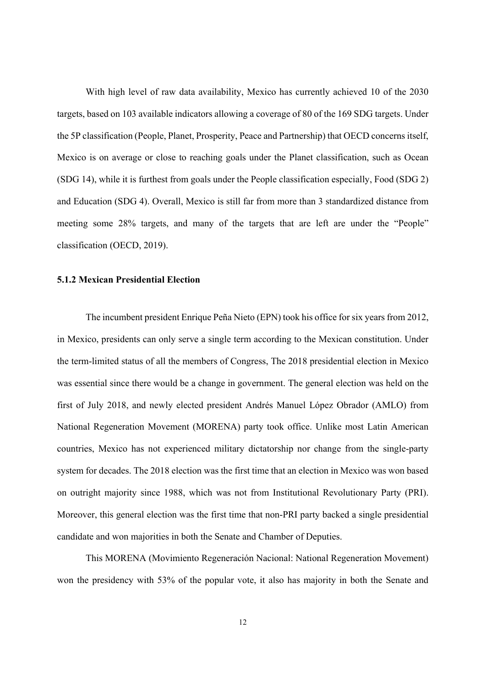With high level of raw data availability, Mexico has currently achieved 10 of the 2030 targets, based on 103 available indicators allowing a coverage of 80 of the 169 SDG targets. Under the 5P classification (People, Planet, Prosperity, Peace and Partnership) that OECD concerns itself, Mexico is on average or close to reaching goals under the Planet classification, such as Ocean (SDG 14), while it is furthest from goals under the People classification especially, Food (SDG 2) and Education (SDG 4). Overall, Mexico is still far from more than 3 standardized distance from meeting some 28% targets, and many of the targets that are left are under the "People" classification (OECD, 2019).

#### **5.1.2 Mexican Presidential Election**

The incumbent president Enrique Peña Nieto (EPN) took his office for six years from 2012, in Mexico, presidents can only serve a single term according to the Mexican constitution. Under the term-limited status of all the members of Congress, The 2018 presidential election in Mexico was essential since there would be a change in government. The general election was held on the first of July 2018, and newly elected president Andrés Manuel López Obrador (AMLO) from National Regeneration Movement (MORENA) party took office. Unlike most Latin American countries, Mexico has not experienced military dictatorship nor change from the single-party system for decades. The 2018 election was the first time that an election in Mexico was won based on outright majority since 1988, which was not from Institutional Revolutionary Party (PRI). Moreover, this general election was the first time that non-PRI party backed a single presidential candidate and won majorities in both the Senate and Chamber of Deputies.

This MORENA (Movimiento Regeneración Nacional: National Regeneration Movement) won the presidency with 53% of the popular vote, it also has majority in both the Senate and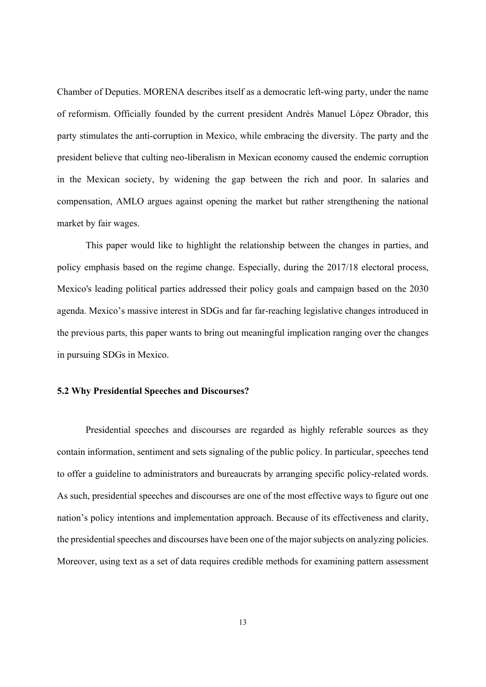Chamber of Deputies. MORENA describes itself as a democratic left-wing party, under the name of reformism. Officially founded by the current president Andrés Manuel López Obrador, this party stimulates the anti-corruption in Mexico, while embracing the diversity. The party and the president believe that culting neo-liberalism in Mexican economy caused the endemic corruption in the Mexican society, by widening the gap between the rich and poor. In salaries and compensation, AMLO argues against opening the market but rather strengthening the national market by fair wages.

This paper would like to highlight the relationship between the changes in parties, and policy emphasis based on the regime change. Especially, during the 2017/18 electoral process, Mexico's leading political parties addressed their policy goals and campaign based on the 2030 agenda. Mexico's massive interest in SDGs and far far-reaching legislative changes introduced in the previous parts, this paper wants to bring out meaningful implication ranging over the changes in pursuing SDGs in Mexico.

#### **5.2 Why Presidential Speeches and Discourses?**

Presidential speeches and discourses are regarded as highly referable sources as they contain information, sentiment and sets signaling of the public policy. In particular, speeches tend to offer a guideline to administrators and bureaucrats by arranging specific policy-related words. As such, presidential speeches and discourses are one of the most effective ways to figure out one nation's policy intentions and implementation approach. Because of its effectiveness and clarity, the presidential speeches and discourses have been one of the major subjects on analyzing policies. Moreover, using text as a set of data requires credible methods for examining pattern assessment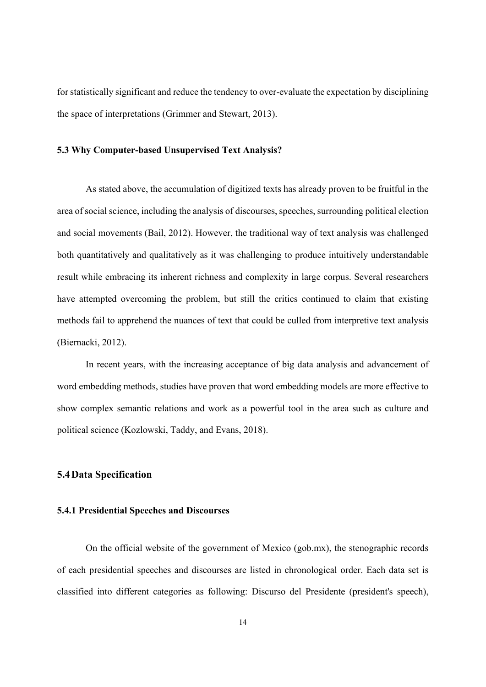for statistically significant and reduce the tendency to over-evaluate the expectation by disciplining the space of interpretations (Grimmer and Stewart, 2013).

#### **5.3 Why Computer-based Unsupervised Text Analysis?**

As stated above, the accumulation of digitized texts has already proven to be fruitful in the area of social science, including the analysis of discourses, speeches, surrounding political election and social movements (Bail, 2012). However, the traditional way of text analysis was challenged both quantitatively and qualitatively as it was challenging to produce intuitively understandable result while embracing its inherent richness and complexity in large corpus. Several researchers have attempted overcoming the problem, but still the critics continued to claim that existing methods fail to apprehend the nuances of text that could be culled from interpretive text analysis (Biernacki, 2012).

 In recent years, with the increasing acceptance of big data analysis and advancement of word embedding methods, studies have proven that word embedding models are more effective to show complex semantic relations and work as a powerful tool in the area such as culture and political science (Kozlowski, Taddy, and Evans, 2018).

#### **5.4Data Specification**

#### **5.4.1 Presidential Speeches and Discourses**

On the official website of the government of Mexico (gob.mx), the stenographic records of each presidential speeches and discourses are listed in chronological order. Each data set is classified into different categories as following: Discurso del Presidente (president's speech),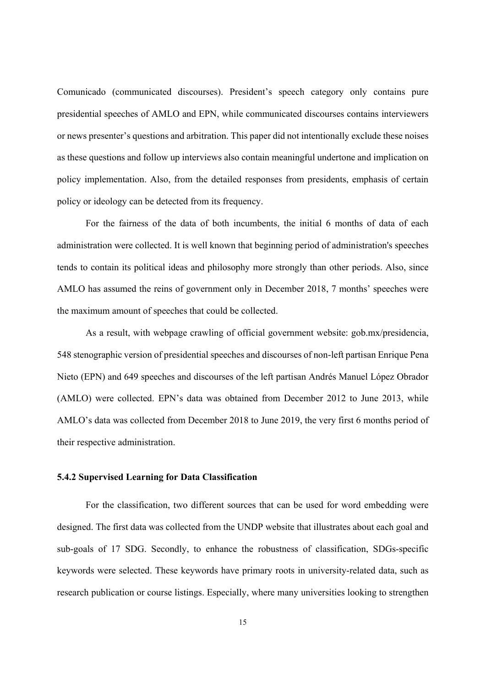Comunicado (communicated discourses). President's speech category only contains pure presidential speeches of AMLO and EPN, while communicated discourses contains interviewers or news presenter's questions and arbitration. This paper did not intentionally exclude these noises as these questions and follow up interviews also contain meaningful undertone and implication on policy implementation. Also, from the detailed responses from presidents, emphasis of certain policy or ideology can be detected from its frequency.

For the fairness of the data of both incumbents, the initial 6 months of data of each administration were collected. It is well known that beginning period of administration's speeches tends to contain its political ideas and philosophy more strongly than other periods. Also, since AMLO has assumed the reins of government only in December 2018, 7 months' speeches were the maximum amount of speeches that could be collected.

As a result, with webpage crawling of official government website: gob.mx/presidencia, 548 stenographic version of presidential speeches and discourses of non-left partisan Enrique Pena Nieto (EPN) and 649 speeches and discourses of the left partisan Andrés Manuel López Obrador (AMLO) were collected. EPN's data was obtained from December 2012 to June 2013, while AMLO's data was collected from December 2018 to June 2019, the very first 6 months period of their respective administration.

#### **5.4.2 Supervised Learning for Data Classification**

For the classification, two different sources that can be used for word embedding were designed. The first data was collected from the UNDP website that illustrates about each goal and sub-goals of 17 SDG. Secondly, to enhance the robustness of classification, SDGs-specific keywords were selected. These keywords have primary roots in university-related data, such as research publication or course listings. Especially, where many universities looking to strengthen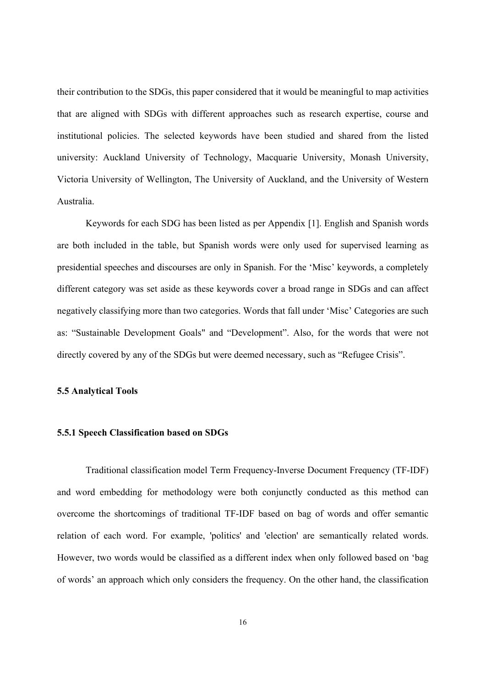their contribution to the SDGs, this paper considered that it would be meaningful to map activities that are aligned with SDGs with different approaches such as research expertise, course and institutional policies. The selected keywords have been studied and shared from the listed university: Auckland University of Technology, Macquarie University, Monash University, Victoria University of Wellington, The University of Auckland, and the University of Western Australia.

Keywords for each SDG has been listed as per Appendix [1]. English and Spanish words are both included in the table, but Spanish words were only used for supervised learning as presidential speeches and discourses are only in Spanish. For the 'Misc' keywords, a completely different category was set aside as these keywords cover a broad range in SDGs and can affect negatively classifying more than two categories. Words that fall under 'Misc' Categories are such as: "Sustainable Development Goals" and "Development". Also, for the words that were not directly covered by any of the SDGs but were deemed necessary, such as "Refugee Crisis".

#### **5.5 Analytical Tools**

#### **5.5.1 Speech Classification based on SDGs**

Traditional classification model Term Frequency-Inverse Document Frequency (TF-IDF) and word embedding for methodology were both conjunctly conducted as this method can overcome the shortcomings of traditional TF-IDF based on bag of words and offer semantic relation of each word. For example, 'politics' and 'election' are semantically related words. However, two words would be classified as a different index when only followed based on 'bag of words' an approach which only considers the frequency. On the other hand, the classification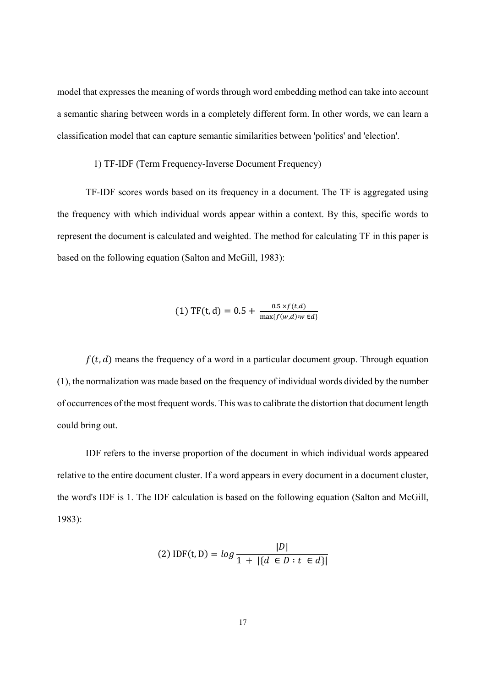model that expresses the meaning of words through word embedding method can take into account a semantic sharing between words in a completely different form. In other words, we can learn a classification model that can capture semantic similarities between 'politics' and 'election'.

#### 1) TF-IDF (Term Frequency-Inverse Document Frequency)

TF-IDF scores words based on its frequency in a document. The TF is aggregated using the frequency with which individual words appear within a context. By this, specific words to represent the document is calculated and weighted. The method for calculating TF in this paper is based on the following equation (Salton and McGill, 1983):

(1) TF(t,d) = 0.5 + 
$$
\frac{0.5 \times f(t,d)}{\max\{f(w,d):w \in d\}}
$$

 $f(t, d)$  means the frequency of a word in a particular document group. Through equation (1), the normalization was made based on the frequency of individual words divided by the number of occurrences of the most frequent words. This was to calibrate the distortion that document length could bring out.

IDF refers to the inverse proportion of the document in which individual words appeared relative to the entire document cluster. If a word appears in every document in a document cluster, the word's IDF is 1. The IDF calculation is based on the following equation (Salton and McGill, 1983):

(2) 
$$
IDF(t, D) = log \frac{|D|}{1 + |\{d \in D : t \in d\}|}
$$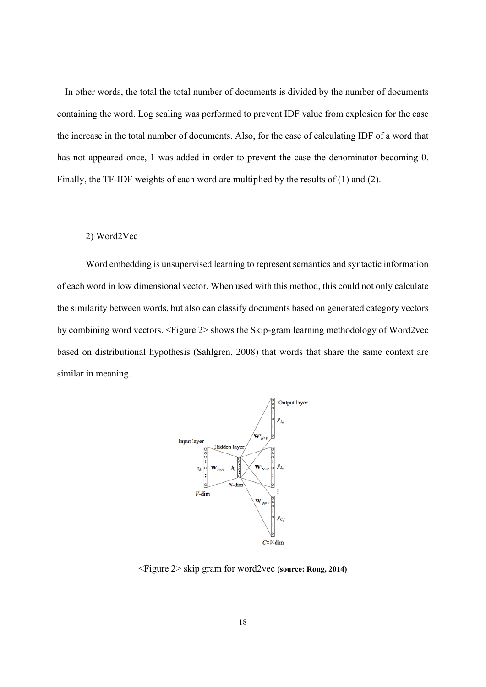In other words, the total the total number of documents is divided by the number of documents containing the word. Log scaling was performed to prevent IDF value from explosion for the case the increase in the total number of documents. Also, for the case of calculating IDF of a word that has not appeared once, 1 was added in order to prevent the case the denominator becoming 0. Finally, the TF-IDF weights of each word are multiplied by the results of (1) and (2).

#### 2) Word2Vec

Word embedding is unsupervised learning to represent semantics and syntactic information of each word in low dimensional vector. When used with this method, this could not only calculate the similarity between words, but also can classify documents based on generated category vectors by combining word vectors. <Figure 2> shows the Skip-gram learning methodology of Word2vec based on distributional hypothesis (Sahlgren, 2008) that words that share the same context are similar in meaning.



<Figure 2> skip gram for word2vec **(source: Rong, 2014)**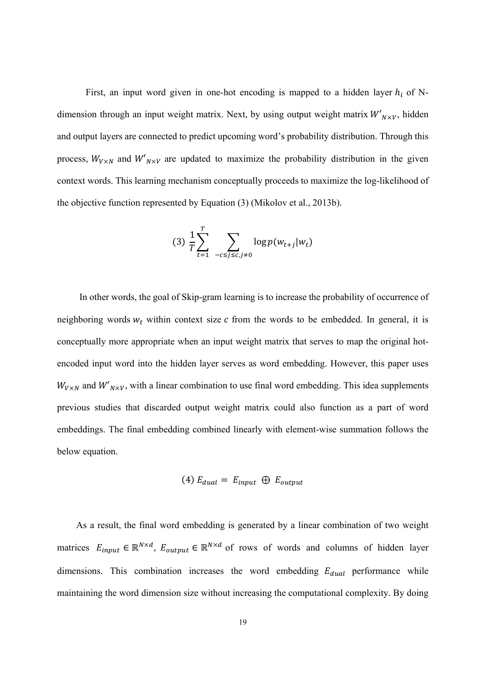First, an input word given in one-hot encoding is mapped to a hidden layer  $h_i$  of Ndimension through an input weight matrix. Next, by using output weight matrix  $W'_{N\times V}$ , hidden and output layers are connected to predict upcoming word's probability distribution. Through this process,  $W_{V \times N}$  and  $W'_{N \times V}$  are updated to maximize the probability distribution in the given context words. This learning mechanism conceptually proceeds to maximize the log-likelihood of the objective function represented by Equation (3) (Mikolov et al., 2013b).

$$
(3) \frac{1}{T} \sum_{t=1}^T \sum_{-c \le j \le c, j \neq 0} \log p(w_{t+j}|w_t)
$$

In other words, the goal of Skip-gram learning is to increase the probability of occurrence of neighboring words  $w_t$  within context size  $c$  from the words to be embedded. In general, it is conceptually more appropriate when an input weight matrix that serves to map the original hotencoded input word into the hidden layer serves as word embedding. However, this paper uses  $W_{V \times N}$  and  $W'_{N \times V}$ , with a linear combination to use final word embedding. This idea supplements previous studies that discarded output weight matrix could also function as a part of word embeddings. The final embedding combined linearly with element-wise summation follows the below equation.

(4) 
$$
E_{dual} = E_{input} \oplus E_{output}
$$

As a result, the final word embedding is generated by a linear combination of two weight matrices  $E_{input} \in \mathbb{R}^{N \times d}$ ,  $E_{output} \in \mathbb{R}^{N \times d}$  of rows of words and columns of hidden layer dimensions. This combination increases the word embedding  $E_{dual}$  performance while maintaining the word dimension size without increasing the computational complexity. By doing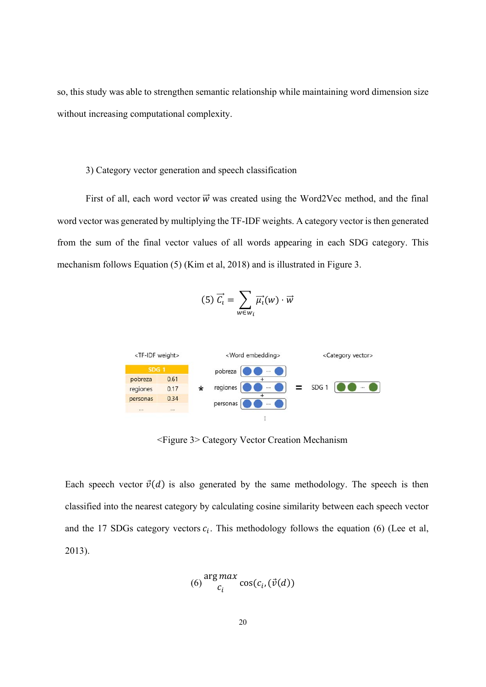so, this study was able to strengthen semantic relationship while maintaining word dimension size without increasing computational complexity.

#### 3) Category vector generation and speech classification

First of all, each word vector  $\vec{w}$  was created using the Word2Vec method, and the final word vector was generated by multiplying the TF-IDF weights. A category vector is then generated from the sum of the final vector values of all words appearing in each SDG category. This mechanism follows Equation (5) (Kim et al, 2018) and is illustrated in Figure 3.

$$
(5)\ \overrightarrow{C_i} = \sum_{w \in w_i} \overrightarrow{\mu_i}(w) \cdot \overrightarrow{w}
$$



<Figure 3> Category Vector Creation Mechanism

Each speech vector  $\vec{v}(d)$  is also generated by the same methodology. The speech is then classified into the nearest category by calculating cosine similarity between each speech vector and the 17 SDGs category vectors  $c_i$ . This methodology follows the equation (6) (Lee et al, 2013).

$$
(6)\frac{\arg max}{c_i}\cos(c_i,(\vec{v}(d)))
$$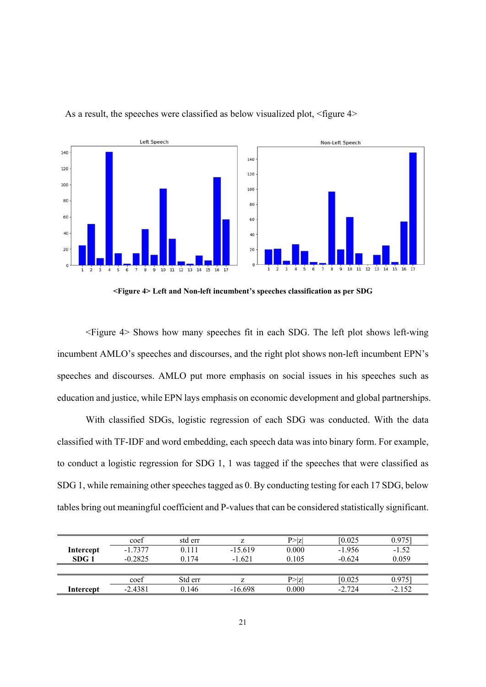

As a result, the speeches were classified as below visualized plot, <figure 4>

**<Figure 4> Left and Non-left incumbent's speeches classification as per SDG** 

<Figure 4> Shows how many speeches fit in each SDG. The left plot shows left-wing incumbent AMLO's speeches and discourses, and the right plot shows non-left incumbent EPN's speeches and discourses. AMLO put more emphasis on social issues in his speeches such as education and justice, while EPN lays emphasis on economic development and global partnerships.

With classified SDGs, logistic regression of each SDG was conducted. With the data classified with TF-IDF and word embedding, each speech data was into binary form. For example, to conduct a logistic regression for SDG 1, 1 was tagged if the speeches that were classified as SDG 1, while remaining other speeches tagged as 0. By conducting testing for each 17 SDG, below tables bring out meaningful coefficient and P-values that can be considered statistically significant.

|           | coef      | std err |           | P >  Z | [0.025]  | 0.9751   |
|-----------|-----------|---------|-----------|--------|----------|----------|
| Intercept | $-1.7377$ | 0.111   | $-15.619$ | 0.000  | $-1.956$ | $-1.52$  |
| SDG 1     | $-0.2825$ | 0.174   | $-1.621$  | 0.105  | $-0.624$ | 0.059    |
|           |           |         |           |        |          |          |
|           | coef      | Std err |           | P >  Z | [0.025]  | 0.975    |
| Intercept | $-2.4381$ | 0.146   | $-16.698$ | 0.000  | $-2.724$ | $-2.152$ |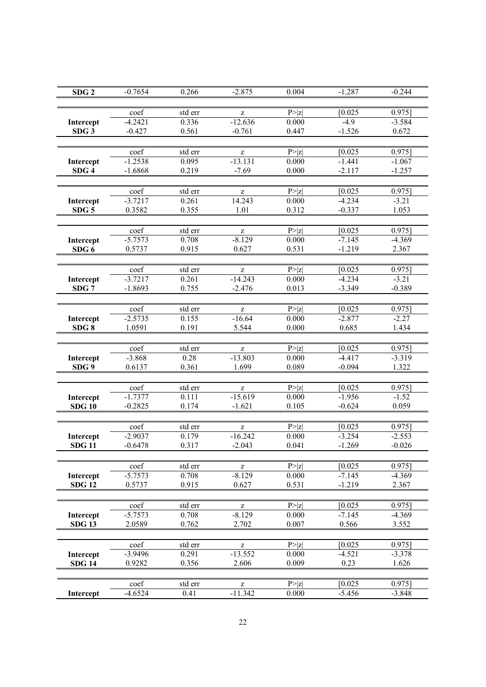| SDG <sub>2</sub> | $-0.7654$ | 0.266                | $-2.875$                                              | 0.004  | $-1.287$ | $-0.244$  |
|------------------|-----------|----------------------|-------------------------------------------------------|--------|----------|-----------|
|                  |           |                      |                                                       |        |          |           |
|                  | coef      |                      |                                                       |        |          |           |
|                  |           | $\overline{std}$ err | Z                                                     | P >  z | [0.025]  | $0.975$ ] |
| Intercept        | $-4.2421$ | 0.336                | $-12.636$                                             | 0.000  | $-4.9$   | $-3.584$  |
| SDG <sub>3</sub> | $-0.427$  | 0.561                | $-0.761$                                              | 0.447  | $-1.526$ | 0.672     |
|                  |           |                      |                                                       |        |          |           |
|                  | coef      | std err              | z                                                     | P >  z | [0.025]  | $0.975$ ] |
| Intercept        | $-1.2538$ | 0.095                | $-13.131$                                             | 0.000  | $-1.441$ | $-1.067$  |
| SDG <sub>4</sub> | $-1.6868$ | 0.219                | $-7.69$                                               | 0.000  | $-2.117$ | $-1.257$  |
|                  |           |                      |                                                       |        |          |           |
|                  |           |                      |                                                       |        |          |           |
|                  | coef      | std err              | z                                                     | P >  z | [0.025]  | $0.975$ ] |
| Intercept        | $-3.7217$ | 0.261                | 14.243                                                | 0.000  | $-4.234$ | $-3.21$   |
| SDG <sub>5</sub> | 0.3582    | 0.355                | 1.01                                                  | 0.312  | $-0.337$ | 1.053     |
|                  |           |                      |                                                       |        |          |           |
|                  | coef      | std err              | Z                                                     | P >  Z | [0.025]  | $0.975$ ] |
| Intercept        | $-5.7573$ | 0.708                | $-8.129$                                              | 0.000  | $-7.145$ | $-4.369$  |
| SDG <sub>6</sub> | 0.5737    | 0.915                | 0.627                                                 | 0.531  | $-1.219$ | 2.367     |
|                  |           |                      |                                                       |        |          |           |
|                  | coef      | std err              |                                                       | P >  z | [0.025]  | $0.975$ ] |
|                  |           |                      | z<br>$-14.243$                                        |        |          |           |
| Intercept        | $-3.7217$ | 0.261                |                                                       | 0.000  | $-4.234$ | $-3.21$   |
| SDG <sub>7</sub> | $-1.8693$ | 0.755                | $-2.476$                                              | 0.013  | $-3.349$ | $-0.389$  |
|                  |           |                      |                                                       |        |          |           |
|                  | coef      | std err              | Z                                                     | P >  Z | [0.025]  | $0.975$ ] |
| Intercept        | $-2.5735$ | 0.155                | $-16.64$                                              | 0.000  | $-2.877$ | $-2.27$   |
| SDG8             | 1.0591    | 0.191                | 5.544                                                 | 0.000  | 0.685    | 1.434     |
|                  |           |                      |                                                       |        |          |           |
|                  | coef      | std err              | z                                                     | P >  z | [0.025]  | $0.975$ ] |
| Intercept        | $-3.868$  | 0.28                 | $-13.803$                                             | 0.000  | $-4.417$ | $-3.319$  |
| SDG <sub>9</sub> | 0.6137    | 0.361                | 1.699                                                 | 0.089  | $-0.094$ | 1.322     |
|                  |           |                      |                                                       |        |          |           |
|                  |           |                      |                                                       |        |          |           |
|                  | coef      | std err              | z                                                     | P >  z | [0.025]  | $0.975$ ] |
| Intercept        | $-1.7377$ | 0.111                | $-15.619$                                             | 0.000  | $-1.956$ | $-1.52$   |
| <b>SDG 10</b>    | $-0.2825$ | 0.174                | $-1.621$                                              | 0.105  | $-0.624$ | 0.059     |
|                  |           |                      |                                                       |        |          |           |
|                  | coef      | std err              | z                                                     | P >  z | [0.025]  | $0.975$ ] |
| Intercept        | $-2.9037$ | 0.179                | $-16.242$                                             | 0.000  | $-3.254$ | $-2.553$  |
| <b>SDG 11</b>    | $-0.6478$ | 0.317                | $-2.043$                                              | 0.041  | $-1.269$ | $-0.026$  |
|                  |           |                      |                                                       |        |          |           |
|                  |           |                      |                                                       |        |          |           |
|                  | coef      | std err              | z                                                     | P >  z | [0.025]  | 0.975]    |
| Intercept        | $-5.7573$ | 0.708                | $-8.129$                                              | 0.000  | $-7.145$ | $-4.369$  |
| <b>SDG 12</b>    | 0.5737    | 0.915                | 0.627                                                 | 0.531  | $-1.219$ | 2.367     |
|                  |           |                      |                                                       |        |          |           |
|                  | coef      | std err              | $\mathbf{Z}% ^{T}=\mathbf{Z}^{T}\times\mathbf{Z}^{T}$ | P >  z | [0.025]  | $0.975$ ] |
| Intercept        | $-5.7573$ | 0.708                | $-8.129$                                              | 0.000  | $-7.145$ | $-4.369$  |
| <b>SDG 13</b>    | 2.0589    | 0.762                | 2.702                                                 | 0.007  | 0.566    | 3.552     |
|                  |           |                      |                                                       |        |          |           |
|                  | coef      | std err              |                                                       | P >  z | [0.025]  | 0.9751    |
| Intercept        | $-3.9496$ | 0.291                | z<br>$-13.552$                                        | 0.000  | $-4.521$ | $-3.378$  |
|                  |           | 0.356                | 2.606                                                 | 0.009  | 0.23     | 1.626     |
| <b>SDG 14</b>    | 0.9282    |                      |                                                       |        |          |           |
|                  |           |                      |                                                       |        |          |           |
|                  | coef      | std err              | z                                                     | P >  z | [0.025]  | $0.975$ ] |
| Intercept        | $-4.6524$ | 0.41                 | $-11.342$                                             | 0.000  | $-5.456$ | $-3.848$  |
|                  |           |                      |                                                       |        |          |           |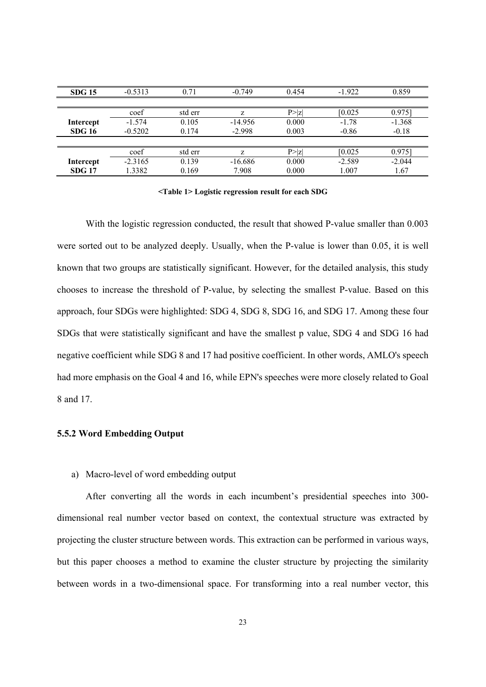| <b>SDG 15</b> | $-0.5313$ | 0.71    | $-0.749$  | 0.454  | $-1.922$ | 0.859    |
|---------------|-----------|---------|-----------|--------|----------|----------|
|               |           |         |           |        |          |          |
|               | coef      | std err | Z         | P >  Z | [0.025]  | 0.975    |
| Intercept     | $-1.574$  | 0.105   | $-14.956$ | 0.000  | $-1.78$  | $-1.368$ |
| <b>SDG 16</b> | $-0.5202$ | 0.174   | $-2.998$  | 0.003  | $-0.86$  | $-0.18$  |
|               |           |         |           |        |          |          |
|               | coef      | std err | Z         | P >  Z | [0.025]  | 0.9751   |
| Intercept     | $-2.3165$ | 0.139   | $-16.686$ | 0.000  | $-2.589$ | $-2.044$ |
| <b>SDG 17</b> | 1.3382    | 0.169   | 7.908     | 0.000  | 1.007    | 1.67     |

**<Table 1> Logistic regression result for each SDG** 

With the logistic regression conducted, the result that showed P-value smaller than 0.003 were sorted out to be analyzed deeply. Usually, when the P-value is lower than 0.05, it is well known that two groups are statistically significant. However, for the detailed analysis, this study chooses to increase the threshold of P-value, by selecting the smallest P-value. Based on this approach, four SDGs were highlighted: SDG 4, SDG 8, SDG 16, and SDG 17. Among these four SDGs that were statistically significant and have the smallest p value, SDG 4 and SDG 16 had negative coefficient while SDG 8 and 17 had positive coefficient. In other words, AMLO's speech had more emphasis on the Goal 4 and 16, while EPN's speeches were more closely related to Goal 8 and 17.

#### **5.5.2 Word Embedding Output**

a) Macro-level of word embedding output

After converting all the words in each incumbent's presidential speeches into 300 dimensional real number vector based on context, the contextual structure was extracted by projecting the cluster structure between words. This extraction can be performed in various ways, but this paper chooses a method to examine the cluster structure by projecting the similarity between words in a two-dimensional space. For transforming into a real number vector, this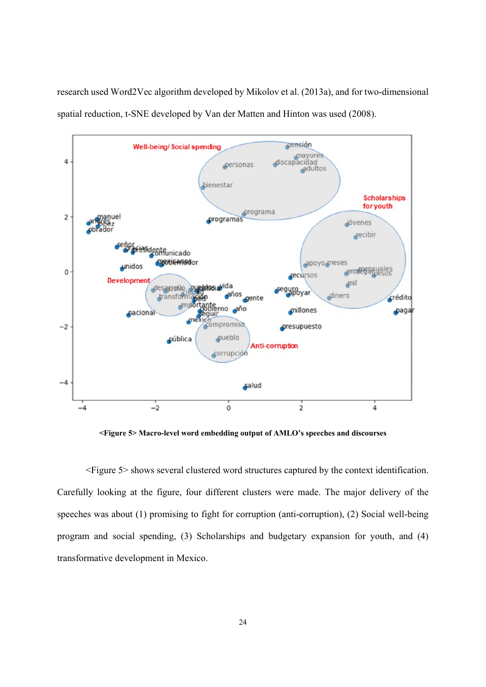

research used Word2Vec algorithm developed by Mikolov et al. (2013a), and for two-dimensional spatial reduction, t-SNE developed by Van der Matten and Hinton was used (2008).

**<Figure 5> Macro-level word embedding output of AMLO's speeches and discourses** 

<Figure 5> shows several clustered word structures captured by the context identification. Carefully looking at the figure, four different clusters were made. The major delivery of the speeches was about (1) promising to fight for corruption (anti-corruption), (2) Social well-being program and social spending, (3) Scholarships and budgetary expansion for youth, and (4) transformative development in Mexico.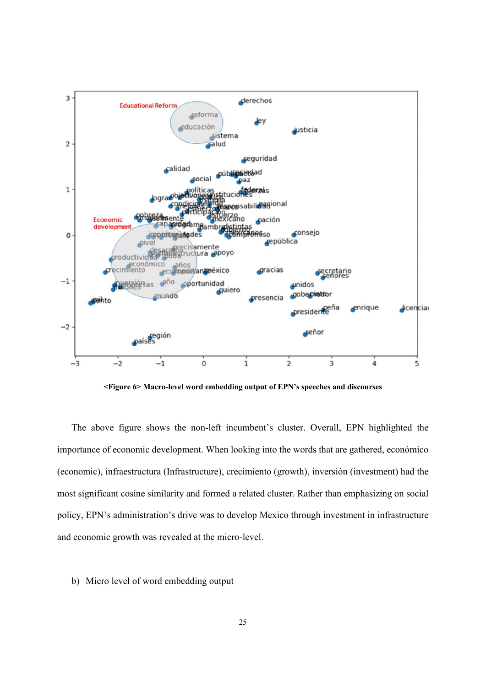

**<Figure 6> Macro-level word embedding output of EPN's speeches and discourses** 

The above figure shows the non-left incumbent's cluster. Overall, EPN highlighted the importance of economic development. When looking into the words that are gathered, económico (economic), infraestructura (Infrastructure), crecimiento (growth), inversión (investment) had the most significant cosine similarity and formed a related cluster. Rather than emphasizing on social policy, EPN's administration's drive was to develop Mexico through investment in infrastructure and economic growth was revealed at the micro-level.

#### b) Micro level of word embedding output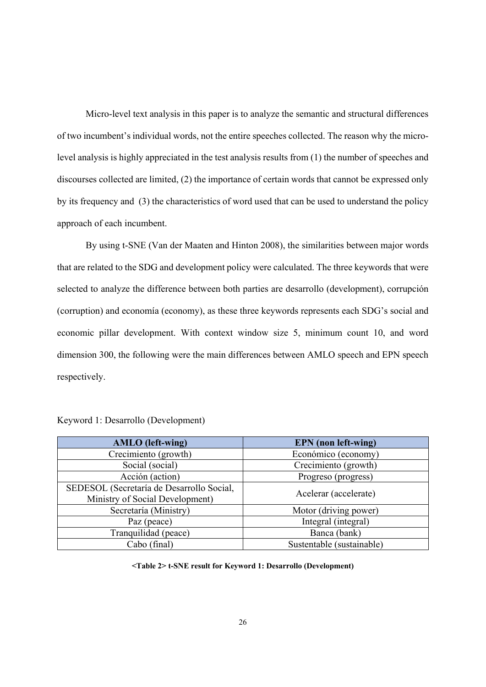Micro-level text analysis in this paper is to analyze the semantic and structural differences of two incumbent's individual words, not the entire speeches collected. The reason why the microlevel analysis is highly appreciated in the test analysis results from (1) the number of speeches and discourses collected are limited, (2) the importance of certain words that cannot be expressed only by its frequency and (3) the characteristics of word used that can be used to understand the policy approach of each incumbent.

By using t-SNE (Van der Maaten and Hinton 2008), the similarities between major words that are related to the SDG and development policy were calculated. The three keywords that were selected to analyze the difference between both parties are desarrollo (development), corrupción (corruption) and economía (economy), as these three keywords represents each SDG's social and economic pillar development. With context window size 5, minimum count 10, and word dimension 300, the following were the main differences between AMLO speech and EPN speech respectively.

| <b>AMLO</b> (left-wing)                   | <b>EPN</b> (non left-wing) |
|-------------------------------------------|----------------------------|
| Crecimiento (growth)                      | Económico (economy)        |
| Social (social)                           | Crecimiento (growth)       |
| Acción (action)                           | Progreso (progress)        |
| SEDESOL (Secretaría de Desarrollo Social, |                            |
| Ministry of Social Development)           | Acelerar (accelerate)      |
| Secretaría (Ministry)                     | Motor (driving power)      |
| Paz (peace)                               | Integral (integral)        |
| Tranquilidad (peace)                      | Banca (bank)               |
| Cabo (final)                              | Sustentable (sustainable)  |

| Keyword 1: Desarrollo (Development) |  |  |
|-------------------------------------|--|--|
|-------------------------------------|--|--|

**<Table 2> t-SNE result for Keyword 1: Desarrollo (Development)**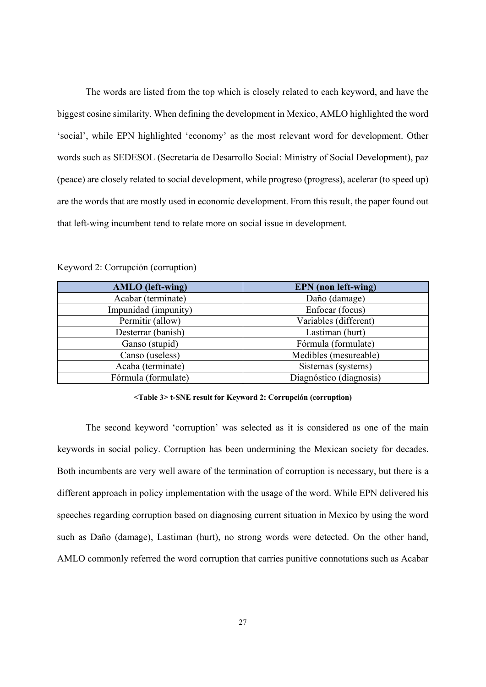The words are listed from the top which is closely related to each keyword, and have the biggest cosine similarity. When defining the development in Mexico, AMLO highlighted the word 'social', while EPN highlighted 'economy' as the most relevant word for development. Other words such as SEDESOL (Secretaría de Desarrollo Social: Ministry of Social Development), paz (peace) are closely related to social development, while progreso (progress), acelerar (to speed up) are the words that are mostly used in economic development. From this result, the paper found out that left-wing incumbent tend to relate more on social issue in development.

| <b>AMLO</b> (left-wing) | <b>EPN</b> (non left-wing) |
|-------------------------|----------------------------|
| Acabar (terminate)      | Daño (damage)              |
| Impunidad (impunity)    | Enfocar (focus)            |
| Permitir (allow)        | Variables (different)      |
| Desterrar (banish)      | Lastiman (hurt)            |
| Ganso (stupid)          | Fórmula (formulate)        |
| Canso (useless)         | Medibles (mesureable)      |
| Acaba (terminate)       | Sistemas (systems)         |
| Fórmula (formulate)     | Diagnóstico (diagnosis)    |

Keyword 2: Corrupción (corruption)

#### **<Table 3> t-SNE result for Keyword 2: Corrupción (corruption)**

 The second keyword 'corruption' was selected as it is considered as one of the main keywords in social policy. Corruption has been undermining the Mexican society for decades. Both incumbents are very well aware of the termination of corruption is necessary, but there is a different approach in policy implementation with the usage of the word. While EPN delivered his speeches regarding corruption based on diagnosing current situation in Mexico by using the word such as Daño (damage), Lastiman (hurt), no strong words were detected. On the other hand, AMLO commonly referred the word corruption that carries punitive connotations such as Acabar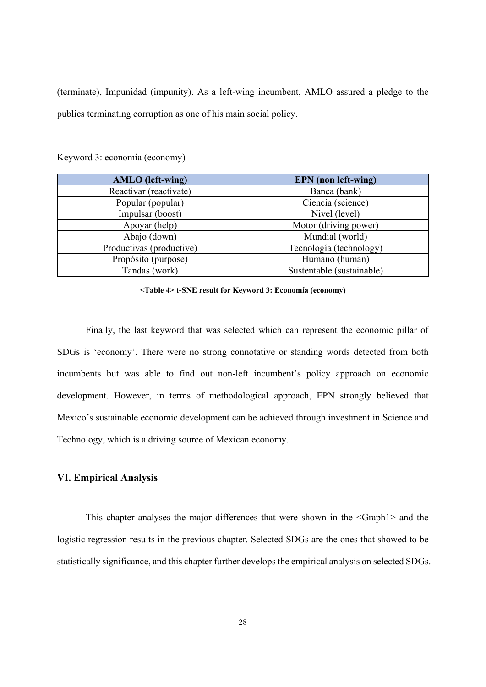(terminate), Impunidad (impunity). As a left-wing incumbent, AMLO assured a pledge to the publics terminating corruption as one of his main social policy.

| <b>AMLO</b> (left-wing)  | <b>EPN</b> (non left-wing) |
|--------------------------|----------------------------|
| Reactivar (reactivate)   | Banca (bank)               |
| Popular (popular)        | Ciencia (science)          |
| Impulsar (boost)         | Nivel (level)              |
| Apoyar (help)            | Motor (driving power)      |
| Abajo (down)             | Mundial (world)            |
| Productivas (productive) | Tecnología (technology)    |
| Propósito (purpose)      | Humano (human)             |
| Tandas (work)            | Sustentable (sustainable)  |

Keyword 3: economía (economy)

**<Table 4> t-SNE result for Keyword 3: Economía (economy)** 

Finally, the last keyword that was selected which can represent the economic pillar of SDGs is 'economy'. There were no strong connotative or standing words detected from both incumbents but was able to find out non-left incumbent's policy approach on economic development. However, in terms of methodological approach, EPN strongly believed that Mexico's sustainable economic development can be achieved through investment in Science and Technology, which is a driving source of Mexican economy.

### **VI. Empirical Analysis**

This chapter analyses the major differences that were shown in the <Graph1> and the logistic regression results in the previous chapter. Selected SDGs are the ones that showed to be statistically significance, and this chapter further develops the empirical analysis on selected SDGs.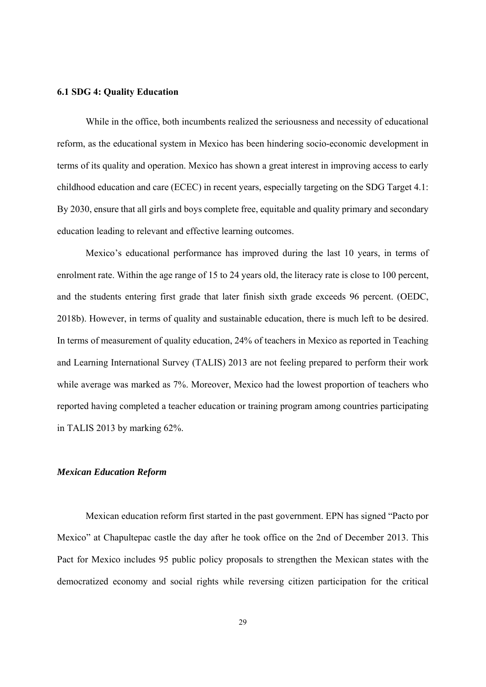#### **6.1 SDG 4: Quality Education**

While in the office, both incumbents realized the seriousness and necessity of educational reform, as the educational system in Mexico has been hindering socio-economic development in terms of its quality and operation. Mexico has shown a great interest in improving access to early childhood education and care (ECEC) in recent years, especially targeting on the SDG Target 4.1: By 2030, ensure that all girls and boys complete free, equitable and quality primary and secondary education leading to relevant and effective learning outcomes.

Mexico's educational performance has improved during the last 10 years, in terms of enrolment rate. Within the age range of 15 to 24 years old, the literacy rate is close to 100 percent, and the students entering first grade that later finish sixth grade exceeds 96 percent. (OEDC, 2018b). However, in terms of quality and sustainable education, there is much left to be desired. In terms of measurement of quality education, 24% of teachers in Mexico as reported in Teaching and Learning International Survey (TALIS) 2013 are not feeling prepared to perform their work while average was marked as 7%. Moreover, Mexico had the lowest proportion of teachers who reported having completed a teacher education or training program among countries participating in TALIS 2013 by marking 62%.

#### *Mexican Education Reform*

Mexican education reform first started in the past government. EPN has signed "Pacto por Mexico" at Chapultepac castle the day after he took office on the 2nd of December 2013. This Pact for Mexico includes 95 public policy proposals to strengthen the Mexican states with the democratized economy and social rights while reversing citizen participation for the critical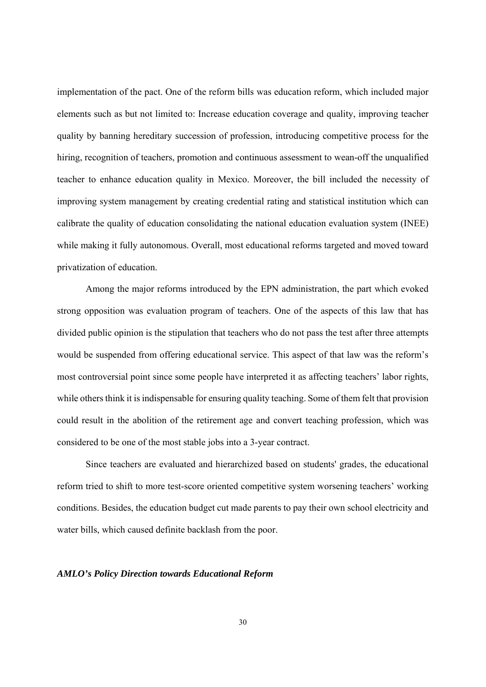implementation of the pact. One of the reform bills was education reform, which included major elements such as but not limited to: Increase education coverage and quality, improving teacher quality by banning hereditary succession of profession, introducing competitive process for the hiring, recognition of teachers, promotion and continuous assessment to wean-off the unqualified teacher to enhance education quality in Mexico. Moreover, the bill included the necessity of improving system management by creating credential rating and statistical institution which can calibrate the quality of education consolidating the national education evaluation system (INEE) while making it fully autonomous. Overall, most educational reforms targeted and moved toward privatization of education.

Among the major reforms introduced by the EPN administration, the part which evoked strong opposition was evaluation program of teachers. One of the aspects of this law that has divided public opinion is the stipulation that teachers who do not pass the test after three attempts would be suspended from offering educational service. This aspect of that law was the reform's most controversial point since some people have interpreted it as affecting teachers' labor rights, while others think it is indispensable for ensuring quality teaching. Some of them felt that provision could result in the abolition of the retirement age and convert teaching profession, which was considered to be one of the most stable jobs into a 3-year contract.

Since teachers are evaluated and hierarchized based on students' grades, the educational reform tried to shift to more test-score oriented competitive system worsening teachers' working conditions. Besides, the education budget cut made parents to pay their own school electricity and water bills, which caused definite backlash from the poor.

#### *AMLO's Policy Direction towards Educational Reform*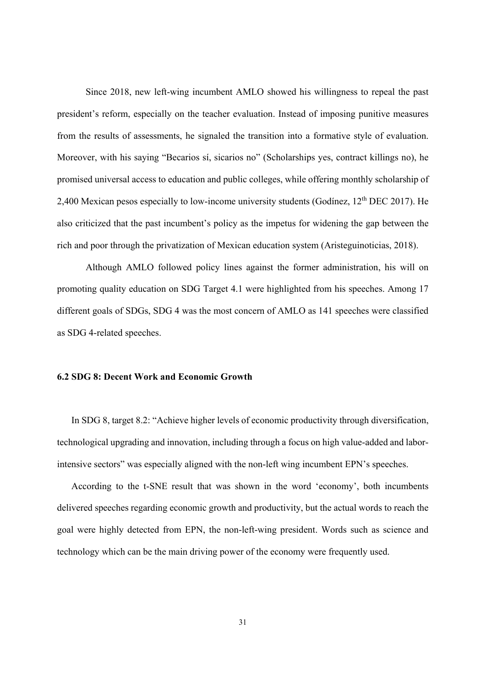Since 2018, new left-wing incumbent AMLO showed his willingness to repeal the past president's reform, especially on the teacher evaluation. Instead of imposing punitive measures from the results of assessments, he signaled the transition into a formative style of evaluation. Moreover, with his saying "Becarios sí, sicarios no" (Scholarships yes, contract killings no), he promised universal access to education and public colleges, while offering monthly scholarship of 2,400 Mexican pesos especially to low-income university students (Godínez, 12<sup>th</sup> DEC 2017). He also criticized that the past incumbent's policy as the impetus for widening the gap between the rich and poor through the privatization of Mexican education system (Aristeguinoticias, 2018).

Although AMLO followed policy lines against the former administration, his will on promoting quality education on SDG Target 4.1 were highlighted from his speeches. Among 17 different goals of SDGs, SDG 4 was the most concern of AMLO as 141 speeches were classified as SDG 4-related speeches.

#### **6.2 SDG 8: Decent Work and Economic Growth**

In SDG 8, target 8.2: "Achieve higher levels of economic productivity through diversification, technological upgrading and innovation, including through a focus on high value-added and laborintensive sectors" was especially aligned with the non-left wing incumbent EPN's speeches.

According to the t-SNE result that was shown in the word 'economy', both incumbents delivered speeches regarding economic growth and productivity, but the actual words to reach the goal were highly detected from EPN, the non-left-wing president. Words such as science and technology which can be the main driving power of the economy were frequently used.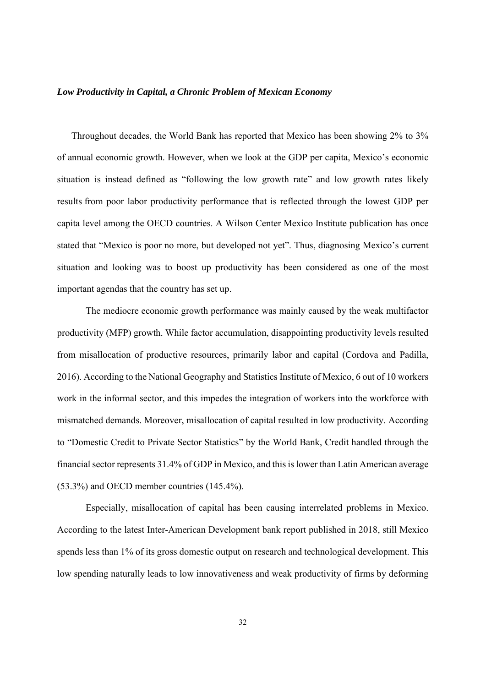#### *Low Productivity in Capital, a Chronic Problem of Mexican Economy*

Throughout decades, the World Bank has reported that Mexico has been showing 2% to 3% of annual economic growth. However, when we look at the GDP per capita, Mexico's economic situation is instead defined as "following the low growth rate" and low growth rates likely results from poor labor productivity performance that is reflected through the lowest GDP per capita level among the OECD countries. A Wilson Center Mexico Institute publication has once stated that "Mexico is poor no more, but developed not yet". Thus, diagnosing Mexico's current situation and looking was to boost up productivity has been considered as one of the most important agendas that the country has set up.

 The mediocre economic growth performance was mainly caused by the weak multifactor productivity (MFP) growth. While factor accumulation, disappointing productivity levels resulted from misallocation of productive resources, primarily labor and capital (Cordova and Padilla, 2016). According to the National Geography and Statistics Institute of Mexico, 6 out of 10 workers work in the informal sector, and this impedes the integration of workers into the workforce with mismatched demands. Moreover, misallocation of capital resulted in low productivity. According to "Domestic Credit to Private Sector Statistics" by the World Bank, Credit handled through the financial sector represents 31.4% of GDP in Mexico, and this is lower than Latin American average (53.3%) and OECD member countries (145.4%).

 Especially, misallocation of capital has been causing interrelated problems in Mexico. According to the latest Inter-American Development bank report published in 2018, still Mexico spends less than 1% of its gross domestic output on research and technological development. This low spending naturally leads to low innovativeness and weak productivity of firms by deforming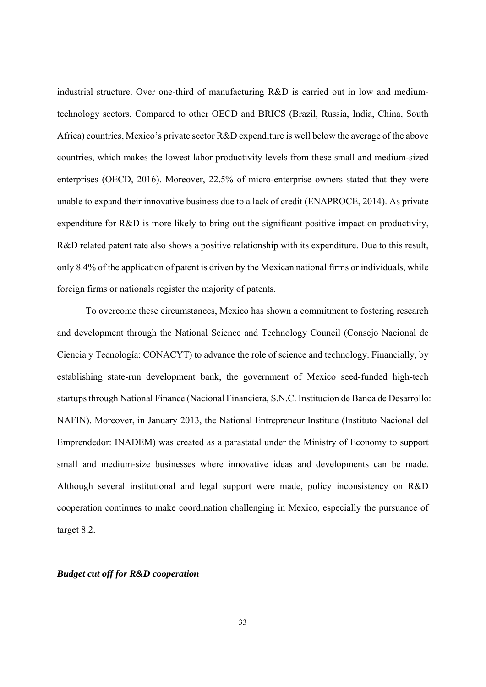industrial structure. Over one-third of manufacturing R&D is carried out in low and mediumtechnology sectors. Compared to other OECD and BRICS (Brazil, Russia, India, China, South Africa) countries, Mexico's private sector R&D expenditure is well below the average of the above countries, which makes the lowest labor productivity levels from these small and medium-sized enterprises (OECD, 2016). Moreover, 22.5% of micro-enterprise owners stated that they were unable to expand their innovative business due to a lack of credit (ENAPROCE, 2014). As private expenditure for R&D is more likely to bring out the significant positive impact on productivity, R&D related patent rate also shows a positive relationship with its expenditure. Due to this result, only 8.4% of the application of patent is driven by the Mexican national firms or individuals, while foreign firms or nationals register the majority of patents.

 To overcome these circumstances, Mexico has shown a commitment to fostering research and development through the National Science and Technology Council (Consejo Nacional de Ciencia y Tecnología: CONACYT) to advance the role of science and technology. Financially, by establishing state-run development bank, the government of Mexico seed-funded high-tech startups through National Finance (Nacional Financiera, S.N.C. Institucion de Banca de Desarrollo: NAFIN). Moreover, in January 2013, the National Entrepreneur Institute (Instituto Nacional del Emprendedor: INADEM) was created as a parastatal under the Ministry of Economy to support small and medium-size businesses where innovative ideas and developments can be made. Although several institutional and legal support were made, policy inconsistency on R&D cooperation continues to make coordination challenging in Mexico, especially the pursuance of target 8.2.

#### *Budget cut off for R&D cooperation*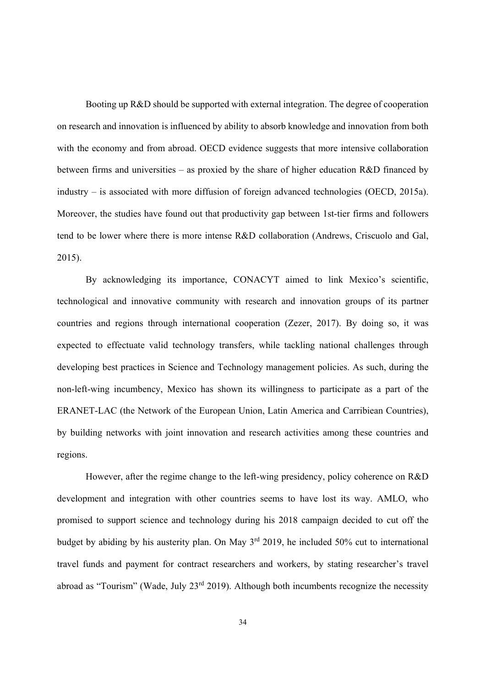Booting up R&D should be supported with external integration. The degree of cooperation on research and innovation is influenced by ability to absorb knowledge and innovation from both with the economy and from abroad. OECD evidence suggests that more intensive collaboration between firms and universities – as proxied by the share of higher education R&D financed by industry – is associated with more diffusion of foreign advanced technologies (OECD, 2015a). Moreover, the studies have found out that productivity gap between 1st-tier firms and followers tend to be lower where there is more intense R&D collaboration (Andrews, Criscuolo and Gal, 2015).

By acknowledging its importance, CONACYT aimed to link Mexico's scientific, technological and innovative community with research and innovation groups of its partner countries and regions through international cooperation (Zezer, 2017). By doing so, it was expected to effectuate valid technology transfers, while tackling national challenges through developing best practices in Science and Technology management policies. As such, during the non-left-wing incumbency, Mexico has shown its willingness to participate as a part of the ERANET-LAC (the Network of the European Union, Latin America and Carribiean Countries), by building networks with joint innovation and research activities among these countries and regions.

However, after the regime change to the left-wing presidency, policy coherence on R&D development and integration with other countries seems to have lost its way. AMLO, who promised to support science and technology during his 2018 campaign decided to cut off the budget by abiding by his austerity plan. On May 3<sup>rd</sup> 2019, he included 50% cut to international travel funds and payment for contract researchers and workers, by stating researcher's travel abroad as "Tourism" (Wade, July  $23<sup>rd</sup> 2019$ ). Although both incumbents recognize the necessity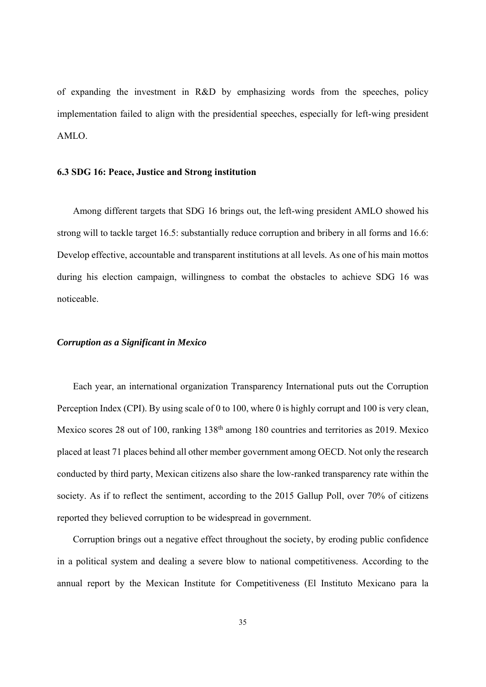of expanding the investment in R&D by emphasizing words from the speeches, policy implementation failed to align with the presidential speeches, especially for left-wing president AMLO.

#### **6.3 SDG 16: Peace, Justice and Strong institution**

Among different targets that SDG 16 brings out, the left-wing president AMLO showed his strong will to tackle target 16.5: substantially reduce corruption and bribery in all forms and 16.6: Develop effective, accountable and transparent institutions at all levels. As one of his main mottos during his election campaign, willingness to combat the obstacles to achieve SDG 16 was noticeable.

#### *Corruption as a Significant in Mexico*

Each year, an international organization Transparency International puts out the Corruption Perception Index (CPI). By using scale of 0 to 100, where 0 is highly corrupt and 100 is very clean, Mexico scores 28 out of 100, ranking 138<sup>th</sup> among 180 countries and territories as 2019. Mexico placed at least 71 places behind all other member government among OECD. Not only the research conducted by third party, Mexican citizens also share the low-ranked transparency rate within the society. As if to reflect the sentiment, according to the 2015 Gallup Poll, over 70% of citizens reported they believed corruption to be widespread in government.

Corruption brings out a negative effect throughout the society, by eroding public confidence in a political system and dealing a severe blow to national competitiveness. According to the annual report by the Mexican Institute for Competitiveness (El Instituto Mexicano para la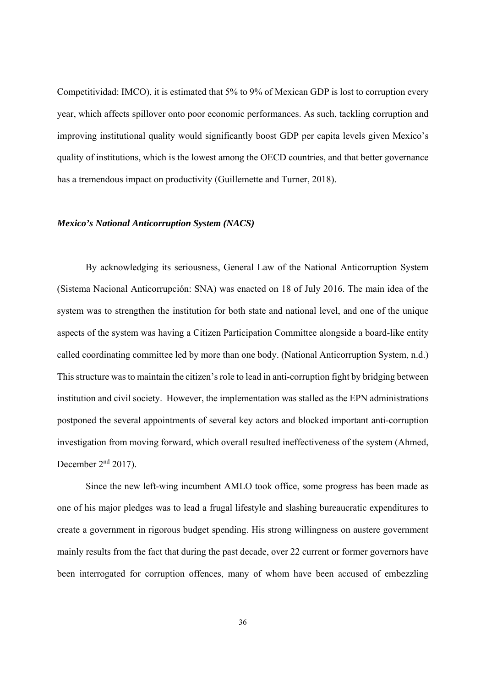Competitividad: IMCO), it is estimated that 5% to 9% of Mexican GDP is lost to corruption every year, which affects spillover onto poor economic performances. As such, tackling corruption and improving institutional quality would significantly boost GDP per capita levels given Mexico's quality of institutions, which is the lowest among the OECD countries, and that better governance has a tremendous impact on productivity (Guillemette and Turner, 2018).

#### *Mexico's National Anticorruption System (NACS)*

By acknowledging its seriousness, General Law of the National Anticorruption System (Sistema Nacional Anticorrupción: SNA) was enacted on 18 of July 2016. The main idea of the system was to strengthen the institution for both state and national level, and one of the unique aspects of the system was having a Citizen Participation Committee alongside a board-like entity called coordinating committee led by more than one body. (National Anticorruption System, n.d.) This structure was to maintain the citizen's role to lead in anti-corruption fight by bridging between institution and civil society. However, the implementation was stalled as the EPN administrations postponed the several appointments of several key actors and blocked important anti-corruption investigation from moving forward, which overall resulted ineffectiveness of the system (Ahmed, December  $2<sup>nd</sup> 2017$ ).

Since the new left-wing incumbent AMLO took office, some progress has been made as one of his major pledges was to lead a frugal lifestyle and slashing bureaucratic expenditures to create a government in rigorous budget spending. His strong willingness on austere government mainly results from the fact that during the past decade, over 22 current or former governors have been interrogated for corruption offences, many of whom have been accused of embezzling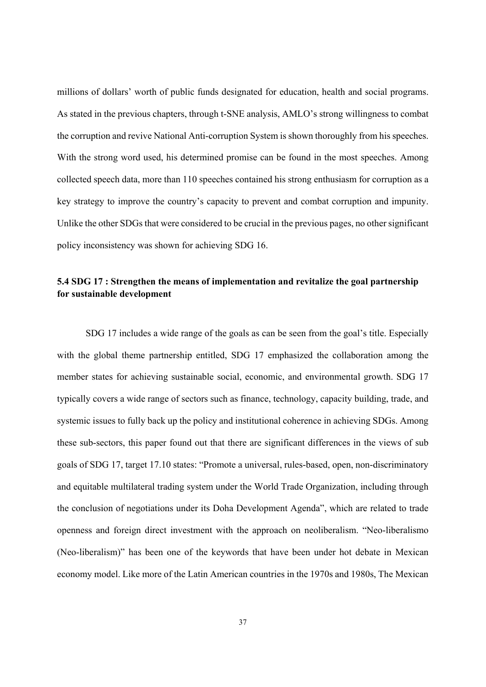millions of dollars' worth of public funds designated for education, health and social programs. As stated in the previous chapters, through t-SNE analysis, AMLO's strong willingness to combat the corruption and revive National Anti-corruption System is shown thoroughly from his speeches. With the strong word used, his determined promise can be found in the most speeches. Among collected speech data, more than 110 speeches contained his strong enthusiasm for corruption as a key strategy to improve the country's capacity to prevent and combat corruption and impunity. Unlike the other SDGs that were considered to be crucial in the previous pages, no other significant policy inconsistency was shown for achieving SDG 16.

## **5.4 SDG 17 : Strengthen the means of implementation and revitalize the goal partnership for sustainable development**

SDG 17 includes a wide range of the goals as can be seen from the goal's title. Especially with the global theme partnership entitled, SDG 17 emphasized the collaboration among the member states for achieving sustainable social, economic, and environmental growth. SDG 17 typically covers a wide range of sectors such as finance, technology, capacity building, trade, and systemic issues to fully back up the policy and institutional coherence in achieving SDGs. Among these sub-sectors, this paper found out that there are significant differences in the views of sub goals of SDG 17, target 17.10 states: "Promote a universal, rules-based, open, non-discriminatory and equitable multilateral trading system under the World Trade Organization, including through the conclusion of negotiations under its Doha Development Agenda", which are related to trade openness and foreign direct investment with the approach on neoliberalism. "Neo-liberalismo (Neo-liberalism)" has been one of the keywords that have been under hot debate in Mexican economy model. Like more of the Latin American countries in the 1970s and 1980s, The Mexican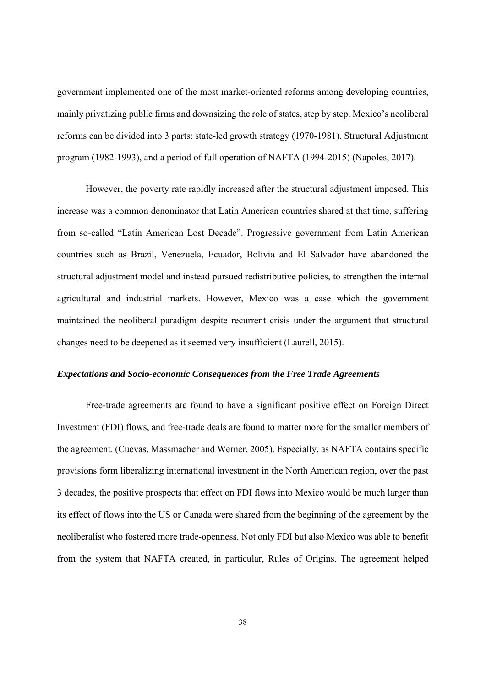government implemented one of the most market-oriented reforms among developing countries, mainly privatizing public firms and downsizing the role of states, step by step. Mexico's neoliberal reforms can be divided into 3 parts: state-led growth strategy (1970-1981), Structural Adjustment program (1982-1993), and a period of full operation of NAFTA (1994-2015) (Napoles, 2017).

 However, the poverty rate rapidly increased after the structural adjustment imposed. This increase was a common denominator that Latin American countries shared at that time, suffering from so-called "Latin American Lost Decade". Progressive government from Latin American countries such as Brazil, Venezuela, Ecuador, Bolivia and El Salvador have abandoned the structural adjustment model and instead pursued redistributive policies, to strengthen the internal agricultural and industrial markets. However, Mexico was a case which the government maintained the neoliberal paradigm despite recurrent crisis under the argument that structural changes need to be deepened as it seemed very insufficient (Laurell, 2015).

#### *Expectations and Socio-economic Consequences from the Free Trade Agreements*

Free-trade agreements are found to have a significant positive effect on Foreign Direct Investment (FDI) flows, and free-trade deals are found to matter more for the smaller members of the agreement. (Cuevas, Massmacher and Werner, 2005). Especially, as NAFTA contains specific provisions form liberalizing international investment in the North American region, over the past 3 decades, the positive prospects that effect on FDI flows into Mexico would be much larger than its effect of flows into the US or Canada were shared from the beginning of the agreement by the neoliberalist who fostered more trade-openness. Not only FDI but also Mexico was able to benefit from the system that NAFTA created, in particular, Rules of Origins. The agreement helped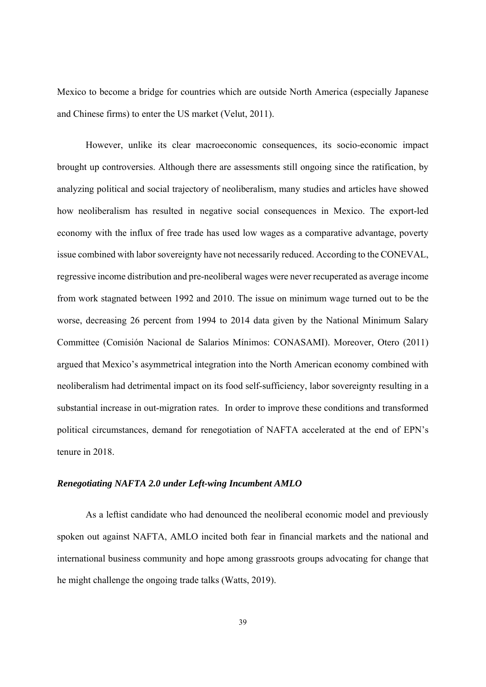Mexico to become a bridge for countries which are outside North America (especially Japanese and Chinese firms) to enter the US market (Velut, 2011).

However, unlike its clear macroeconomic consequences, its socio-economic impact brought up controversies. Although there are assessments still ongoing since the ratification, by analyzing political and social trajectory of neoliberalism, many studies and articles have showed how neoliberalism has resulted in negative social consequences in Mexico. The export-led economy with the influx of free trade has used low wages as a comparative advantage, poverty issue combined with labor sovereignty have not necessarily reduced. According to the CONEVAL, regressive income distribution and pre-neoliberal wages were never recuperated as average income from work stagnated between 1992 and 2010. The issue on minimum wage turned out to be the worse, decreasing 26 percent from 1994 to 2014 data given by the National Minimum Salary Committee (Comisión Nacional de Salarios Mínimos: CONASAMI). Moreover, Otero (2011) argued that Mexico's asymmetrical integration into the North American economy combined with neoliberalism had detrimental impact on its food self-sufficiency, labor sovereignty resulting in a substantial increase in out-migration rates. In order to improve these conditions and transformed political circumstances, demand for renegotiation of NAFTA accelerated at the end of EPN's tenure in 2018.

#### *Renegotiating NAFTA 2.0 under Left-wing Incumbent AMLO*

As a leftist candidate who had denounced the neoliberal economic model and previously spoken out against NAFTA, AMLO incited both fear in financial markets and the national and international business community and hope among grassroots groups advocating for change that he might challenge the ongoing trade talks (Watts, 2019).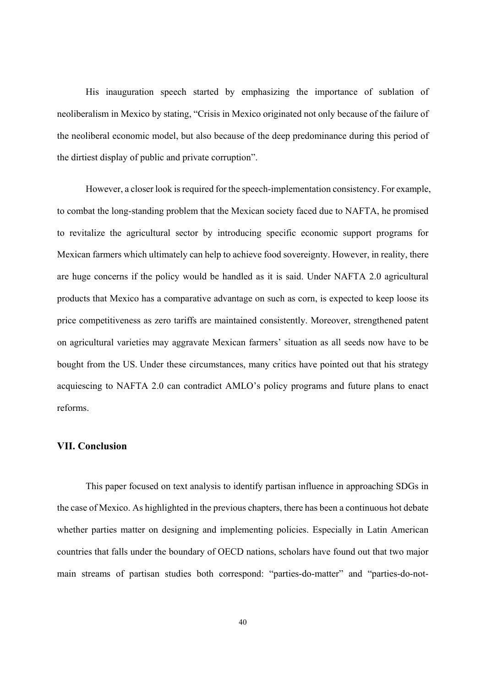His inauguration speech started by emphasizing the importance of sublation of neoliberalism in Mexico by stating, "Crisis in Mexico originated not only because of the failure of the neoliberal economic model, but also because of the deep predominance during this period of the dirtiest display of public and private corruption".

However, a closer look is required for the speech-implementation consistency. For example, to combat the long-standing problem that the Mexican society faced due to NAFTA, he promised to revitalize the agricultural sector by introducing specific economic support programs for Mexican farmers which ultimately can help to achieve food sovereignty. However, in reality, there are huge concerns if the policy would be handled as it is said. Under NAFTA 2.0 agricultural products that Mexico has a comparative advantage on such as corn, is expected to keep loose its price competitiveness as zero tariffs are maintained consistently. Moreover, strengthened patent on agricultural varieties may aggravate Mexican farmers' situation as all seeds now have to be bought from the US. Under these circumstances, many critics have pointed out that his strategy acquiescing to NAFTA 2.0 can contradict AMLO's policy programs and future plans to enact reforms.

#### **VII. Conclusion**

This paper focused on text analysis to identify partisan influence in approaching SDGs in the case of Mexico. As highlighted in the previous chapters, there has been a continuous hot debate whether parties matter on designing and implementing policies. Especially in Latin American countries that falls under the boundary of OECD nations, scholars have found out that two major main streams of partisan studies both correspond: "parties-do-matter" and "parties-do-not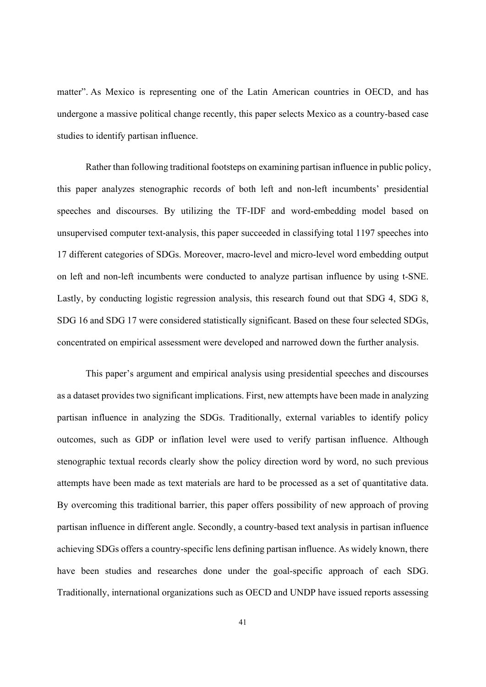matter". As Mexico is representing one of the Latin American countries in OECD, and has undergone a massive political change recently, this paper selects Mexico as a country-based case studies to identify partisan influence.

Rather than following traditional footsteps on examining partisan influence in public policy, this paper analyzes stenographic records of both left and non-left incumbents' presidential speeches and discourses. By utilizing the TF-IDF and word-embedding model based on unsupervised computer text-analysis, this paper succeeded in classifying total 1197 speeches into 17 different categories of SDGs. Moreover, macro-level and micro-level word embedding output on left and non-left incumbents were conducted to analyze partisan influence by using t-SNE. Lastly, by conducting logistic regression analysis, this research found out that SDG 4, SDG 8, SDG 16 and SDG 17 were considered statistically significant. Based on these four selected SDGs, concentrated on empirical assessment were developed and narrowed down the further analysis.

This paper's argument and empirical analysis using presidential speeches and discourses as a dataset provides two significant implications. First, new attempts have been made in analyzing partisan influence in analyzing the SDGs. Traditionally, external variables to identify policy outcomes, such as GDP or inflation level were used to verify partisan influence. Although stenographic textual records clearly show the policy direction word by word, no such previous attempts have been made as text materials are hard to be processed as a set of quantitative data. By overcoming this traditional barrier, this paper offers possibility of new approach of proving partisan influence in different angle. Secondly, a country-based text analysis in partisan influence achieving SDGs offers a country-specific lens defining partisan influence. As widely known, there have been studies and researches done under the goal-specific approach of each SDG. Traditionally, international organizations such as OECD and UNDP have issued reports assessing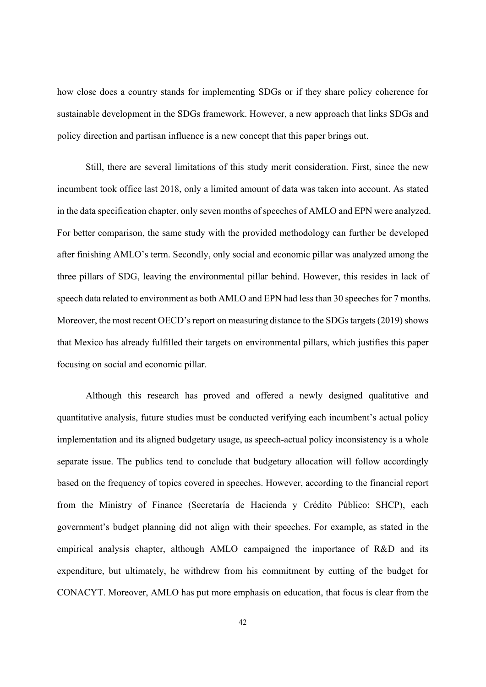how close does a country stands for implementing SDGs or if they share policy coherence for sustainable development in the SDGs framework. However, a new approach that links SDGs and policy direction and partisan influence is a new concept that this paper brings out.

 Still, there are several limitations of this study merit consideration. First, since the new incumbent took office last 2018, only a limited amount of data was taken into account. As stated in the data specification chapter, only seven months of speeches of AMLO and EPN were analyzed. For better comparison, the same study with the provided methodology can further be developed after finishing AMLO's term. Secondly, only social and economic pillar was analyzed among the three pillars of SDG, leaving the environmental pillar behind. However, this resides in lack of speech data related to environment as both AMLO and EPN had less than 30 speeches for 7 months. Moreover, the most recent OECD's report on measuring distance to the SDGs targets (2019) shows that Mexico has already fulfilled their targets on environmental pillars, which justifies this paper focusing on social and economic pillar.

Although this research has proved and offered a newly designed qualitative and quantitative analysis, future studies must be conducted verifying each incumbent's actual policy implementation and its aligned budgetary usage, as speech-actual policy inconsistency is a whole separate issue. The publics tend to conclude that budgetary allocation will follow accordingly based on the frequency of topics covered in speeches. However, according to the financial report from the Ministry of Finance (Secretaría de Hacienda y Crédito Público: SHCP), each government's budget planning did not align with their speeches. For example, as stated in the empirical analysis chapter, although AMLO campaigned the importance of R&D and its expenditure, but ultimately, he withdrew from his commitment by cutting of the budget for CONACYT. Moreover, AMLO has put more emphasis on education, that focus is clear from the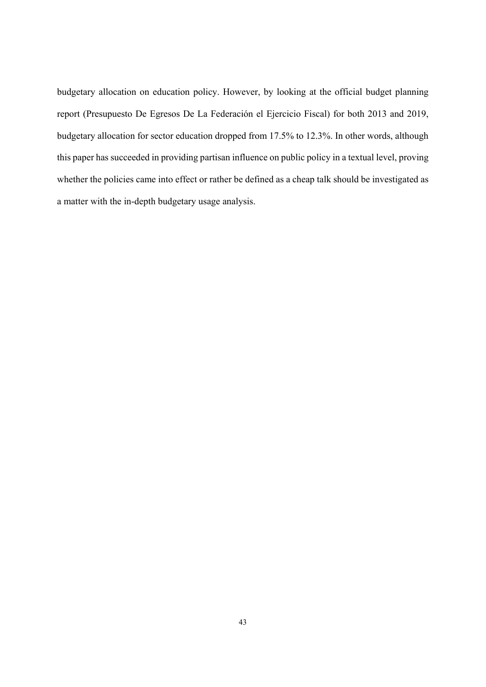budgetary allocation on education policy. However, by looking at the official budget planning report (Presupuesto De Egresos De La Federación el Ejercicio Fiscal) for both 2013 and 2019, budgetary allocation for sector education dropped from 17.5% to 12.3%. In other words, although this paper has succeeded in providing partisan influence on public policy in a textual level, proving whether the policies came into effect or rather be defined as a cheap talk should be investigated as a matter with the in-depth budgetary usage analysis.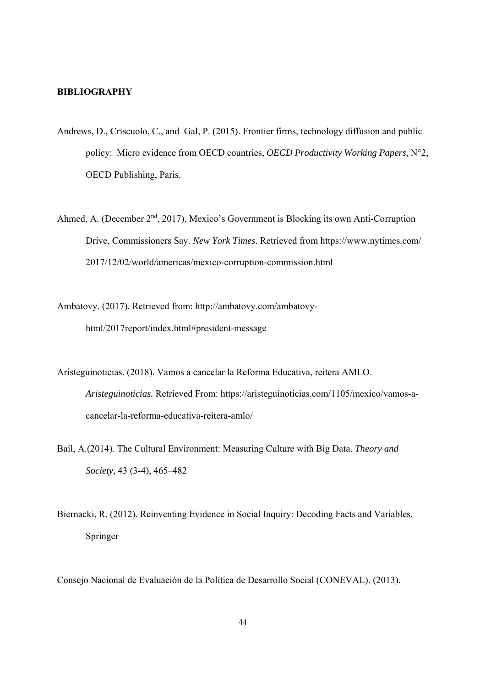#### **BIBLIOGRAPHY**

- Andrews, D., Criscuolo, C., and Gal, P. (2015). Frontier firms, technology diffusion and public policy: Micro evidence from OECD countries, *OECD Productivity Working Papers*, N°2, OECD Publishing, Paris.
- Ahmed, A. (December 2<sup>nd</sup>, 2017). Mexico's Government is Blocking its own Anti-Corruption Drive, Commissioners Say. *New York Times*. Retrieved from https://www.nytimes.com/ 2017/12/02/world/americas/mexico-corruption-commission.html
- Ambatovy. (2017). Retrieved from: http://ambatovy.com/ambatovyhtml/2017report/index.html#president-message
- Aristeguinoticias. (2018). Vamos a cancelar la Reforma Educativa, reitera AMLO. *Aristeguinoticias.* Retrieved From: https://aristeguinoticias.com/1105/mexico/vamos-acancelar-la-reforma-educativa-reitera-amlo/
- Bail, A.(2014). The Cultural Environment: Measuring Culture with Big Data. *Theory and Society,* 43 (3-4), 465–482
- Biernacki, R. (2012). Reinventing Evidence in Social Inquiry: Decoding Facts and Variables. Springer

Consejo Nacional de Evaluación de la Política de Desarrollo Social (CONEVAL). (2013).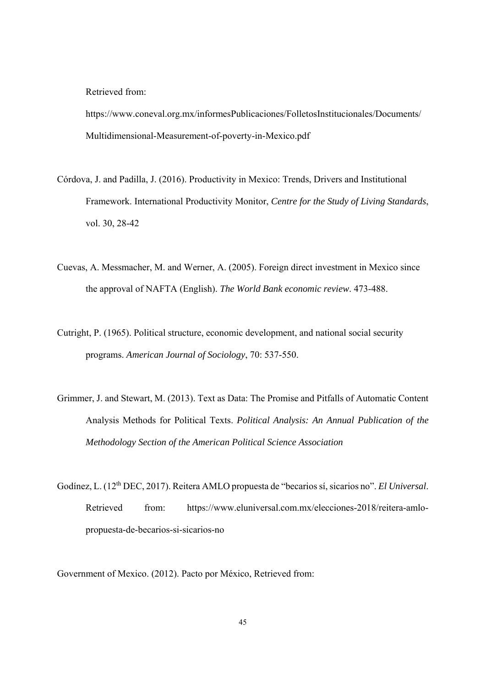Retrieved from:

https://www.coneval.org.mx/informesPublicaciones/FolletosInstitucionales/Documents/ Multidimensional-Measurement-of-poverty-in-Mexico.pdf

- Córdova, J. and Padilla, J. (2016). Productivity in Mexico: Trends, Drivers and Institutional Framework. International Productivity Monitor, *Centre for the Study of Living Standards*, vol. 30, 28-42
- Cuevas, A. Messmacher, M. and Werner, A. (2005). Foreign direct investment in Mexico since the approval of NAFTA (English). *The World Bank economic review*. 473-488.
- Cutright, P. (1965). Political structure, economic development, and national social security programs. *American Journal of Sociology*, 70: 537-550.
- Grimmer, J. and Stewart, M. (2013). Text as Data: The Promise and Pitfalls of Automatic Content Analysis Methods for Political Texts. *Political Analysis: An Annual Publication of the Methodology Section of the American Political Science Association*
- Godínez, L. (12th DEC, 2017). Reitera AMLO propuesta de "becarios sí, sicarios no". *El Universal*. Retrieved from: https://www.eluniversal.com.mx/elecciones-2018/reitera-amlo propuesta-de-becarios-si-sicarios-no

Government of Mexico. (2012). Pacto por México, Retrieved from: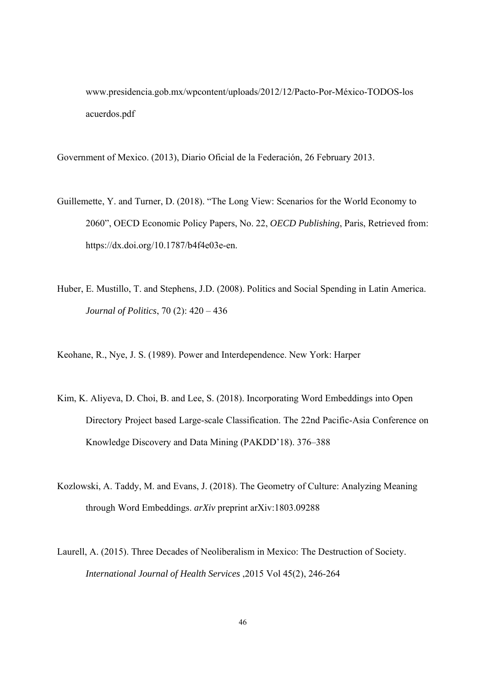www.presidencia.gob.mx/wpcontent/uploads/2012/12/Pacto-Por-México-TODOS-los acuerdos.pdf

Government of Mexico. (2013), Diario Oficial de la Federación, 26 February 2013.

- Guillemette, Y. and Turner, D. (2018). "The Long View: Scenarios for the World Economy to 2060", OECD Economic Policy Papers, No. 22, *OECD Publishing*, Paris, Retrieved from: https://dx.doi.org/10.1787/b4f4e03e-en.
- Huber, E. Mustillo, T. and Stephens, J.D. (2008). Politics and Social Spending in Latin America. *Journal of Politics*, 70 (2): 420 – 436

Keohane, R., Nye, J. S. (1989). Power and Interdependence. New York: Harper

- Kim, K. Aliyeva, D. Choi, B. and Lee, S. (2018). Incorporating Word Embeddings into Open Directory Project based Large-scale Classification. The 22nd Pacific-Asia Conference on Knowledge Discovery and Data Mining (PAKDD'18). 376–388
- Kozlowski, A. Taddy, M. and Evans, J. (2018). The Geometry of Culture: Analyzing Meaning through Word Embeddings. *arXiv* preprint arXiv:1803.09288
- Laurell, A. (2015). Three Decades of Neoliberalism in Mexico: The Destruction of Society. *International Journal of Health Services* ,2015 Vol 45(2), 246-264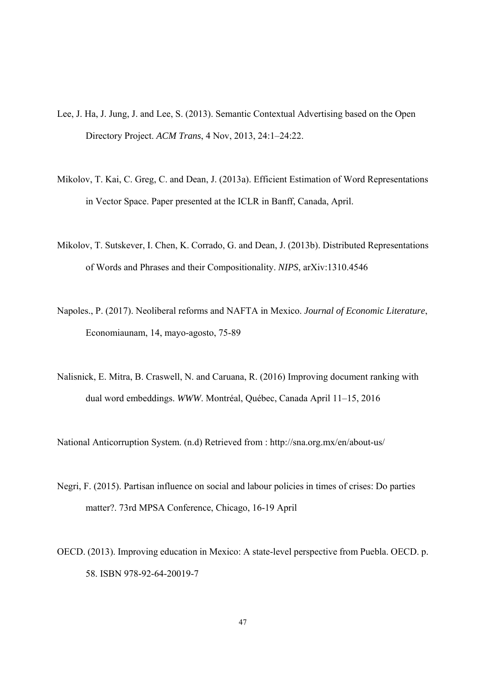- Lee, J. Ha, J. Jung, J. and Lee, S. (2013). Semantic Contextual Advertising based on the Open Directory Project. *ACM Trans*, 4 Nov, 2013, 24:1–24:22.
- Mikolov, T. Kai, C. Greg, C. and Dean, J. (2013a). Efficient Estimation of Word Representations in Vector Space. Paper presented at the ICLR in Banff, Canada, April.
- Mikolov, T. Sutskever, I. Chen, K. Corrado, G. and Dean, J. (2013b). Distributed Representations of Words and Phrases and their Compositionality. *NIPS*, arXiv:1310.4546
- Napoles., P. (2017). Neoliberal reforms and NAFTA in Mexico. *Journal of Economic Literature*, Economiaunam, 14, mayo-agosto, 75-89
- Nalisnick, E. Mitra, B. Craswell, N. and Caruana, R. (2016) Improving document ranking with dual word embeddings. *WWW*. Montréal, Québec, Canada April 11–15, 2016

National Anticorruption System. (n.d) Retrieved from : http://sna.org.mx/en/about-us/

- Negri, F. (2015). Partisan influence on social and labour policies in times of crises: Do parties matter?. 73rd MPSA Conference, Chicago, 16-19 April
- OECD. (2013). Improving education in Mexico: A state-level perspective from Puebla. OECD. p. 58. ISBN 978-92-64-20019-7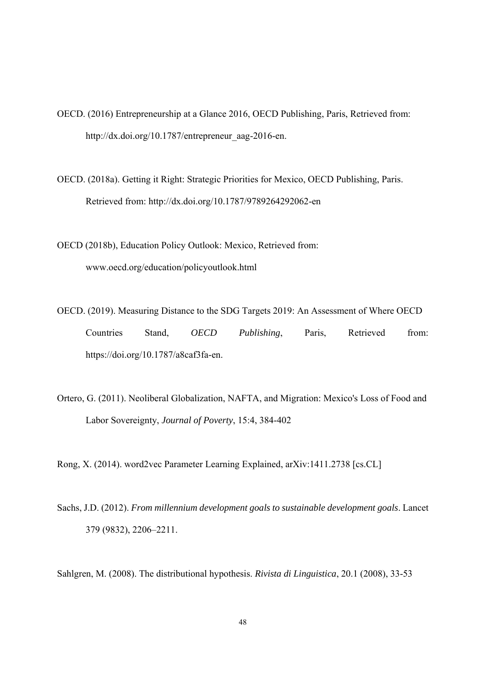OECD. (2016) Entrepreneurship at a Glance 2016, OECD Publishing, Paris, Retrieved from: http://dx.doi.org/10.1787/entrepreneur\_aag-2016-en.

OECD. (2018a). Getting it Right: Strategic Priorities for Mexico, OECD Publishing, Paris. Retrieved from: http://dx.doi.org/10.1787/9789264292062-en

OECD (2018b), Education Policy Outlook: Mexico, Retrieved from: www.oecd.org/education/policyoutlook.html

OECD. (2019). Measuring Distance to the SDG Targets 2019: An Assessment of Where OECD Countries Stand, *OECD Publishing*, Paris, Retrieved from: https://doi.org/10.1787/a8caf3fa-en.

Ortero, G. (2011). Neoliberal Globalization, NAFTA, and Migration: Mexico's Loss of Food and Labor Sovereignty, *Journal of Poverty*, 15:4, 384-402

Rong, X. (2014). word2vec Parameter Learning Explained, arXiv:1411.2738 [cs.CL]

Sachs, J.D. (2012). *From millennium development goals to sustainable development goals*. Lancet 379 (9832), 2206–2211.

Sahlgren, M. (2008). The distributional hypothesis. *Rivista di Linguistica*, 20.1 (2008), 33-53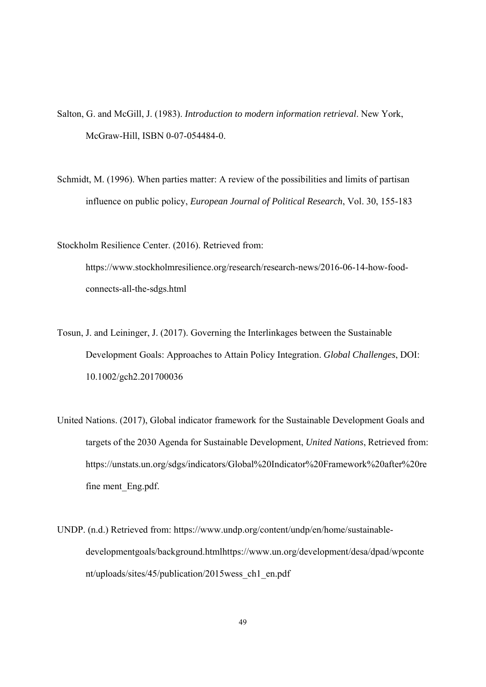- Salton, G. and McGill, J. (1983). *Introduction to modern information retrieval*. New York, McGraw-Hill, ISBN 0-07-054484-0.
- Schmidt, M. (1996). When parties matter: A review of the possibilities and limits of partisan influence on public policy, *European Journal of Political Research*, Vol. 30, 155-183

Stockholm Resilience Center. (2016). Retrieved from: https://www.stockholmresilience.org/research/research-news/2016-06-14-how-foodconnects-all-the-sdgs.html

- Tosun, J. and Leininger, J. (2017). Governing the Interlinkages between the Sustainable Development Goals: Approaches to Attain Policy Integration. *Global Challenges*, DOI: 10.1002/gch2.201700036
- United Nations. (2017), Global indicator framework for the Sustainable Development Goals and targets of the 2030 Agenda for Sustainable Development, *United Nations*, Retrieved from: https://unstats.un.org/sdgs/indicators/Global%20Indicator%20Framework%20after%20re fine ment\_Eng.pdf.
- UNDP. (n.d.) Retrieved from: https://www.undp.org/content/undp/en/home/sustainabledevelopmentgoals/background.htmlhttps://www.un.org/development/desa/dpad/wpconte nt/uploads/sites/45/publication/2015wess\_ch1\_en.pdf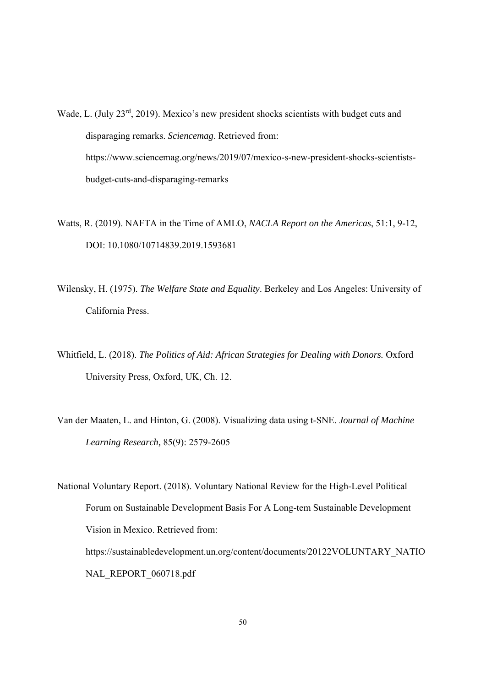Wade, L. (July 23<sup>rd</sup>, 2019). Mexico's new president shocks scientists with budget cuts and disparaging remarks. *Sciencemag*. Retrieved from: https://www.sciencemag.org/news/2019/07/mexico-s-new-president-shocks-scientistsbudget-cuts-and-disparaging-remarks

Watts, R. (2019). NAFTA in the Time of AMLO, *NACLA Report on the Americas*, 51:1, 9-12, DOI: 10.1080/10714839.2019.1593681

- Wilensky, H. (1975). *The Welfare State and Equality*. Berkeley and Los Angeles: University of California Press.
- Whitfield, L. (2018). *The Politics of Aid: African Strategies for Dealing with Donors.* Oxford University Press, Oxford, UK, Ch. 12.
- Van der Maaten, L. and Hinton, G. (2008). Visualizing data using t-SNE. *Journal of Machine Learning Research,* 85(9): 2579-2605

National Voluntary Report. (2018). Voluntary National Review for the High-Level Political Forum on Sustainable Development Basis For A Long-tem Sustainable Development Vision in Mexico. Retrieved from: https://sustainabledevelopment.un.org/content/documents/20122VOLUNTARY\_NATIO NAL\_REPORT\_060718.pdf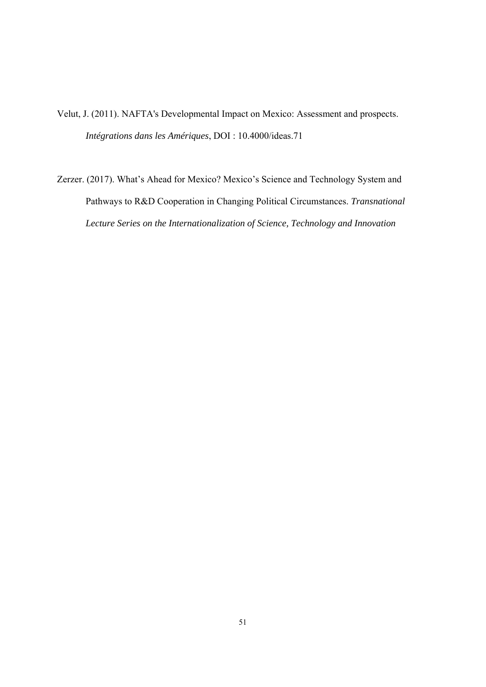Velut, J. (2011). NAFTA's Developmental Impact on Mexico: Assessment and prospects. *Intégrations dans les Amériques*, DOI : 10.4000/ideas.71

Zerzer. (2017). What's Ahead for Mexico? Mexico's Science and Technology System and Pathways to R&D Cooperation in Changing Political Circumstances. *Transnational Lecture Series on the Internationalization of Science, Technology and Innovation*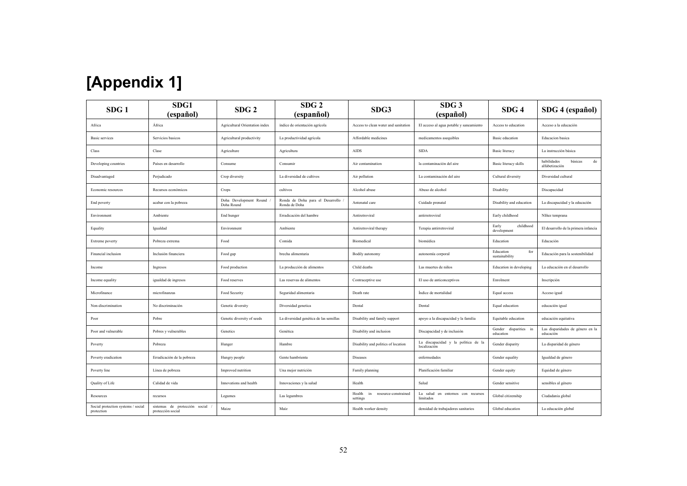| [Appendix 1] |
|--------------|
|--------------|

| SDG <sub>1</sub>                                 | SDG1<br>(español)                                  | SDG <sub>2</sub>                       | SDG <sub>2</sub><br>(espanñol)                    | SDG3                                             | SDG <sub>3</sub><br>(español)                        | SDG <sub>4</sub>                      | SDG 4 (español)                                         |
|--------------------------------------------------|----------------------------------------------------|----------------------------------------|---------------------------------------------------|--------------------------------------------------|------------------------------------------------------|---------------------------------------|---------------------------------------------------------|
| Africa                                           | África                                             | Agricultural Orientation index         | índice de orientación agrícola                    | Access to clean water and sanitation             | El acceso al agua potable y saneamiento              | Access to education                   | Acceso a la educación                                   |
| Basic services                                   | Servicios basicos                                  | Agricultural productivity              | La productividad agrícola                         | Affordable medicines                             | medicamentos asequibles                              | Basic education                       | Educacion basica                                        |
| Class                                            | Clase                                              | Agriculture                            | Agricultura                                       | AIDS                                             | <b>SIDA</b>                                          | <b>Basic</b> literacy                 | La instrucción básica                                   |
| Developing countries                             | Países en desarrollo                               | Consume                                | Consumir                                          | Air contamination                                | la contaminación del aire                            | Basic literacy skills                 | $_{\rm de}$<br>habilidades<br>básicas<br>alfabetización |
| Disadvantaged                                    | Perjudicado                                        | Crop diversity                         | La diversidad de cultivos                         | Air pollution                                    | La contaminación del aire                            | Cultural diversity                    | Diversidad cultural                                     |
| Economic resources                               | Recursos económicos                                | Crops                                  | cultivos                                          | Alcohol abuse                                    | Abuso de alcohol                                     | Disability                            | Discapacidad                                            |
| End poverty                                      | acabar con la pobreza                              | Doha Development Round /<br>Doha Round | Ronda de Doha para el Desarrollo<br>Ronda de Doha | Antenatal care                                   | Cuidado prenatal                                     | Disability and education              | La discapacidad y la educación                          |
| Environment                                      | Ambiente                                           | End hunger                             | Erradicación del hambre                           | Antiretroviral                                   | antirretroviral                                      | Early childhood                       | NIñez temprana                                          |
| Equality                                         | Igualdad                                           | Environment                            | Ambiente                                          | Antiretroviral therapy                           | Terapia antirretroviral                              | childhood<br>Early<br>development     | El desarrollo de la primera infancia                    |
| Extreme poverty                                  | Pobreza extrema                                    | Food                                   | Comida                                            | Biomedical                                       | biomédica                                            | Education                             | Educación                                               |
| Financial inclusion                              | Inclusión financiera                               | Food gap                               | brecha alimentaria                                | Bodily autonomy                                  | autonomía corporal                                   | Education<br>for<br>sustainability    | Educación para la sostenibilidad                        |
| Income                                           | Ingresos                                           | Food production                        | La producción de alimentos                        | Child deaths                                     | Las muertes de niños                                 | Education in developing               | La educación en el desarrollo                           |
| Income equality                                  | igualdad de ingresos                               | Food reserves                          | Las reservas de alimentos                         | Contraceptive use                                | El uso de anticonceptivos                            | Enrolment                             | Inscripción                                             |
| Microfinance                                     | microfinanzas                                      | Food Security                          | Seguridad alimentaria                             | Death rate                                       | Índice de mortalidad                                 | Equal access                          | Acceso igual                                            |
| Non-discrimination                               | No discriminación                                  | Genetic diversity                      | Diversidad genetica                               | Dental                                           | Dental                                               | Equal education                       | educación igual                                         |
| Poor                                             | Pobre                                              | Genetic diversity of seeds             | La diversidad genética de las semillas            | Disability and family support                    | apoyo a la discapacidad y la familia                 | Equitable education                   | educación equitativa                                    |
| Poor and vulnerable                              | Pobres y vulnerables                               | Genetics                               | Genética                                          | Disability and inclusion                         | Discapacidad y de inclusión                          | disparities in<br>Gender<br>education | Las disparidades de género en la<br>educación           |
| Poverty                                          | Pobreza                                            | Hunger                                 | Hambre                                            | Disability and politics of location              | La discapacidad y la política de la<br>localización  | Gender disparity                      | La disparidad de género                                 |
| Poverty eradication                              | Erradicación de la pobreza                         | Hungry people                          | Gente hambrienta                                  | Diseases                                         | enfermedades                                         | Gender equality                       | Igualdad de género                                      |
| Poverty line                                     | Línea de pobreza                                   | Improved nutrition                     | Una mejor nutrición                               | Family planning                                  | Planificación familiar                               | Gender equity                         | Equidad de género                                       |
| Quality of Life                                  | Calidad de vida                                    | Innovations and health                 | Innovaciones y la salud                           | Health                                           | Salud                                                | Gender sensitive                      | sensibles al género                                     |
| Resources                                        | recursos                                           | Legumes                                | Las legumbres                                     | Health<br>in<br>resource-constrained<br>settings | La salud<br>entornos con recursos<br>en<br>limitados | Global citizenship                    | Ciudadania global                                       |
| Social protection systems / social<br>protection | sistemas de protección social<br>protección social | Maize                                  | Maíz                                              | Health worker density                            | densidad de trabajadores sanitarios                  | Global education                      | La educación global                                     |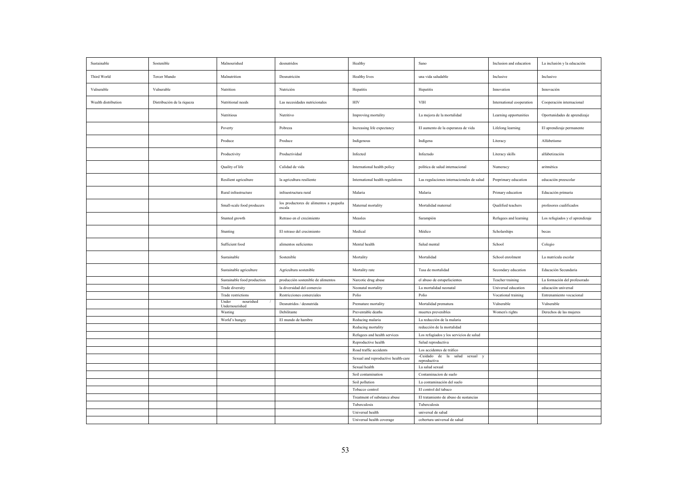| Sustainable         | Sostenible                 | Malnourished                | desnutridos                                      | Healthy                             | Sano                                          | Inclusion and education   | La inclusión y la educación     |
|---------------------|----------------------------|-----------------------------|--------------------------------------------------|-------------------------------------|-----------------------------------------------|---------------------------|---------------------------------|
| Third World         | Tercer Mundo               | Malnutrition                | Desnutrición                                     | Healthy lives                       | una vida saludable                            | Inclusive                 | Inclusivo                       |
| Vulnerable          | Vulnerable                 | Nutrition                   | Nutrición                                        | Hepatitis                           | Hepatitis                                     | Innovation                | Innovación                      |
| Wealth distribution | Distribución de la riqueza | Nutritional needs           | Las necesidades nutricionales                    | HIV                                 | VIH                                           | International cooperation | Cooperación internacional       |
|                     |                            | Nutritious                  | Nutritivo                                        | Improving mortality                 | La mejora de la mortalidad                    | Learning opportunities    | Oportunidades de aprendizaje    |
|                     |                            | Poverty                     | Pobreza                                          | Increasing life expectancy          | El aumento de la esperanza de vida            | Lifelong learning         | El aprendizaje permanente       |
|                     |                            | Produce                     | Produce                                          | Indigenous                          | Indígena                                      | Literacy                  | Alfabetismo                     |
|                     |                            | Productivity                | Productividad                                    | Infected                            | Infectado                                     | Literacy skills           | alfabetización                  |
|                     |                            | Quality of life             | Calidad de vida                                  | International health policy         | política de salud internacional               | Numeracy                  | aritmética                      |
|                     |                            | Resilient agriculture       | la agricultura resiliente                        | International health regulations    | Las regulaciones internacionales de salud     | Preprimary education      | educación preescolar            |
|                     |                            | Rural infrastructure        | infraestructura rural                            | Malaria                             | Malaria                                       | Primary education         | Educación primaria              |
|                     |                            | Small-scale food producers  | los productores de alimentos a pequeña<br>escala | Maternal mortality                  | Mortalidad maternal                           | Qualified teachers        | profesores cualificados         |
|                     |                            | Stunted growth              | Retraso en el crecimiento                        | Measles                             | Sarampión                                     | Refugees and learning     | Los refugiados y el aprendizaje |
|                     |                            | Stunting                    | El retraso del crecimiento                       | Medical                             | Médico                                        | Scholarships              | becas                           |
|                     |                            | Sufficient food             | alimentos suficientes                            | Mental health                       | Salud mental                                  | School                    | Colegio                         |
|                     |                            | Sustainable                 | Sostenible                                       | Mortality                           | Mortalidad                                    | School enrolment          | La matrícula escolar            |
|                     |                            | Sustainable agriculture     | Agricultura sostenible                           | Mortality rate                      | Tasa de mortalidad                            | Secondary education       | Educación Secundaria            |
|                     |                            | Sustainable food production | producción sostenible de alimentos               | Narcotic drug abuse                 | el abuso de estupefacientes                   | Teacher training          | La formación del profesorado    |
|                     |                            | Trade diversity             | la diversidad del comercio                       | Neonatal mortality                  | La mortalidad neonatal                        | Universal education       | educación universal             |
|                     |                            | Trade restrictions          | Restricciones comerciales                        | Polio                               | Polio                                         | Vocational training       | Entrenamiento vocacional        |
|                     |                            | Under<br>nourished          | Desnutridos / desnutrida                         |                                     |                                               | Vulnerable                | Vulnerable                      |
|                     |                            | Undernourished              |                                                  | Premature mortality                 | Mortalidad prematura                          |                           |                                 |
|                     |                            | Wasting                     | Debilitante                                      | Preventable deaths                  | muertes prevenibles                           | Women's rights            | Derechos de las mujeres         |
|                     |                            | World's hungry              | El mundo de hambre                               | Reducing malaria                    | La reducción de la malaria                    |                           |                                 |
|                     |                            |                             |                                                  | Reducing mortality                  | reducción de la mortalidad                    |                           |                                 |
|                     |                            |                             |                                                  | Refugees and health services        | Los refugiados y los servicios de salud       |                           |                                 |
|                     |                            |                             |                                                  | Reproductive health                 | Salud reproductiva                            |                           |                                 |
|                     |                            |                             |                                                  | Road traffic accidents              | Los accidentes de tráfico                     |                           |                                 |
|                     |                            |                             |                                                  | Sexual and reproductive health-care | -Cuidado de la salud sexual y<br>reproductiva |                           |                                 |
|                     |                            |                             |                                                  | Sexual health                       | La salud sexual                               |                           |                                 |
|                     |                            |                             |                                                  | Soil contamination                  | Contaminacion de suelo                        |                           |                                 |
|                     |                            |                             |                                                  | Soil pollution                      | La contaminación del suelo                    |                           |                                 |
|                     |                            |                             |                                                  | Tobacco control                     | El control del tabaco                         |                           |                                 |
|                     |                            |                             |                                                  | Treatment of substance abuse        | El tratamiento de abuso de sustancias         |                           |                                 |
|                     |                            |                             |                                                  |                                     |                                               |                           |                                 |
|                     |                            |                             |                                                  | Tuberculosis                        | Tuberculosis                                  |                           |                                 |
|                     |                            |                             |                                                  | Universal health                    | universal de salud                            |                           |                                 |
|                     |                            |                             |                                                  | Universal health coverage           | cobertura universal de salud                  |                           |                                 |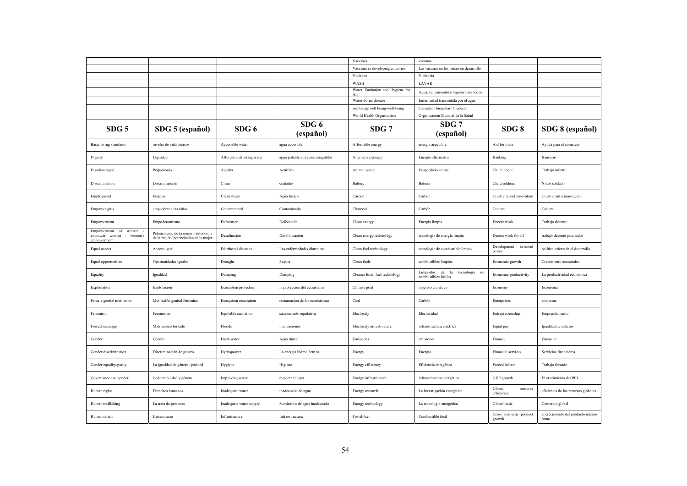|                                                                |                                                                                |                           |                                   | Vaccines                                 | vacunas                                                     |                                   |                                              |
|----------------------------------------------------------------|--------------------------------------------------------------------------------|---------------------------|-----------------------------------|------------------------------------------|-------------------------------------------------------------|-----------------------------------|----------------------------------------------|
|                                                                |                                                                                |                           |                                   | Vaccines in developing countries         | Las vacunas en los países en desarrollo                     |                                   |                                              |
|                                                                |                                                                                |                           |                                   | Violence                                 | Violencia                                                   |                                   |                                              |
|                                                                |                                                                                |                           |                                   | WASH                                     | LAVAR                                                       |                                   |                                              |
|                                                                |                                                                                |                           |                                   | Water, Sanitation and Hygiene for<br>All | Agua, saneamiento e higiene para todos                      |                                   |                                              |
|                                                                |                                                                                |                           |                                   | Water-borne disease                      | Enfermedad transmitida por el agua                          |                                   |                                              |
|                                                                |                                                                                |                           |                                   | wellbeing/well being/well-being          | bienestar / bienestar / bienestar                           |                                   |                                              |
|                                                                |                                                                                |                           |                                   | World Health Organisation                | Organización Mundial de la Salud                            |                                   |                                              |
| SDG <sub>5</sub>                                               | SDG 5 (español)                                                                | SDG 6                     | SDG6<br>(español)                 | SDG 7                                    | SDG 7<br>(español)                                          | SDG8                              | SDG 8 (español)                              |
| Basic living standards                                         | niveles de vida básicos                                                        | Accessible water          | agua accesible                    | Affordable energy                        | energía asequible                                           | Aid for trade                     | Ayuda para el comercio                       |
| Dignity                                                        | Dignidad                                                                       | Affordable drinking water | agua potable a precios asequibles | Alternative energy                       | Energía alternativa                                         | Banking                           | Bancario                                     |
| Disadvantaged                                                  | Perjudicado                                                                    | Aquifer                   | Acuífero                          | Animal waste                             | Desperdicio animal                                          | Child labour                      | Trabajo infantil                             |
| Discrimination                                                 | Discriminación                                                                 | Cities                    | ciudades                          | Battery                                  | Batería                                                     | Child soldiers                    | Niños soldado                                |
| Employment                                                     | Empleo                                                                         | Clean water               | Agua limpia                       | Carbon                                   | Carbón                                                      | Creativity and innovation         | Creatividad e innovación                     |
| Empower girls                                                  | empoderar a las niñas                                                          | Contaminated              | Contaminado                       | Charcoal                                 | Carbón                                                      | Culture                           | Cultura                                      |
| Empowerment                                                    | Empoderamiento                                                                 | Defecation                | Defecación                        | Clean energy                             | Energia limpia                                              | Decent work                       | Trabajo decente                              |
| Empowerment of women<br>empower women / women's<br>empowerment | Potenciación de la mujer / autonomía<br>de la mujer / potenciación de la mujer | Desalination              | Desalinización                    | Clean energy technology                  | tecnología de energía limpia                                | Decent work for all               | trabajo decente para todos                   |
| Equal access                                                   | Acceso igual                                                                   | Diarrhoeal diseases       | Las enfermedades diarreicas       | Clean fuel technology                    | tecnología de combustible limpio                            | Development<br>oriented<br>policy | política orientada al desarrollo             |
| Equal opportunities                                            | Oportunidades iguales                                                          | Drought                   | Sequía                            | Clean fuels                              | combustibles limpios                                        | Economic growth                   | Crecimiento económico                        |
| Equality                                                       | Igualdad                                                                       | Dumping                   | Dumping                           | Cleaner fossil fuel technology           | Limpiador de la<br>tecnología<br>de<br>combustibles fósiles | Economic productivity             | La productividad económica                   |
| Exploitation                                                   | Explotación                                                                    | Ecosystem protection      | la protección del ecosistema      | Climate goal                             | objetivo climático                                          | Economy                           | Economía                                     |
| Female genital mutilation                                      | Mutilación genital femenina                                                    | Ecosystem restoration     | restauración de los ecosistemas   | Coal                                     | Carbón                                                      | Enterprises                       | empresas                                     |
| Feminism                                                       | Feminismo                                                                      | Equitable sanitation      | saneamiento equitativa            | Electricity                              | Electricidad                                                | Entrepreneurship                  | Emprendimiento                               |
| Forced marriage                                                | Matrimonio forzado                                                             | Floods                    | inundaciones                      | Electricity infrastructure               | infraestructura eléctrica                                   | Equal pay                         | Igualdad de salarios                         |
| Gender                                                         | Género                                                                         | Fresh water               | Agua dulce                        | Emissions                                | emisiones                                                   | Finance                           | Financiar                                    |
| Gender discrimination                                          | Discriminación de género                                                       | Hydropower                | La energía hidroeléctrica         | Energy                                   | Energía                                                     | Financial services                | Servicios financieros                        |
| Gender equality/parity                                         | La igualdad de género / paridad                                                | Hygiene                   | Higiene                           | Energy efficiency                        | Eficiencia energética                                       | Forced labour                     | Trabajo forzado                              |
| Governance and gender                                          | Gobernabilidad y género                                                        | Improving water           | mejorar el agua                   | Energy infrastructure                    | infraestructura energética                                  | GDP growth                        | El crecimiento del PIB                       |
| Human rights                                                   | Derechos humanos                                                               | Inadequate water          | inadecuado de agua                | Energy research                          | La investigación energética                                 | Global<br>resource<br>efficiency  | eficiencia de los recursos globales          |
| Human trafficking                                              | La trata de personas                                                           | Inadequate water supply   | Suministro de agua inadecuado     | Energy technology                        | La tecnología energética                                    | Global trade                      | Comercio global                              |
| Humanitarian                                                   | Humanitario                                                                    | Infrastructure            | Infraestructura                   | Fossil-fuel                              | Combustible fósil                                           | Gross domestic product<br>growth  | el crecimiento del producto interno<br>bruto |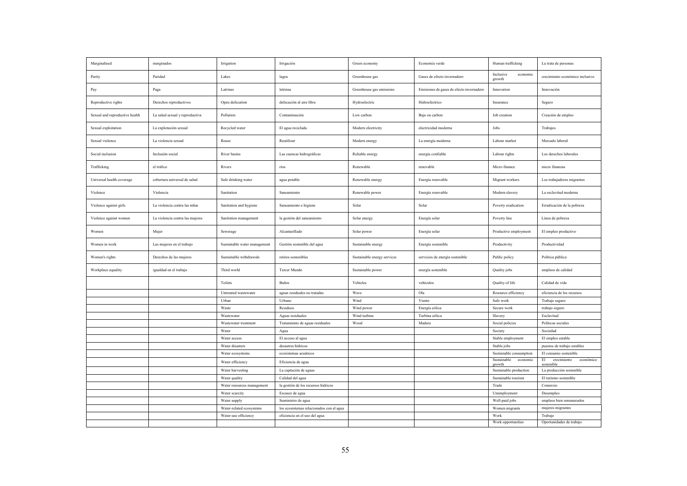| Marginalised                   | marginados                      | Irrigation                   | Irrigación                               | Green economy               | Economía verde                           | Human trafficking                 | La trata de personas                         |
|--------------------------------|---------------------------------|------------------------------|------------------------------------------|-----------------------------|------------------------------------------|-----------------------------------|----------------------------------------------|
| Parity                         | Paridad                         | Lakes                        | lagos                                    | Greenhouse gas              | Gases de efecto invernadero              | Inclusive<br>economic<br>growth   | crecimiento económico inclusivo              |
| Pay                            | Paga                            | Latrines                     | letrinas                                 | Greenhouse gas emissions    | Emisiones de gases de efecto invernadero | Innovation                        | Innovación                                   |
| Reproductive rights            | Derechos reproductivos          | Open defecation              | defecación al aire libre                 | Hydroelectric               | Hidroeléctrico                           | Insurance                         | Seguro                                       |
| Sexual and reproductive health | La salud sexual y reproductiva  | Pollution                    | Contaminación                            | Low carbon                  | Bajo en carbon                           | Job creation                      | Creación de empleo                           |
| Sexual exploitation            | La explotación sexual           | Recycled water               | El agua reciclada                        | Modern electricity          | electricidad moderna                     | Jobs                              | Trabajos                                     |
| Sexual violence                | La violencia sexual             | Reuse                        | Reutilizar                               | Modern energy               | La energía moderna                       | Labour market                     | Mercado laboral                              |
| Social inclusion               | Inclusión social                | River basins                 | Las cuencas hidrográficas                | Reliable energy             | energía confiable                        | Labour rights                     | Los derechos laborales                       |
| Trafficking                    | el tráfico                      | Rivers                       | ríos                                     | Renewable                   | renovable                                | Micro finance                     | micro finanzas                               |
| Universal health coverage      | cobertura universal de salud    | Safe drinking water          | agua potable                             | Renewable energy            | Energía renovable                        | Migrant workers                   | Los trabajadores migrantes                   |
| Violence                       | Violencia                       | Sanitation                   | Saneamiento                              | Renewable power             | Energía renovable                        | Modern slavery                    | La esclavitud moderna                        |
| Violence against girls         | La violencia contra las niñas   | Sanitation and hygiene       | Saneamiento e higiene                    | Solar                       | Solar                                    | Poverty eradication               | Erradicación de la pobreza                   |
| Violence against women         | La violencia contra las mujeres | Sanitation management        | la gestión del saneamiento               | Solar energy                | Energía solar                            | Poverty line                      | Línea de pobreza                             |
| Women                          | Mujer                           | Sewerage                     | Alcantarillado                           | Solar power                 | Energía solar                            | Productive employment             | El empleo productivo                         |
| Women in work                  | Las mujeres en el trabajo       | Sustainable water management | Gestión sostenible del agua              | Sustainable energy          | Energía sostenible                       | Productivity                      | Productividad                                |
| Women's rights                 | Derechos de las mujeres         | Sustainable withdrawals      | retiros sostenibles                      | Sustainable energy services | servicios de energía sostenible          | Public policy                     | Política pública                             |
| Workplace equality             | igualdad en el trabajo          | Third world                  | Tercer Mundo                             | Sustainable power           | energía sostenible                       | Quality jobs                      | empleos de calidad                           |
|                                |                                 | Toilets                      | Baños                                    | Vehicles                    | vehículos                                | Quality of life                   | Calidad de vida                              |
|                                |                                 | Untreated wastewater         | aguas residuales no tratadas             | Wave                        | $_{\rm Ola}$                             | Resource efficiency               | eficiencia de los recursos                   |
|                                |                                 | Urban                        | Urbano                                   | Wind                        | Viento                                   | Safe work                         | Trabajo seguro                               |
|                                |                                 | Waste                        | Residuos                                 | Wind power                  | Energía eólica                           | Secure work                       | trabajo seguro                               |
|                                |                                 | Wastewater                   | Aguas residuales                         | Wind turbine                | Turbina eólica                           | Slavery                           | Esclavitud                                   |
|                                |                                 | Wastewater treatment         | Tratamiento de aguas residuales          | Wood                        | Madera                                   | Social policies                   | Politicas sociales                           |
|                                |                                 | Water                        | Agua                                     |                             |                                          | Society                           | Sociedad                                     |
|                                |                                 | Water access                 | El acceso al agua                        |                             |                                          | Stable employment                 | El empleo estable                            |
|                                |                                 | Water disasters              | desastres hídricos                       |                             |                                          | Stable jobs                       | puestos de trabajo estables                  |
|                                |                                 | Water ecosystems             | ecosistemas acuáticos                    |                             |                                          | Sustainable consumption           | El consumo sostenible                        |
|                                |                                 | Water efficiency             | Eficiencia de agua                       |                             |                                          | Sustainable<br>economic<br>growth | económico<br>EL<br>crecimiento<br>sostenible |
|                                |                                 | Water harvesting             | La captación de aguas                    |                             |                                          | Sustainable production            | La producción sostenible                     |
|                                |                                 | Water quality                | Calidad del agua                         |                             |                                          | Sustainable tourism               | El turismo sostenible                        |
|                                |                                 | Water resources management   | la gestión de los recursos hídricos      |                             |                                          | Trade                             | Comercio                                     |
|                                |                                 | Water scarcity               | Escasez de agua                          |                             |                                          | Unemployment                      | Desempleo                                    |
|                                |                                 | Water supply                 | Suministro de agua                       |                             |                                          | Well-paid jobs                    | empleos bien remunerados                     |
|                                |                                 | Water-related ecosystems     | los ecosistemas relacionados con el agua |                             |                                          | Women migrants                    | mujeres migrantes                            |
|                                |                                 | Water-use efficiency         | eficiencia en el uso del agua            |                             |                                          | Work                              | Trabajo                                      |
|                                |                                 |                              |                                          |                             |                                          | Work opportunities                | Oportunidades de trabajo                     |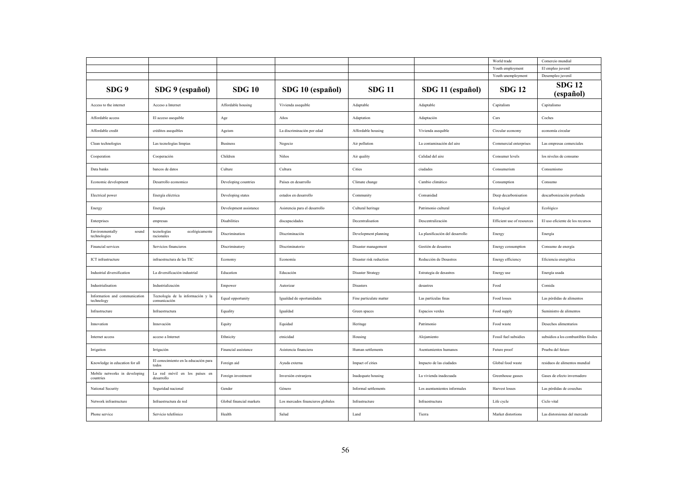|                                             |                                                   |                          |                                   |                          |                                 | World trade                | Comercio mundial                     |
|---------------------------------------------|---------------------------------------------------|--------------------------|-----------------------------------|--------------------------|---------------------------------|----------------------------|--------------------------------------|
|                                             |                                                   |                          |                                   |                          |                                 | Youth employment           | El empleo juvenil                    |
|                                             |                                                   |                          |                                   |                          |                                 | Youth unemployment         | Desempleo juvenil                    |
| SDG 9                                       | SDG 9 (español)                                   | <b>SDG 10</b>            | SDG 10 (español)                  | <b>SDG 11</b>            | SDG 11 (español)                | <b>SDG 12</b>              | <b>SDG 12</b><br>(español)           |
| Access to the internet                      | Acceso a Internet                                 | Affordable housing       | Vivienda asequible                | Adaptable                | Adaptable                       | Capitalism                 | Capitalismo                          |
| Affordable access                           | El acceso asequible                               | Age                      | Años                              | Adaptation               | Adaptación                      | Cars                       | Coches                               |
| Affordable credit                           | créditos asequibles                               | Ageism                   | La discriminación por edad        | Affordable housing       | Vivienda asequible              | Circular economy           | economía circular                    |
| Clean technologies                          | Las tecnologías limpias                           | <b>Business</b>          | Negocio                           | Air pollution            | La contaminación del aire       | Commercial enterprises     | Las empresas comerciales             |
| Cooperation                                 | Cooperación                                       | Children                 | Niños                             | Air quality              | Calidad del aire                | Consumer levels            | los niveles de consumo               |
| Data banks                                  | bancos de datos                                   | Culture                  | Cultura                           | Cities                   | ciudades                        | Consumerism                | Consumismo                           |
| Economic development                        | Desarrollo economico                              | Developing countries     | Países en desarrollo              | Climate change           | Cambio climático                | Consumption                | Consumo                              |
| Electrical power                            | Energía eléctrica                                 | Developing states        | estados en desarrollo             | Community                | Comunidad                       | Deep decarbonisation       | descarbonización profunda            |
| Energy                                      | Energía                                           | Development assistance   | Asistencia para el desarrollo     | Cultural heritage        | Patrimonio cultural             | Ecological                 | Ecológico                            |
| Enterprises                                 | empresas                                          | Disabilities             | discapacidades                    | Decentralisation         | Descentralización               | Efficient use of resources | El uso eficiente de los recursos     |
| Environmentally<br>sound<br>technologies    | ecológicamente<br>tecnologías<br>racionales       | Discrimination           | Discriminación                    | Development planning     | La planificación del desarrollo | Energy                     | Energía                              |
| Financial services                          | Servicios financieros                             | Discriminatory           | Discriminatorio                   | Disaster management      | Gestión de desastres            | Energy consumption         | Consumo de energía                   |
| ICT infrastructure                          | infraestructura de las TIC                        | Economy                  | Economía                          | Disaster risk reduction  | Reducción de Desastres          | Energy efficiency          | Eficiencia energética                |
| Industrial diversification                  | La diversificación industrial                     | Education                | Educación                         | <b>Disaster Strategy</b> | Estrategia de desastres         | Energy use                 | Energía usada                        |
| Industrialisation                           | Industrialización                                 | Empower                  | Autorizar                         | Disasters                | desastres                       | Food                       | Comida                               |
| Information and communication<br>technology | Tecnología de la información y la<br>comunicación | Equal opportunity        | Igualdad de oportunidades         | Fine particulate matter  | Las partículas finas            | Food losses                | Las pérdidas de alimentos            |
| Infrastructure                              | Infraestructura                                   | Equality                 | Igualdad                          | Green spaces             | Espacios verdes                 | Food supply                | Suministro de alimentos              |
| Innovation                                  | Innovación                                        | Equity                   | Equidad                           | Heritage                 | Patrimonio                      | Food waste                 | Desechos alimentarios                |
| Internet access                             | acceso a Internet                                 | Ethnicity                | etnicidad                         | Housing                  | Alojamiento                     | Fossil fuel subsidies      | subsidios a los combustibles fósiles |
| Irrigation                                  | Irrigación                                        | Financial assistance     | Asistencia financiera             | Human settlements        | Asentamientos humanos           | Future proof               | Prueba del futuro                    |
| Knowledge in education for all              | El conocimiento en la educación para<br>todos     | Foreign aid              | Ayuda externa                     | Impact of cities         | Impacto de las ciudades         | Global food waste          | residuos de alimentos mundial        |
| Mobile networks in developing<br>countries  | La red móvil en los países en<br>desarrollo       | Foreign investment       | Inversión extranjera              | Inadequate housing       | La vivienda inadecuada          | Greenhouse gasses          | Gases de efecto invernadero          |
| National Security                           | Seguridad nacional                                | Gender                   | Género                            | Informal settlements     | Los asentamientos informales    | Harvest losses             | Las pérdidas de cosechas             |
| Network infrastructure                      | Infraestructura de red                            | Global financial markets | Los mercados financieros globales | Infrastructure           | Infraestructura                 | Life cycle                 | Ciclo vital                          |
| Phone service                               | Servicio telefónico                               | Health                   | Salud                             | Land                     | Tierra                          | Market distortions         | Las distorsiones del mercado         |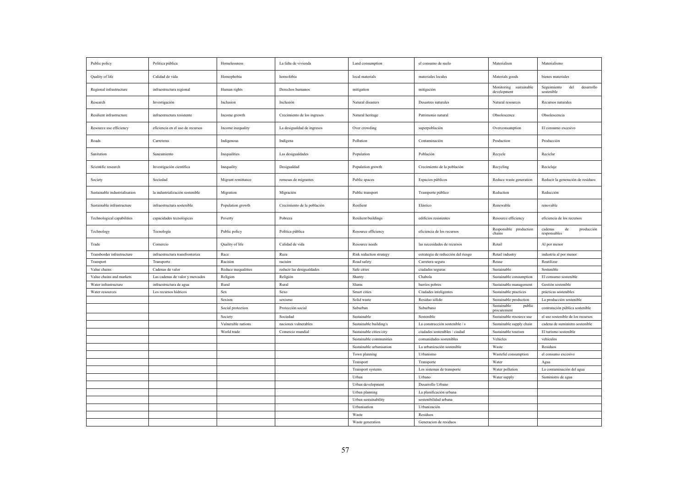| Public policy                 | Política pública                 | Homelessness        | La falta de vivienda        | Land consumption         | el consumo de suelo                | Materialism                           | Materialismo                                   |
|-------------------------------|----------------------------------|---------------------|-----------------------------|--------------------------|------------------------------------|---------------------------------------|------------------------------------------------|
| Quality of life               | Calidad de vida                  | Homophobia          | homofobia                   | local materials          | materiales locales                 | Materials goods                       | bienes materiales                              |
| Regional infrastructure       | infraestructura regional         | Human rights        | Derechos humanos            | mitigation               | mitigación                         | Monitoring sustainable<br>development | del<br>desarrollo<br>Seguimiento<br>sostenible |
| Research                      | Investigación                    | Inclusion           | Inclusión                   | Natural disasters        | Desastres naturales                | Natural resources                     | Recursos naturales                             |
| Resilient infrastructure      | infraestructura resistente       | Income growth       | Crecimiento de los ingresos | Natural heritage         | Patrimonio natural                 | Obsolescence                          | Obsolescencia                                  |
| Resource use efficiency       | eficiencia en el uso de recursos | Income inequality   | La desigualdad de ingresos  | Over crowding            | superpoblación                     | Overconsumption                       | El consumo excesivo                            |
| Roads                         | Carreteras                       | Indigenous          | Indígena                    | Pollution                | Contaminación                      | Production                            | Producción                                     |
| Sanitation                    | Saneamiento                      | Inequalities        | Las desigualdades           | Population               | Población                          | Recycle                               | Reciclar                                       |
| Scientific research           | Investigación científica         | Inequality          | Desigualdad                 | Population growth        | Crecimiento de la población        | Recycling                             | Reciclaje                                      |
| Society                       | Sociedad                         | Migrant remittance  | remesas de migrantes        | Public spaces            | Espacios públicos                  | Reduce waste generation               | Reducir la generación de residuos              |
| Sustainable industrialisation | la industrialización sostenible  | Migration           | Migración                   | Public transport         | Transporte público                 | Reduction                             | Reducción                                      |
| Sustainable infrastructure    | infraestructura sostenible       | Population growth   | Crecimiento de la población | Resilient                | Elástico                           | Renewable                             | renovable                                      |
| Technological capabilities    | capacidades tecnológicas         | Poverty             | Pobreza                     | Resilient buildings      | edificios resistentes              | Resource efficiency                   | eficiencia de los recursos                     |
| Technology                    | Tecnología                       | Public policy       | Política pública            | Resource efficiency      | eficiencia de los recursos         | Responsible production<br>chains      | cadenas<br>producción<br>de<br>responsables    |
| Trade                         | Comercio                         | Quality of life     | Calidad de vida             | Resource needs           | las necesidades de recursos        | Retail                                | Al por menor                                   |
| Transborder infrastructure    | infraestructura transfronteriza  | Race                | Raza                        | Risk reduction strategy  | estrategia de reducción del riesgo | Retail industry                       | industria al por menor                         |
| Transport                     | Transporte                       | Racisim             | racisim                     | Road safety              | Carretera segura                   | Reuse                                 | Reutilizar                                     |
| Value chains                  | Cadenas de valor                 | Reduce inequalities | reducir las desigualdades   | Safe cities              | ciudades seguras                   | Sustainable                           | Sostenible                                     |
| Value chains and markets      | Las cadenas de valor y mercados  | Religion            | Religión                    | Shanty                   | Chabola                            | Sustainable consumption               | El consumo sostenible                          |
| Water infrastructure          | infraestructura de agua          | Rural               | Rural                       | Slums                    | barrios pobres                     | Sustainable management                | Gestión sostenible                             |
| Water resources               | Los recursos hídricos            | Sex                 | Sexo                        | Smart cities             | Ciudades inteligentes              | Sustainable practices                 | prácticas sostenibles                          |
|                               |                                  | Sexism              | sexismo                     | Solid waste              | Residuo sólido                     | Sustainable production                | La producción sostenible                       |
|                               |                                  | Social protection   | Protección social           | Suburban                 | Suburbano                          | Sustainable<br>public<br>procurement  | contratación pública sostenible                |
|                               |                                  | Society             | Sociedad                    | Sustainable              | Sostenible                         | Sustainable resource use              | el uso sostenible de los recursos              |
|                               |                                  | Vulnerable nations  | naciones vulnerables        | Sustainable building/s   | La construcción sostenible / s     | Sustainable supply chain              | cadena de suministro sostenible                |
|                               |                                  | World trade         | Comercio mundial            | Sustainable cities/city  | ciudades sostenibles / ciudad      | Sustainable tourism                   | El turismo sostenible                          |
|                               |                                  |                     |                             | Sustainable communities  | comunidades sostenibles            | Vehicles                              | vehículos                                      |
|                               |                                  |                     |                             | Sustainable urbanisation | La urbanización sostenible         | Waste                                 | Residuos                                       |
|                               |                                  |                     |                             | Town planning            | Urbanismo                          | Wasteful consumption                  | el consumo excesivo                            |
|                               |                                  |                     |                             | Transport                | Transporte                         | Water                                 | Agua                                           |
|                               |                                  |                     |                             | Transport systems        | Los sistemas de transporte         | Water pollution                       | La contaminación del agua                      |
|                               |                                  |                     |                             | Urban                    | Urbano                             | Water supply                          | Suministro de agua                             |
|                               |                                  |                     |                             | Urban development        | Desarrollo Urbano                  |                                       |                                                |
|                               |                                  |                     |                             | Urban planning           | La planificación urbana            |                                       |                                                |
|                               |                                  |                     |                             | Urban sustainability     | sostenibilidad urbana              |                                       |                                                |
|                               |                                  |                     |                             | Urbanisation             | Urbanización                       |                                       |                                                |
|                               |                                  |                     |                             | Waste                    | Residuos                           |                                       |                                                |
|                               |                                  |                     |                             | Waste generation         | Generacion de residuos             |                                       |                                                |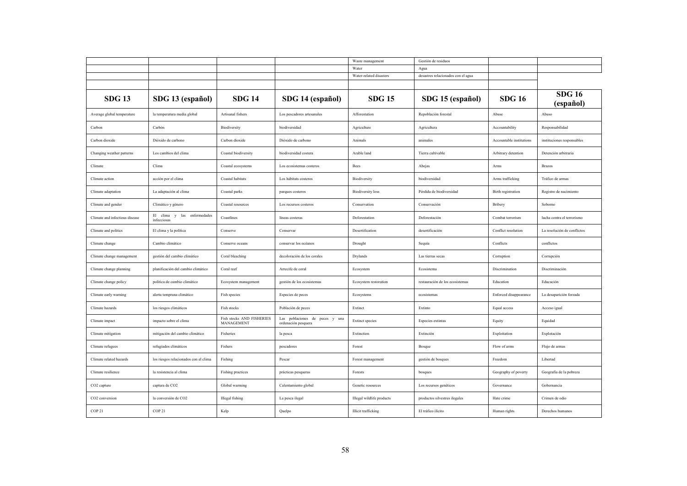|                                |                                            |                                         |                                                       | Waste management           | Gestión de residuos                |                          |                             |
|--------------------------------|--------------------------------------------|-----------------------------------------|-------------------------------------------------------|----------------------------|------------------------------------|--------------------------|-----------------------------|
|                                |                                            |                                         |                                                       | Water                      | Agua                               |                          |                             |
|                                |                                            |                                         |                                                       | Water-related disasters    | desastres relacionados con el agua |                          |                             |
|                                |                                            |                                         |                                                       |                            |                                    |                          |                             |
| <b>SDG 13</b>                  | SDG 13 (español)                           | <b>SDG 14</b>                           | SDG 14 (español)                                      | <b>SDG 15</b>              | SDG 15 (español)                   | <b>SDG 16</b>            | <b>SDG 16</b><br>(español)  |
| Average global temperature     | la temperatura media global                | Artisanal fishers                       | Los pescadores artesanales                            | Afforestation              | Repoblación forestal               | Abuse                    | Abuso                       |
| Carbon                         | Carbón                                     | Biodiversity                            | biodiversidad                                         | Agriculture                | Agricultura                        | Accountability           | Responsabilidad             |
| Carbon dioxide                 | Dióxido de carbono                         | Carbon dioxide                          | Dióxido de carbono                                    | Animals                    | animales                           | Accountable institutions | instituciones responsables  |
| Changing weather patterns      | Los cambios del clima                      | Coastal biodiversity                    | biodiversidad costera                                 | Arable land                | Tierra cultivable                  | Arbitrary detention      | Detención arbitraria        |
| Climate                        | Clima                                      | Coastal ecosystems                      | Los ecosistemas costeros                              | Bees                       | Abejas                             | Arms                     | <b>Brazos</b>               |
| Climate action                 | acción por el clima                        | Coastal habitats                        | Los hábitats costeros                                 | Biodiversity               | biodiversidad                      | Arms trafficking         | Tráfico de armas            |
| Climate adaptation             | La adaptación al clima                     | Coastal parks                           | parques costeros                                      | <b>Biodiversity</b> loss   | Pérdida de biodiversidad           | Birth registration       | Registro de nacimiento      |
| Climate and gender             | Climático y género                         | Coastal resources                       | Los recursos costeros                                 | Conservation               | Conservación                       | Bribery                  | Soborno                     |
| Climate and infectious disease | El clima y las enfermedades<br>infecciosas | Coastlines                              | líneas costeras                                       | Deforestation              | Deforestación                      | Combat terrorism         | lucha contra el terrorismo  |
| Climate and politics           | El clima y la política                     | Conserve                                | Conservar                                             | Desertification            | desertificación                    | Conflict resolution      | La resolución de conflictos |
| Climate change                 | Cambio climático                           | Conserve oceans                         | conservar los océanos                                 | Drought                    | Sequía                             | Conflicts                | conflictos                  |
| Climate change management      | gestión del cambio climático               | Coral bleaching                         | decoloración de los corales                           | Drylands                   | Las tierras secas                  | Corruption               | Corrupción                  |
| Climate change planning        | planificación del cambio climático         | Coral reef                              | Arrecife de coral                                     | Ecosystem                  | Ecosistema                         | Discrimination           | Discriminación              |
| Climate change policy          | política de cambio climático               | Ecosystem management                    | gestión de los ecosistemas                            | Ecosystem restoration      | restauración de los ecosistemas    | Education                | Educación                   |
| Climate early warning          | alerta temprana climático                  | Fish species                            | Especies de peces                                     | Ecosystems                 | ecosistemas                        | Enforced disappearance   | La desaparición forzada     |
| Climate hazards                | los riesgos climáticos                     | Fish stocks                             | Población de peces                                    | Extinct                    | Extinto                            | Equal access             | Acceso igual                |
| Climate impact                 | impacto sobre el clima                     | Fish stocks AND FISHERIES<br>MANAGEMENT | Las poblaciones de peces y una<br>ordenación pesquera | <b>Extinct species</b>     | Especies extintas                  | Equity                   | Equidad                     |
| Climate mitigation             | mitigación del cambio climático            | Fisheries                               | la pesca                                              | Extinction                 | Extinción                          | Exploitation             | Explotación                 |
| Climate refugees               | refugiados climáticos                      | Fishers                                 | pescadores                                            | Forest                     | Bosque                             | Flow of arms             | Flujo de armas              |
| Climate related hazards        | los riesgos relacionados con el clima      | Fishing                                 | Pescar                                                | Forest management          | gestión de bosques                 | Freedom                  | Libertad                    |
| Climate resilience             | la resistencia al clima                    | Fishing practices                       | prácticas pesqueras                                   | Forests                    | bosques                            | Geography of poverty     | Geografía de la pobreza     |
| CO <sub>2</sub> capture        | captura de CO2                             | Global warming                          | Calentamiento global                                  | Genetic resources          | Los recursos genéticos             | Governance               | Gobernancia                 |
| CO2 conversion                 | la conversión de CO2                       | <b>Illegal</b> fishing                  | La pesca ilegal                                       | Illegal wildlife products  | productos silvestres ilegales      | Hate crime               | Crimen de odio              |
| COP 21                         | COP 21                                     | Kelp                                    | Quelpo                                                | <b>Illicit</b> trafficking | El tráfico ilícito                 | Human rights             | Derechos humanos            |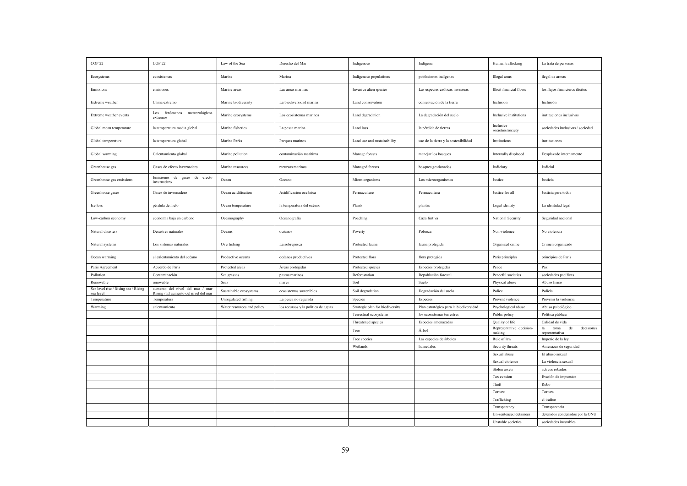| Indigenous populations<br>Marina<br>poblaciones indígenas<br>Illegal arms<br>ilegal de armas<br>Ecosystems<br>ecosistemas<br>Marine<br>Emissions<br>emisiones<br>Marine areas<br>Las áreas marinas<br>Las especies exóticas invasoras<br><b>Illicit</b> financial flows<br>los flujos financieros ilícitos<br>Invasive alien species<br>Marine biodiversity<br>La biodiversidad marina<br>conservación de la tierra<br>Inclusion<br>Inclusión<br>Extreme weather<br>Clima extremo<br>Land conservation<br>meteorológicos<br>fenómenos<br>Los<br>Extreme weather events<br>Marine ecosystems<br>Los ecosistemas marinos<br>Land degradation<br>La degradación del suelo<br>Inclusive institutions<br>instituciones inclusivas<br>extremos<br>Inclusive<br>la temperatura media global<br>sociedades inclusivas / sociedad<br>Global mean temperature<br>Marine fisheries<br>La pesca marina<br>Land loss<br>la pérdida de tierras<br>societies/society<br>Global temperature<br>la temperatura global<br>Marine Parks<br>Parques marinos<br>Land use and sustainability<br>uso de la tierra y la sostenibilidad<br>Institutions<br>instituciones<br>Global warming<br>Marine pollution<br>contaminación marítima<br>Internally displaced<br>Desplazado internamente<br>Calentamiento global<br>Manage forests<br>manejar los bosques<br>Gases de efecto invernadero<br>Judicial<br>Greenhouse gas<br>Marine resources<br>recursos marinos<br>Managed forests<br>bosques gestionados<br>Judiciary<br>Emisiones de gases de efecto<br>Greenhouse gas emissions<br>Ocean<br>Oceano<br>Micro-organisms<br>Los microorganismos<br>Justice<br>Justicia<br>invernadero<br>Gases de invernadero<br>Ocean acidification<br>Justice for all<br>Greenhouse gases<br>Acidificación oceánica<br>Permaculture<br>Permacultura<br>Justicia para todos<br>pérdida de hielo<br>la temperatura del océano<br>Plants<br>Legal identity<br>La identidad legal<br>Ice loss<br>Ocean temperature<br>plantas<br>economía baja en carbono<br>Oceanografía<br>Poaching<br>Caza furtiva<br>National Security<br>Seguridad nacional<br>Low-carbon economy<br>Oceanography<br>Natural disasters<br>Desastres naturales<br>Pobreza<br>Non-violence<br>No violencia<br>Oceans<br>océanos<br>Poverty<br>Natural systems<br>Los sistemas naturales<br>Overfishing<br>La sobrepesca<br>Protected fauna<br>Organized crime<br>Crimen organizado<br>fauna protegida<br>Ocean warming<br>el calentamiento del océano<br>Productive oceans<br>océanos productivos<br>Protected flora<br>flora protegida<br>Paris principles<br>principios de París<br>Acuerdo de París<br>Especies protegidas<br>Paz<br>Paris Agreement<br>Protected areas<br>Áreas protegidas<br>Protected species<br>Peace | COP <sub>22</sub> | COP <sub>22</sub> | Law of the Sea | Derecho del Mar | Indigenous    | Indígena             | Human trafficking  | La trata de personas |
|--------------------------------------------------------------------------------------------------------------------------------------------------------------------------------------------------------------------------------------------------------------------------------------------------------------------------------------------------------------------------------------------------------------------------------------------------------------------------------------------------------------------------------------------------------------------------------------------------------------------------------------------------------------------------------------------------------------------------------------------------------------------------------------------------------------------------------------------------------------------------------------------------------------------------------------------------------------------------------------------------------------------------------------------------------------------------------------------------------------------------------------------------------------------------------------------------------------------------------------------------------------------------------------------------------------------------------------------------------------------------------------------------------------------------------------------------------------------------------------------------------------------------------------------------------------------------------------------------------------------------------------------------------------------------------------------------------------------------------------------------------------------------------------------------------------------------------------------------------------------------------------------------------------------------------------------------------------------------------------------------------------------------------------------------------------------------------------------------------------------------------------------------------------------------------------------------------------------------------------------------------------------------------------------------------------------------------------------------------------------------------------------------------------------------------------------------------------------------------------------------------------------------------------------------------------------------------------------------------------------------------------------------------------------------------------------------------------------------------------------------------|-------------------|-------------------|----------------|-----------------|---------------|----------------------|--------------------|----------------------|
|                                                                                                                                                                                                                                                                                                                                                                                                                                                                                                                                                                                                                                                                                                                                                                                                                                                                                                                                                                                                                                                                                                                                                                                                                                                                                                                                                                                                                                                                                                                                                                                                                                                                                                                                                                                                                                                                                                                                                                                                                                                                                                                                                                                                                                                                                                                                                                                                                                                                                                                                                                                                                                                                                                                                                        |                   |                   |                |                 |               |                      |                    |                      |
|                                                                                                                                                                                                                                                                                                                                                                                                                                                                                                                                                                                                                                                                                                                                                                                                                                                                                                                                                                                                                                                                                                                                                                                                                                                                                                                                                                                                                                                                                                                                                                                                                                                                                                                                                                                                                                                                                                                                                                                                                                                                                                                                                                                                                                                                                                                                                                                                                                                                                                                                                                                                                                                                                                                                                        |                   |                   |                |                 |               |                      |                    |                      |
|                                                                                                                                                                                                                                                                                                                                                                                                                                                                                                                                                                                                                                                                                                                                                                                                                                                                                                                                                                                                                                                                                                                                                                                                                                                                                                                                                                                                                                                                                                                                                                                                                                                                                                                                                                                                                                                                                                                                                                                                                                                                                                                                                                                                                                                                                                                                                                                                                                                                                                                                                                                                                                                                                                                                                        |                   |                   |                |                 |               |                      |                    |                      |
|                                                                                                                                                                                                                                                                                                                                                                                                                                                                                                                                                                                                                                                                                                                                                                                                                                                                                                                                                                                                                                                                                                                                                                                                                                                                                                                                                                                                                                                                                                                                                                                                                                                                                                                                                                                                                                                                                                                                                                                                                                                                                                                                                                                                                                                                                                                                                                                                                                                                                                                                                                                                                                                                                                                                                        |                   |                   |                |                 |               |                      |                    |                      |
|                                                                                                                                                                                                                                                                                                                                                                                                                                                                                                                                                                                                                                                                                                                                                                                                                                                                                                                                                                                                                                                                                                                                                                                                                                                                                                                                                                                                                                                                                                                                                                                                                                                                                                                                                                                                                                                                                                                                                                                                                                                                                                                                                                                                                                                                                                                                                                                                                                                                                                                                                                                                                                                                                                                                                        |                   |                   |                |                 |               |                      |                    |                      |
|                                                                                                                                                                                                                                                                                                                                                                                                                                                                                                                                                                                                                                                                                                                                                                                                                                                                                                                                                                                                                                                                                                                                                                                                                                                                                                                                                                                                                                                                                                                                                                                                                                                                                                                                                                                                                                                                                                                                                                                                                                                                                                                                                                                                                                                                                                                                                                                                                                                                                                                                                                                                                                                                                                                                                        |                   |                   |                |                 |               |                      |                    |                      |
|                                                                                                                                                                                                                                                                                                                                                                                                                                                                                                                                                                                                                                                                                                                                                                                                                                                                                                                                                                                                                                                                                                                                                                                                                                                                                                                                                                                                                                                                                                                                                                                                                                                                                                                                                                                                                                                                                                                                                                                                                                                                                                                                                                                                                                                                                                                                                                                                                                                                                                                                                                                                                                                                                                                                                        |                   |                   |                |                 |               |                      |                    |                      |
|                                                                                                                                                                                                                                                                                                                                                                                                                                                                                                                                                                                                                                                                                                                                                                                                                                                                                                                                                                                                                                                                                                                                                                                                                                                                                                                                                                                                                                                                                                                                                                                                                                                                                                                                                                                                                                                                                                                                                                                                                                                                                                                                                                                                                                                                                                                                                                                                                                                                                                                                                                                                                                                                                                                                                        |                   |                   |                |                 |               |                      |                    |                      |
|                                                                                                                                                                                                                                                                                                                                                                                                                                                                                                                                                                                                                                                                                                                                                                                                                                                                                                                                                                                                                                                                                                                                                                                                                                                                                                                                                                                                                                                                                                                                                                                                                                                                                                                                                                                                                                                                                                                                                                                                                                                                                                                                                                                                                                                                                                                                                                                                                                                                                                                                                                                                                                                                                                                                                        |                   |                   |                |                 |               |                      |                    |                      |
|                                                                                                                                                                                                                                                                                                                                                                                                                                                                                                                                                                                                                                                                                                                                                                                                                                                                                                                                                                                                                                                                                                                                                                                                                                                                                                                                                                                                                                                                                                                                                                                                                                                                                                                                                                                                                                                                                                                                                                                                                                                                                                                                                                                                                                                                                                                                                                                                                                                                                                                                                                                                                                                                                                                                                        |                   |                   |                |                 |               |                      |                    |                      |
|                                                                                                                                                                                                                                                                                                                                                                                                                                                                                                                                                                                                                                                                                                                                                                                                                                                                                                                                                                                                                                                                                                                                                                                                                                                                                                                                                                                                                                                                                                                                                                                                                                                                                                                                                                                                                                                                                                                                                                                                                                                                                                                                                                                                                                                                                                                                                                                                                                                                                                                                                                                                                                                                                                                                                        |                   |                   |                |                 |               |                      |                    |                      |
|                                                                                                                                                                                                                                                                                                                                                                                                                                                                                                                                                                                                                                                                                                                                                                                                                                                                                                                                                                                                                                                                                                                                                                                                                                                                                                                                                                                                                                                                                                                                                                                                                                                                                                                                                                                                                                                                                                                                                                                                                                                                                                                                                                                                                                                                                                                                                                                                                                                                                                                                                                                                                                                                                                                                                        |                   |                   |                |                 |               |                      |                    |                      |
|                                                                                                                                                                                                                                                                                                                                                                                                                                                                                                                                                                                                                                                                                                                                                                                                                                                                                                                                                                                                                                                                                                                                                                                                                                                                                                                                                                                                                                                                                                                                                                                                                                                                                                                                                                                                                                                                                                                                                                                                                                                                                                                                                                                                                                                                                                                                                                                                                                                                                                                                                                                                                                                                                                                                                        |                   |                   |                |                 |               |                      |                    |                      |
|                                                                                                                                                                                                                                                                                                                                                                                                                                                                                                                                                                                                                                                                                                                                                                                                                                                                                                                                                                                                                                                                                                                                                                                                                                                                                                                                                                                                                                                                                                                                                                                                                                                                                                                                                                                                                                                                                                                                                                                                                                                                                                                                                                                                                                                                                                                                                                                                                                                                                                                                                                                                                                                                                                                                                        |                   |                   |                |                 |               |                      |                    |                      |
|                                                                                                                                                                                                                                                                                                                                                                                                                                                                                                                                                                                                                                                                                                                                                                                                                                                                                                                                                                                                                                                                                                                                                                                                                                                                                                                                                                                                                                                                                                                                                                                                                                                                                                                                                                                                                                                                                                                                                                                                                                                                                                                                                                                                                                                                                                                                                                                                                                                                                                                                                                                                                                                                                                                                                        |                   |                   |                |                 |               |                      |                    |                      |
|                                                                                                                                                                                                                                                                                                                                                                                                                                                                                                                                                                                                                                                                                                                                                                                                                                                                                                                                                                                                                                                                                                                                                                                                                                                                                                                                                                                                                                                                                                                                                                                                                                                                                                                                                                                                                                                                                                                                                                                                                                                                                                                                                                                                                                                                                                                                                                                                                                                                                                                                                                                                                                                                                                                                                        |                   |                   |                |                 |               |                      |                    |                      |
|                                                                                                                                                                                                                                                                                                                                                                                                                                                                                                                                                                                                                                                                                                                                                                                                                                                                                                                                                                                                                                                                                                                                                                                                                                                                                                                                                                                                                                                                                                                                                                                                                                                                                                                                                                                                                                                                                                                                                                                                                                                                                                                                                                                                                                                                                                                                                                                                                                                                                                                                                                                                                                                                                                                                                        | Pollution         | Contaminación     | Sea grasses    | pastos marinos  | Reforestation | Repoblación forestal | Peaceful societies | sociedades pacíficas |
| Suelo<br>Renewable<br>renovable<br>Soil<br>Physical abuse<br>Abuso físico<br>Seas<br>mares                                                                                                                                                                                                                                                                                                                                                                                                                                                                                                                                                                                                                                                                                                                                                                                                                                                                                                                                                                                                                                                                                                                                                                                                                                                                                                                                                                                                                                                                                                                                                                                                                                                                                                                                                                                                                                                                                                                                                                                                                                                                                                                                                                                                                                                                                                                                                                                                                                                                                                                                                                                                                                                             |                   |                   |                |                 |               |                      |                    |                      |
| aumento del nivel del mar / mar<br>Sea level rise / Rising sea / Rising<br>Sustainable ecosystems<br>ecosistemas sostenibles<br>Soil degradation<br>Degradación del suelo<br>Police<br>Policía                                                                                                                                                                                                                                                                                                                                                                                                                                                                                                                                                                                                                                                                                                                                                                                                                                                                                                                                                                                                                                                                                                                                                                                                                                                                                                                                                                                                                                                                                                                                                                                                                                                                                                                                                                                                                                                                                                                                                                                                                                                                                                                                                                                                                                                                                                                                                                                                                                                                                                                                                         |                   |                   |                |                 |               |                      |                    |                      |
| Rising / El aumento del nivel del mar<br>sea level<br>Unregulated fishing<br>Prevent violence<br>Prevenir la violencia<br>Temperature<br>La pesca no regulada<br>Especies<br>Temperatura<br>Species                                                                                                                                                                                                                                                                                                                                                                                                                                                                                                                                                                                                                                                                                                                                                                                                                                                                                                                                                                                                                                                                                                                                                                                                                                                                                                                                                                                                                                                                                                                                                                                                                                                                                                                                                                                                                                                                                                                                                                                                                                                                                                                                                                                                                                                                                                                                                                                                                                                                                                                                                    |                   |                   |                |                 |               |                      |                    |                      |
| Plan estratégico para la biodiversidad<br>Warming<br>calentamiento<br>Water resources and policy<br>los recursos y la política de aguas<br>Strategic plan for biodiversity<br>Psychological abuse<br>Abuso psicológico                                                                                                                                                                                                                                                                                                                                                                                                                                                                                                                                                                                                                                                                                                                                                                                                                                                                                                                                                                                                                                                                                                                                                                                                                                                                                                                                                                                                                                                                                                                                                                                                                                                                                                                                                                                                                                                                                                                                                                                                                                                                                                                                                                                                                                                                                                                                                                                                                                                                                                                                 |                   |                   |                |                 |               |                      |                    |                      |
|                                                                                                                                                                                                                                                                                                                                                                                                                                                                                                                                                                                                                                                                                                                                                                                                                                                                                                                                                                                                                                                                                                                                                                                                                                                                                                                                                                                                                                                                                                                                                                                                                                                                                                                                                                                                                                                                                                                                                                                                                                                                                                                                                                                                                                                                                                                                                                                                                                                                                                                                                                                                                                                                                                                                                        |                   |                   |                |                 |               |                      |                    |                      |
| Public policy<br>Política pública<br>Terrestrial ecosystems<br>los ecosistemas terrestres                                                                                                                                                                                                                                                                                                                                                                                                                                                                                                                                                                                                                                                                                                                                                                                                                                                                                                                                                                                                                                                                                                                                                                                                                                                                                                                                                                                                                                                                                                                                                                                                                                                                                                                                                                                                                                                                                                                                                                                                                                                                                                                                                                                                                                                                                                                                                                                                                                                                                                                                                                                                                                                              |                   |                   |                |                 |               |                      |                    |                      |
| Quality of life<br>Calidad de vida<br>Especies amenazadas<br>Threatened species<br>Representative decision-<br>de<br>decisiones<br>la<br>toma                                                                                                                                                                                                                                                                                                                                                                                                                                                                                                                                                                                                                                                                                                                                                                                                                                                                                                                                                                                                                                                                                                                                                                                                                                                                                                                                                                                                                                                                                                                                                                                                                                                                                                                                                                                                                                                                                                                                                                                                                                                                                                                                                                                                                                                                                                                                                                                                                                                                                                                                                                                                          |                   |                   |                |                 |               |                      |                    |                      |
| Árbol<br>Tree<br>making<br>representativa                                                                                                                                                                                                                                                                                                                                                                                                                                                                                                                                                                                                                                                                                                                                                                                                                                                                                                                                                                                                                                                                                                                                                                                                                                                                                                                                                                                                                                                                                                                                                                                                                                                                                                                                                                                                                                                                                                                                                                                                                                                                                                                                                                                                                                                                                                                                                                                                                                                                                                                                                                                                                                                                                                              |                   |                   |                |                 |               |                      |                    |                      |
| Tree species<br>Las especies de árboles<br>Rule of law<br>Imperio de la ley                                                                                                                                                                                                                                                                                                                                                                                                                                                                                                                                                                                                                                                                                                                                                                                                                                                                                                                                                                                                                                                                                                                                                                                                                                                                                                                                                                                                                                                                                                                                                                                                                                                                                                                                                                                                                                                                                                                                                                                                                                                                                                                                                                                                                                                                                                                                                                                                                                                                                                                                                                                                                                                                            |                   |                   |                |                 |               |                      |                    |                      |
| Wetlands<br>humedales<br>Amenazas de seguridad<br>Security threats                                                                                                                                                                                                                                                                                                                                                                                                                                                                                                                                                                                                                                                                                                                                                                                                                                                                                                                                                                                                                                                                                                                                                                                                                                                                                                                                                                                                                                                                                                                                                                                                                                                                                                                                                                                                                                                                                                                                                                                                                                                                                                                                                                                                                                                                                                                                                                                                                                                                                                                                                                                                                                                                                     |                   |                   |                |                 |               |                      |                    |                      |
| Sexual abuse<br>El abuso sexual                                                                                                                                                                                                                                                                                                                                                                                                                                                                                                                                                                                                                                                                                                                                                                                                                                                                                                                                                                                                                                                                                                                                                                                                                                                                                                                                                                                                                                                                                                                                                                                                                                                                                                                                                                                                                                                                                                                                                                                                                                                                                                                                                                                                                                                                                                                                                                                                                                                                                                                                                                                                                                                                                                                        |                   |                   |                |                 |               |                      |                    |                      |
| Sexual violence<br>La violencia sexual                                                                                                                                                                                                                                                                                                                                                                                                                                                                                                                                                                                                                                                                                                                                                                                                                                                                                                                                                                                                                                                                                                                                                                                                                                                                                                                                                                                                                                                                                                                                                                                                                                                                                                                                                                                                                                                                                                                                                                                                                                                                                                                                                                                                                                                                                                                                                                                                                                                                                                                                                                                                                                                                                                                 |                   |                   |                |                 |               |                      |                    |                      |
| Stolen assets<br>activos robados                                                                                                                                                                                                                                                                                                                                                                                                                                                                                                                                                                                                                                                                                                                                                                                                                                                                                                                                                                                                                                                                                                                                                                                                                                                                                                                                                                                                                                                                                                                                                                                                                                                                                                                                                                                                                                                                                                                                                                                                                                                                                                                                                                                                                                                                                                                                                                                                                                                                                                                                                                                                                                                                                                                       |                   |                   |                |                 |               |                      |                    |                      |
| Tax evasion<br>Evasión de impuestos                                                                                                                                                                                                                                                                                                                                                                                                                                                                                                                                                                                                                                                                                                                                                                                                                                                                                                                                                                                                                                                                                                                                                                                                                                                                                                                                                                                                                                                                                                                                                                                                                                                                                                                                                                                                                                                                                                                                                                                                                                                                                                                                                                                                                                                                                                                                                                                                                                                                                                                                                                                                                                                                                                                    |                   |                   |                |                 |               |                      |                    |                      |
| Theft<br>Robo                                                                                                                                                                                                                                                                                                                                                                                                                                                                                                                                                                                                                                                                                                                                                                                                                                                                                                                                                                                                                                                                                                                                                                                                                                                                                                                                                                                                                                                                                                                                                                                                                                                                                                                                                                                                                                                                                                                                                                                                                                                                                                                                                                                                                                                                                                                                                                                                                                                                                                                                                                                                                                                                                                                                          |                   |                   |                |                 |               |                      |                    |                      |
| Torture<br>Tortura                                                                                                                                                                                                                                                                                                                                                                                                                                                                                                                                                                                                                                                                                                                                                                                                                                                                                                                                                                                                                                                                                                                                                                                                                                                                                                                                                                                                                                                                                                                                                                                                                                                                                                                                                                                                                                                                                                                                                                                                                                                                                                                                                                                                                                                                                                                                                                                                                                                                                                                                                                                                                                                                                                                                     |                   |                   |                |                 |               |                      |                    |                      |
| Trafficking<br>el tráfico                                                                                                                                                                                                                                                                                                                                                                                                                                                                                                                                                                                                                                                                                                                                                                                                                                                                                                                                                                                                                                                                                                                                                                                                                                                                                                                                                                                                                                                                                                                                                                                                                                                                                                                                                                                                                                                                                                                                                                                                                                                                                                                                                                                                                                                                                                                                                                                                                                                                                                                                                                                                                                                                                                                              |                   |                   |                |                 |               |                      |                    |                      |
| Transparencia<br>Transparency                                                                                                                                                                                                                                                                                                                                                                                                                                                                                                                                                                                                                                                                                                                                                                                                                                                                                                                                                                                                                                                                                                                                                                                                                                                                                                                                                                                                                                                                                                                                                                                                                                                                                                                                                                                                                                                                                                                                                                                                                                                                                                                                                                                                                                                                                                                                                                                                                                                                                                                                                                                                                                                                                                                          |                   |                   |                |                 |               |                      |                    |                      |
| detenidos condenados por la ONU<br>Un-sentenced detainees                                                                                                                                                                                                                                                                                                                                                                                                                                                                                                                                                                                                                                                                                                                                                                                                                                                                                                                                                                                                                                                                                                                                                                                                                                                                                                                                                                                                                                                                                                                                                                                                                                                                                                                                                                                                                                                                                                                                                                                                                                                                                                                                                                                                                                                                                                                                                                                                                                                                                                                                                                                                                                                                                              |                   |                   |                |                 |               |                      |                    |                      |
| Unstable societies<br>sociedades inestables                                                                                                                                                                                                                                                                                                                                                                                                                                                                                                                                                                                                                                                                                                                                                                                                                                                                                                                                                                                                                                                                                                                                                                                                                                                                                                                                                                                                                                                                                                                                                                                                                                                                                                                                                                                                                                                                                                                                                                                                                                                                                                                                                                                                                                                                                                                                                                                                                                                                                                                                                                                                                                                                                                            |                   |                   |                |                 |               |                      |                    |                      |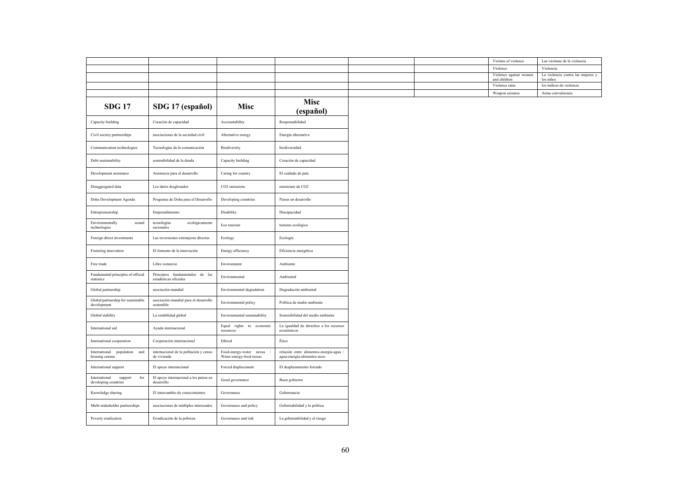| <b>SDG 17</b>                                                   | SDG 17 (español)                                          | <b>Misc</b>                                        | <b>Misc</b><br>(español)                                               |
|-----------------------------------------------------------------|-----------------------------------------------------------|----------------------------------------------------|------------------------------------------------------------------------|
| Capacity building                                               | Creación de capacidad                                     | Accountability                                     | Responsabilidad                                                        |
| Civil society partnerships                                      | asociaciones de la sociedad civil                         | Alternative energy                                 | Energía alternativa                                                    |
| Communication technologies                                      | Tecnologías de la comunicación                            | Biodiversity                                       | biodiversidad                                                          |
| Debt sustainability                                             | sostenibilidad de la deuda                                | Capacity building                                  | Creación de capacidad                                                  |
| Development assistance                                          | Asistencia para el desarrollo                             | Caring for country                                 | El cuidado de país                                                     |
| Disaggregated data                                              | Los datos desglosados                                     | CO2 emissions                                      | emisiones de CO2                                                       |
| Doha Development Agenda                                         | Programa de Doha para el Desarrollo                       | Developing countries                               | Países en desarrollo                                                   |
| Entrepreneurship                                                | Emprendimiento                                            | Disability                                         | Discapacidad                                                           |
| Environmentally<br>sound<br>technologies                        | ecológicamente<br>tecnologías<br>racionales               | Eco tourism                                        | turismo ecológico                                                      |
| Foreign direct investments                                      | Las inversiones extranjeras directas                      | Ecology                                            | Ecología                                                               |
| Fostering innovation                                            | El fomento de la innovación                               | Energy efficiency                                  | Eficiencia energética                                                  |
| Free trade                                                      | Libre comercio                                            | Environment                                        | Ambiente                                                               |
| Fundamental principles of official<br>statistics                | Principios fundamentales de las<br>estadísticas oficiales | Environmental                                      | Ambiental                                                              |
| Global partnership                                              | asociación mundial                                        | Environmental degradation                          | Degradación ambiental                                                  |
| Global partnership for sustainable<br>development               | asociación mundial para el desarrollo<br>sostenible       | Environmental policy                               | Política de medio ambiente                                             |
| Global stability                                                | La estabilidad global                                     | Environmental sustainability                       | Sostenibilidad del medio ambiente                                      |
| International aid                                               | Ayuda internacional                                       | Equal rights to economic<br>resources              | La igualdad de derechos a los recursos<br>económicos                   |
| International cooperation                                       | Cooperación internacional                                 | Ethical                                            | Ético                                                                  |
| International population and<br>housing census                  | internacional de la población y censo<br>de vivienda      | Food-energy-water nexus<br>Water-energy-food nexus | relación entre alimentos-energía-agua /<br>agua-energía-alimentos nexo |
| International support                                           | El apoyo internacional                                    | Forced displacement                                | El desplazamiento forzado                                              |
| ${\rm for}$<br>support<br>International<br>developing countries | El apoyo internacional a los países en<br>desarrollo      | Good governance                                    | Buen gobierno                                                          |
| Knowledge sharing                                               | El intercambio de conocimientos                           | Governance                                         | Gobernancia                                                            |
| Multi-stakeholder partnerships                                  | asociaciones de múltiples interesados                     | Governance and policy                              | Gobernabilidad y la política                                           |
| Poverty eradication                                             | Erradicación de la pobreza                                | Governance and risk                                | La gobernabilidad y el riesgo                                          |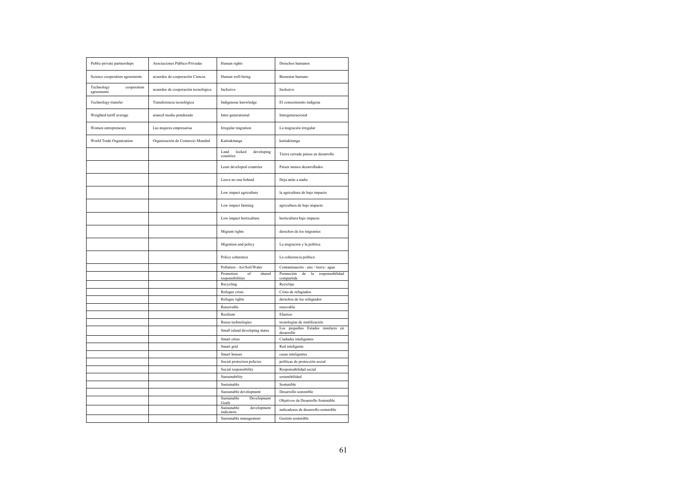| Public-private partnerships             | Asociaciones Público-Privadas       | Human rights                                                                | Derechos humanos                                                                               |
|-----------------------------------------|-------------------------------------|-----------------------------------------------------------------------------|------------------------------------------------------------------------------------------------|
| Science cooperation agreements          | acuerdos de cooperación Ciencia     | Human well-being                                                            | Bienestar humano                                                                               |
| Technology<br>cooperation<br>agreements | acuerdos de cooperación tecnológica | Inclusive                                                                   | Inclusivo                                                                                      |
| Technology transfer                     | Transferencia tecnológica           | Indigenous knowledge                                                        | El conocimiento indígena                                                                       |
| Weighted tariff average                 | arancel medio ponderado             | Inter-generational                                                          | Intergeneracional                                                                              |
| Women entrepreneurs                     | Las mujeres empresarias             | Irregular migration                                                         | La migración irregular                                                                         |
| World Trade Organization                | Organización de Comercio Mundial    | Kaitiakitanga                                                               | kaitiakitanga                                                                                  |
|                                         |                                     | Land<br>locked<br>developing<br>countries                                   | Tierra cerrada países en desarrollo                                                            |
|                                         |                                     | Least developed countries                                                   | Países menos desarrollados                                                                     |
|                                         |                                     | Leave no one behind                                                         | Deja atrás a nadie                                                                             |
|                                         |                                     | Low impact agriculture                                                      | la agricultura de bajo impacto                                                                 |
|                                         |                                     | Low impact farming                                                          | agricultura de bajo impacto                                                                    |
|                                         |                                     | Low impact horticulture                                                     | horticultura bajo impacto                                                                      |
|                                         |                                     | Migrant rights                                                              | derechos de los migrantes                                                                      |
|                                         |                                     | Migration and policy                                                        | La migración y la política                                                                     |
|                                         |                                     | Policy coherence                                                            | La coherencia política                                                                         |
|                                         |                                     | Pollution - Air/Soil/Water<br>Promotion<br>shared<br>of<br>responsibilities | Contaminación - aire / tierra / agua<br>Promoción<br>de<br>la<br>responsabilidad<br>compartida |
|                                         |                                     | Recycling                                                                   | Reciclaje                                                                                      |
|                                         |                                     | Refugee crisis                                                              | Crisis de refugiados                                                                           |
|                                         |                                     | Refugee rights                                                              | derechos de los refugiados                                                                     |
|                                         |                                     | Renewable                                                                   | renovable                                                                                      |
|                                         |                                     | Resilient                                                                   | Elástico                                                                                       |
|                                         |                                     | Reuse technologies                                                          | tecnologías de reutilización                                                                   |
|                                         |                                     | Small island developing states                                              | Los pequeños Estados insulares en<br>desarrollo                                                |
|                                         |                                     | Smart cities                                                                | Ciudades inteligentes                                                                          |
|                                         |                                     | Smart grid                                                                  | Red inteligente                                                                                |
|                                         |                                     | Smart houses                                                                | casas inteligentes                                                                             |
|                                         |                                     | Social protection policies                                                  | políticas de protección social                                                                 |
|                                         |                                     | Social responsibility                                                       | Responsabilidad social                                                                         |
|                                         |                                     | Sustainability                                                              | sostenibilidad                                                                                 |
|                                         |                                     | Sustainable                                                                 | Sostenible                                                                                     |
|                                         |                                     | Sustainable development                                                     | Desarrollo sostenible                                                                          |
|                                         |                                     | Sustainable<br>Development<br>Goals                                         | Objetivos de Desarrollo Sostenible                                                             |
|                                         |                                     | Sustainable<br>development<br>indicators                                    | indicadores de desarrollo sostenible                                                           |
|                                         |                                     | Sustainable management                                                      | Gestión sostenible                                                                             |